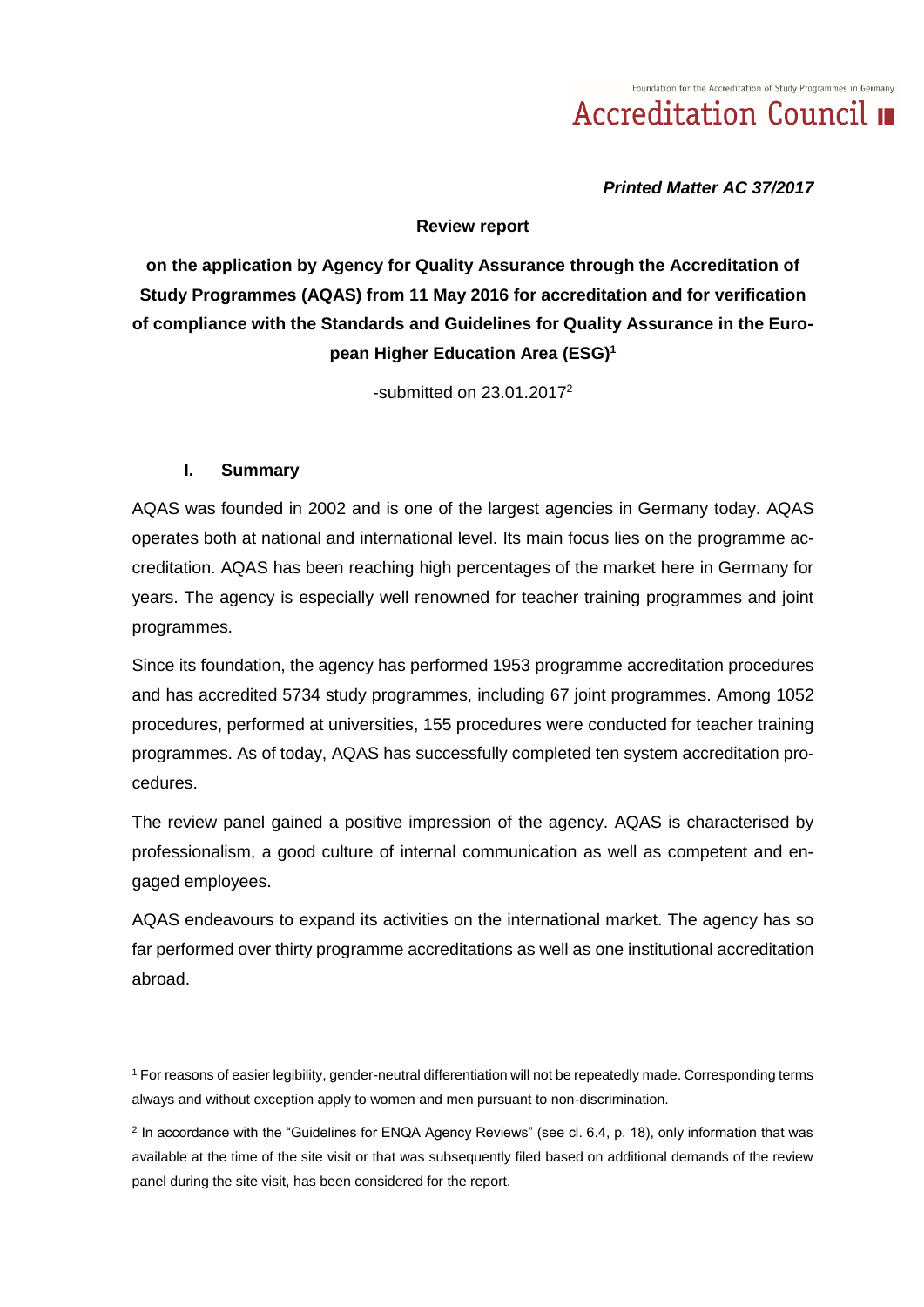*Printed Matter AC 37/2017*

#### **Review report**

**on the application by Agency for Quality Assurance through the Accreditation of Study Programmes (AQAS) from 11 May 2016 for accreditation and for verification of compliance with the Standards and Guidelines for Quality Assurance in the European Higher Education Area (ESG)<sup>1</sup>**

-submitted on  $23.01.2017<sup>2</sup>$ 

### **I. Summary**

-

AQAS was founded in 2002 and is one of the largest agencies in Germany today. AQAS operates both at national and international level. Its main focus lies on the programme accreditation. AQAS has been reaching high percentages of the market here in Germany for years. The agency is especially well renowned for teacher training programmes and joint programmes.

Since its foundation, the agency has performed 1953 programme accreditation procedures and has accredited 5734 study programmes, including 67 joint programmes. Among 1052 procedures, performed at universities, 155 procedures were conducted for teacher training programmes. As of today, AQAS has successfully completed ten system accreditation procedures.

The review panel gained a positive impression of the agency. AQAS is characterised by professionalism, a good culture of internal communication as well as competent and engaged employees.

AQAS endeavours to expand its activities on the international market. The agency has so far performed over thirty programme accreditations as well as one institutional accreditation abroad.

<sup>1</sup> For reasons of easier legibility, gender-neutral differentiation will not be repeatedly made. Corresponding terms always and without exception apply to women and men pursuant to non-discrimination.

<sup>&</sup>lt;sup>2</sup> In accordance with the "Guidelines for ENQA Agency Reviews" (see cl. 6.4, p. 18), only information that was available at the time of the site visit or that was subsequently filed based on additional demands of the review panel during the site visit, has been considered for the report.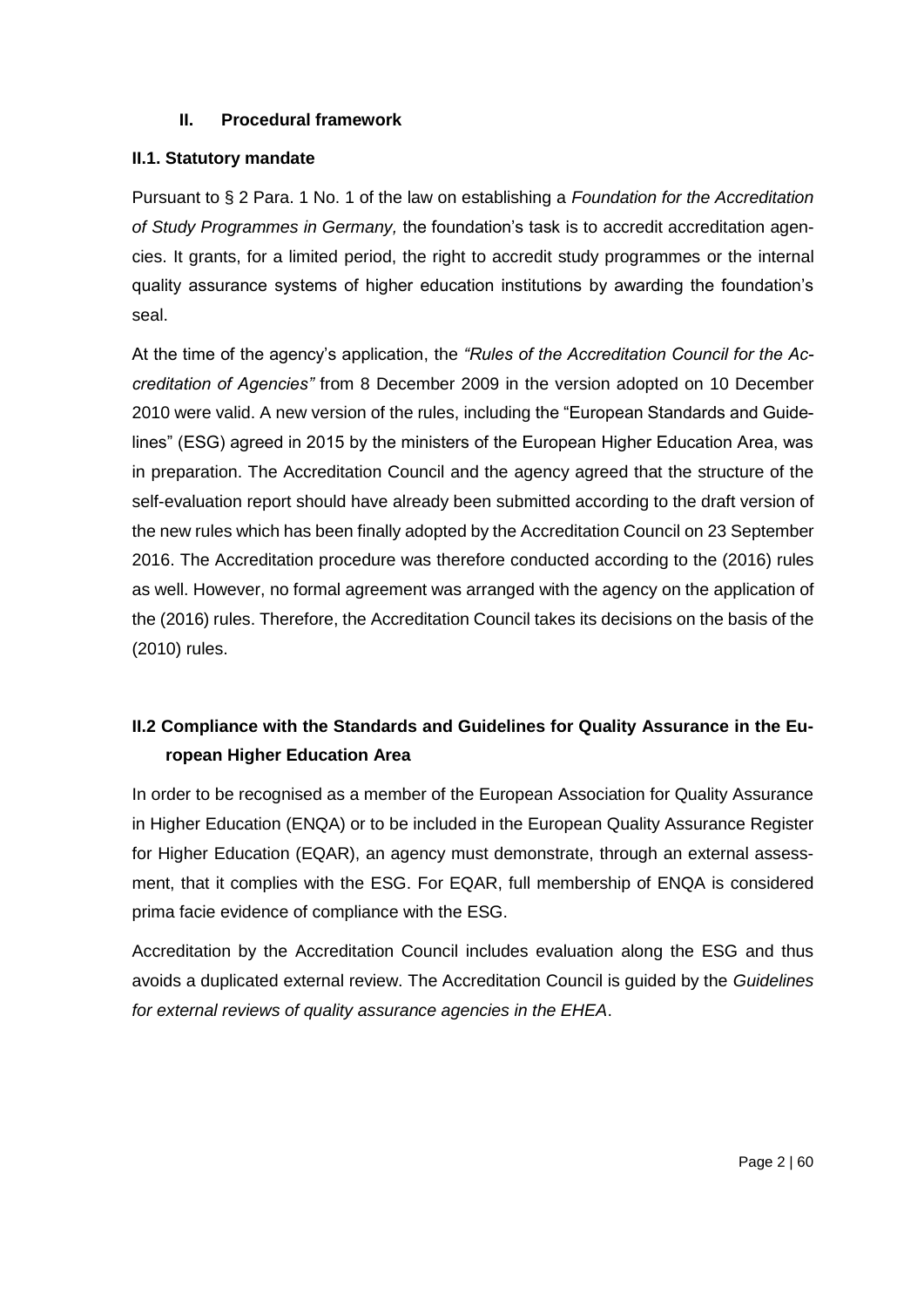# **II. Procedural framework**

## **II.1. Statutory mandate**

Pursuant to § 2 Para. 1 No. 1 of the law on establishing a *Foundation for the Accreditation of Study Programmes in Germany,* the foundation's task is to accredit accreditation agencies. It grants, for a limited period, the right to accredit study programmes or the internal quality assurance systems of higher education institutions by awarding the foundation's seal.

At the time of the agency's application, the *"Rules of the Accreditation Council for the Accreditation of Agencies"* from 8 December 2009 in the version adopted on 10 December 2010 were valid. A new version of the rules, including the "European Standards and Guidelines" (ESG) agreed in 2015 by the ministers of the European Higher Education Area, was in preparation. The Accreditation Council and the agency agreed that the structure of the self-evaluation report should have already been submitted according to the draft version of the new rules which has been finally adopted by the Accreditation Council on 23 September 2016. The Accreditation procedure was therefore conducted according to the (2016) rules as well. However, no formal agreement was arranged with the agency on the application of the (2016) rules. Therefore, the Accreditation Council takes its decisions on the basis of the (2010) rules.

# **II.2 Compliance with the Standards and Guidelines for Quality Assurance in the European Higher Education Area**

In order to be recognised as a member of the European Association for Quality Assurance in Higher Education (ENQA) or to be included in the European Quality Assurance Register for Higher Education (EQAR), an agency must demonstrate, through an external assessment, that it complies with the ESG. For EQAR, full membership of ENQA is considered prima facie evidence of compliance with the ESG.

Accreditation by the Accreditation Council includes evaluation along the ESG and thus avoids a duplicated external review. The Accreditation Council is guided by the *Guidelines for external reviews of quality assurance agencies in the EHEA*.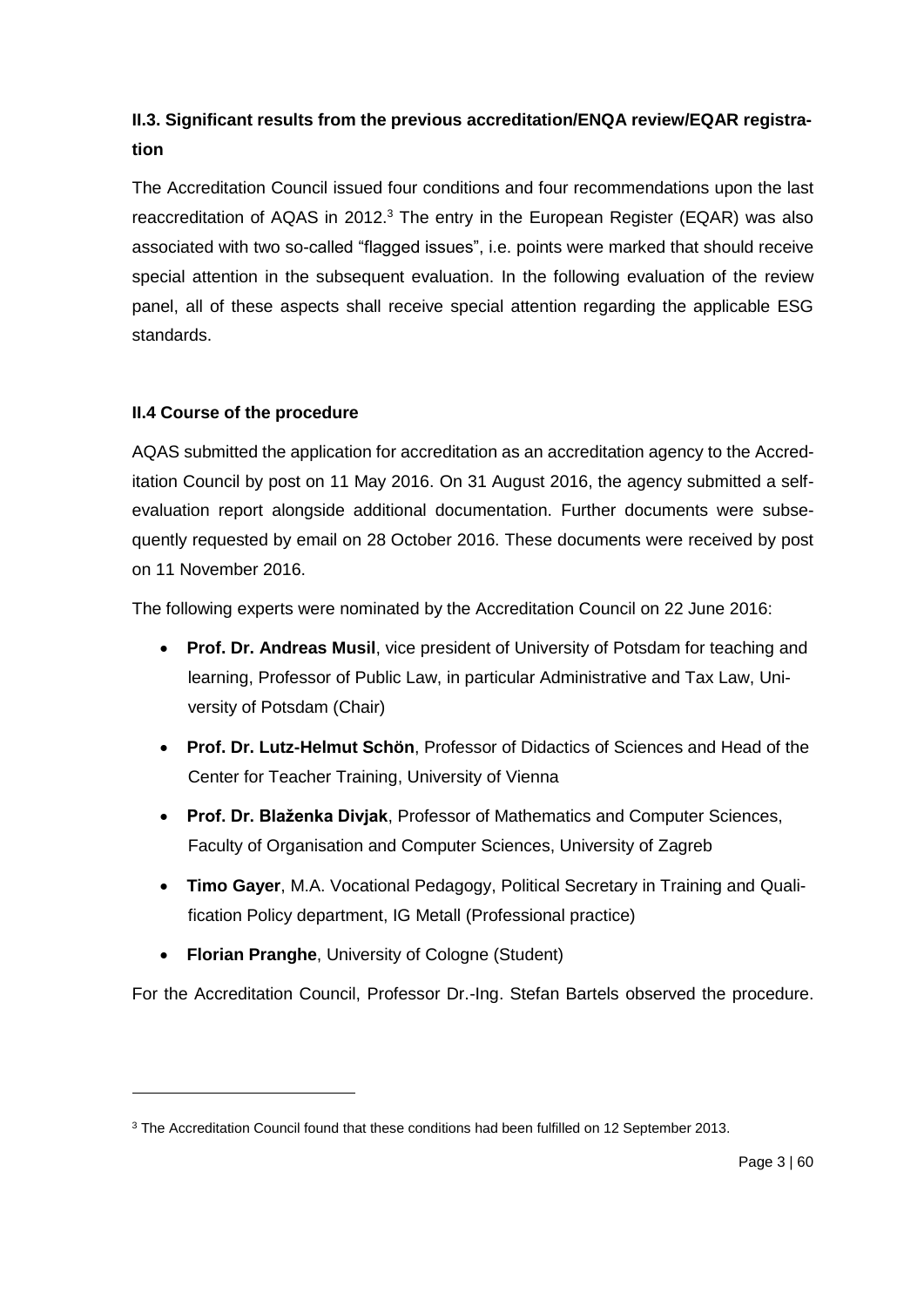# **II.3. Significant results from the previous accreditation/ENQA review/EQAR registration**

The Accreditation Council issued four conditions and four recommendations upon the last reaccreditation of AQAS in 2012. $3$  The entry in the European Register (EQAR) was also associated with two so-called "flagged issues", i.e. points were marked that should receive special attention in the subsequent evaluation. In the following evaluation of the review panel, all of these aspects shall receive special attention regarding the applicable ESG standards.

# **II.4 Course of the procedure**

-

AQAS submitted the application for accreditation as an accreditation agency to the Accreditation Council by post on 11 May 2016. On 31 August 2016, the agency submitted a selfevaluation report alongside additional documentation. Further documents were subsequently requested by email on 28 October 2016. These documents were received by post on 11 November 2016.

The following experts were nominated by the Accreditation Council on 22 June 2016:

- **Prof. Dr. Andreas Musil**, vice president of University of Potsdam for teaching and learning, Professor of Public Law, in particular Administrative and Tax Law, University of Potsdam (Chair)
- **Prof. Dr. Lutz-Helmut Schön**, Professor of Didactics of Sciences and Head of the Center for Teacher Training, University of Vienna
- **Prof. Dr. Blaženka Divjak**, Professor of Mathematics and Computer Sciences, Faculty of Organisation and Computer Sciences, University of Zagreb
- **Timo Gayer**, M.A. Vocational Pedagogy, Political Secretary in Training and Qualification Policy department, IG Metall (Professional practice)
- **Florian Pranghe**, University of Cologne (Student)

For the Accreditation Council, Professor Dr.-Ing. Stefan Bartels observed the procedure.

<sup>&</sup>lt;sup>3</sup> The Accreditation Council found that these conditions had been fulfilled on 12 September 2013.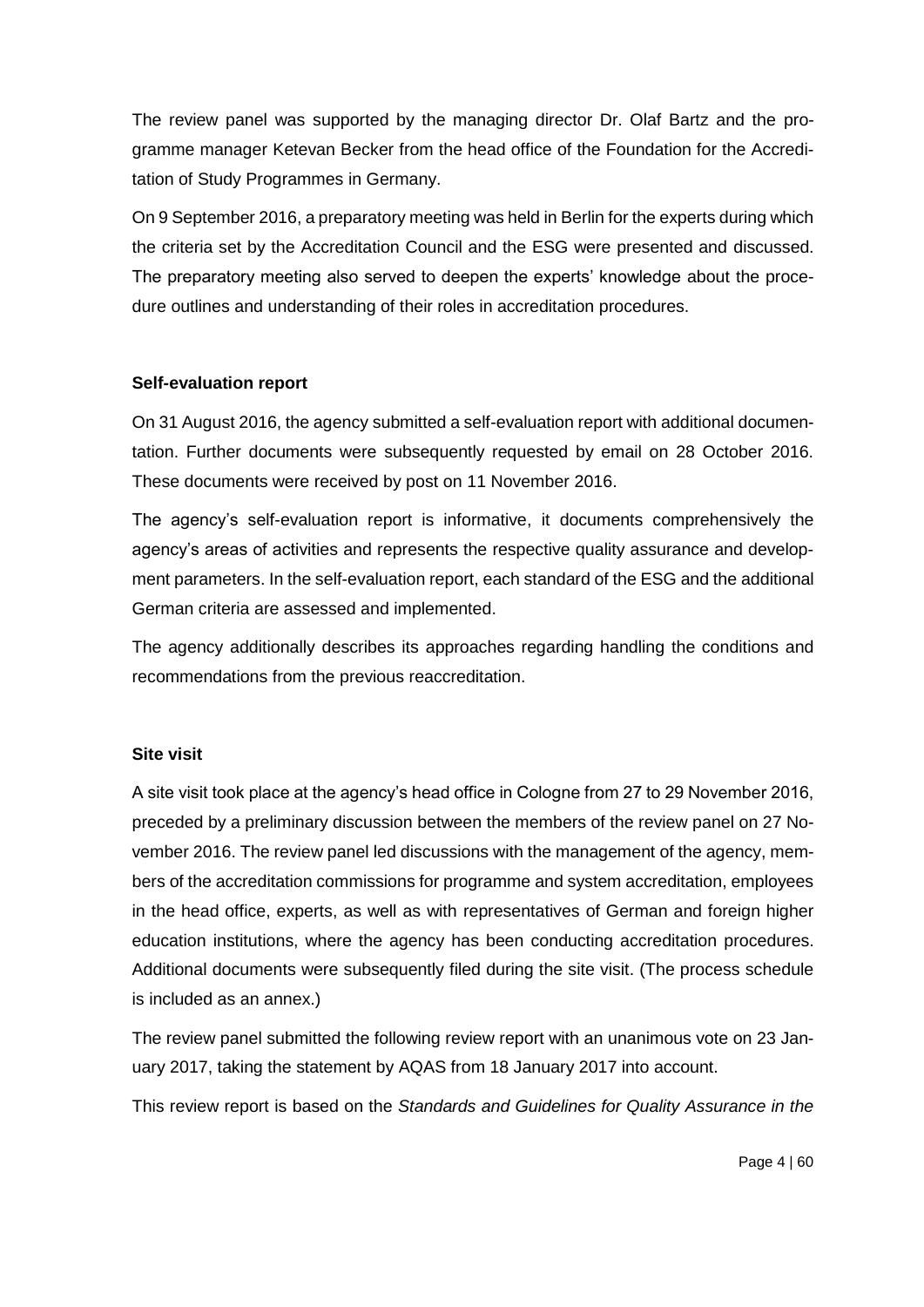The review panel was supported by the managing director Dr. Olaf Bartz and the programme manager Ketevan Becker from the head office of the Foundation for the Accreditation of Study Programmes in Germany.

On 9 September 2016, a preparatory meeting was held in Berlin for the experts during which the criteria set by the Accreditation Council and the ESG were presented and discussed. The preparatory meeting also served to deepen the experts' knowledge about the procedure outlines and understanding of their roles in accreditation procedures.

### **Self-evaluation report**

On 31 August 2016, the agency submitted a self-evaluation report with additional documentation. Further documents were subsequently requested by email on 28 October 2016. These documents were received by post on 11 November 2016.

The agency's self-evaluation report is informative, it documents comprehensively the agency's areas of activities and represents the respective quality assurance and development parameters. In the self-evaluation report, each standard of the ESG and the additional German criteria are assessed and implemented.

The agency additionally describes its approaches regarding handling the conditions and recommendations from the previous reaccreditation.

### **Site visit**

A site visit took place at the agency's head office in Cologne from 27 to 29 November 2016, preceded by a preliminary discussion between the members of the review panel on 27 November 2016. The review panel led discussions with the management of the agency, members of the accreditation commissions for programme and system accreditation, employees in the head office, experts, as well as with representatives of German and foreign higher education institutions, where the agency has been conducting accreditation procedures. Additional documents were subsequently filed during the site visit. (The process schedule is included as an annex.)

The review panel submitted the following review report with an unanimous vote on 23 January 2017, taking the statement by AQAS from 18 January 2017 into account.

This review report is based on the *Standards and Guidelines for Quality Assurance in the*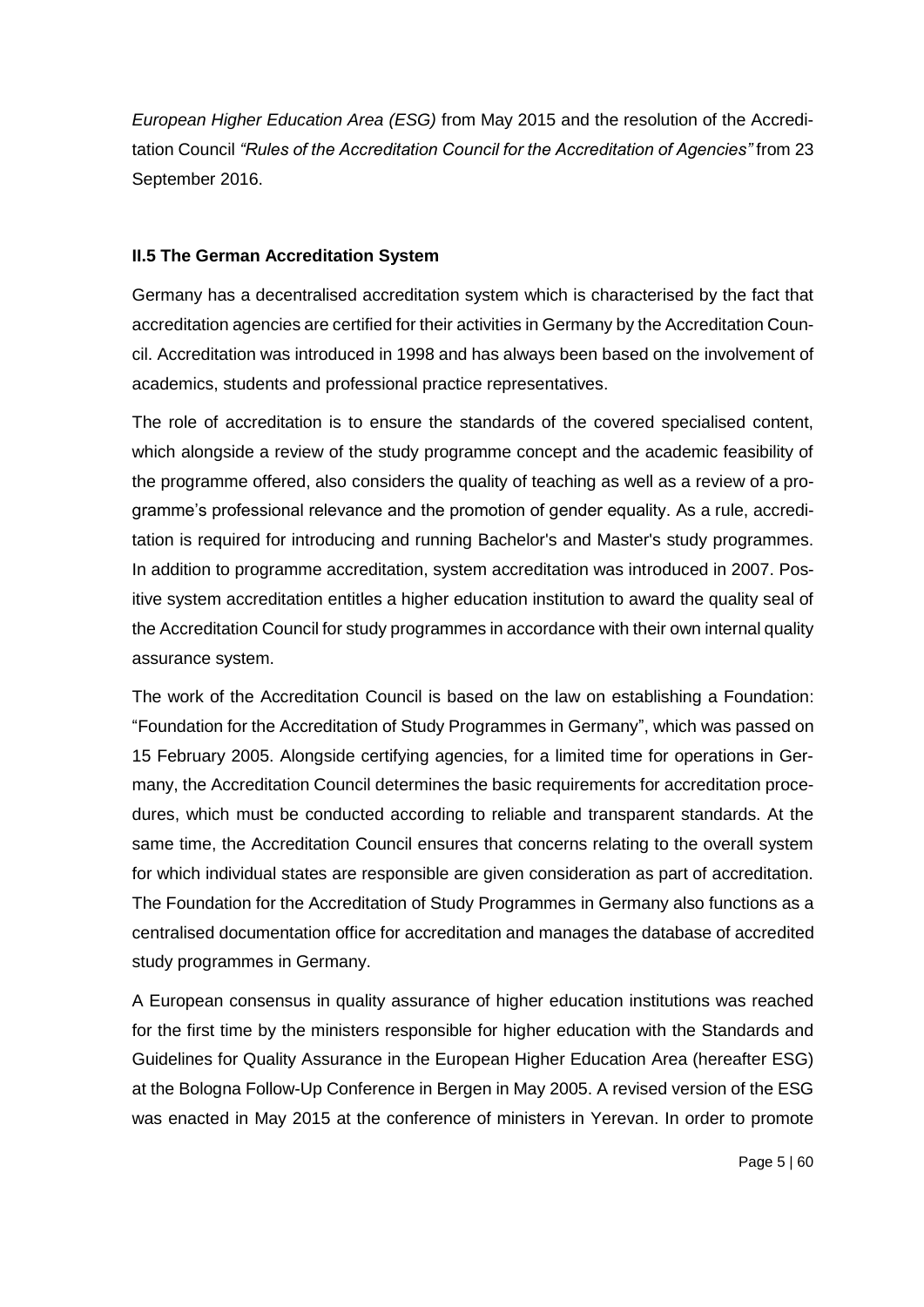*European Higher Education Area (ESG)* from May 2015 and the resolution of the Accreditation Council *"Rules of the Accreditation Council for the Accreditation of Agencies"* from 23 September 2016.

#### **II.5 The German Accreditation System**

Germany has a decentralised accreditation system which is characterised by the fact that accreditation agencies are certified for their activities in Germany by the Accreditation Council. Accreditation was introduced in 1998 and has always been based on the involvement of academics, students and professional practice representatives.

The role of accreditation is to ensure the standards of the covered specialised content, which alongside a review of the study programme concept and the academic feasibility of the programme offered, also considers the quality of teaching as well as a review of a programme's professional relevance and the promotion of gender equality. As a rule, accreditation is required for introducing and running Bachelor's and Master's study programmes. In addition to programme accreditation, system accreditation was introduced in 2007. Positive system accreditation entitles a higher education institution to award the quality seal of the Accreditation Council for study programmes in accordance with their own internal quality assurance system.

The work of the Accreditation Council is based on the law on establishing a Foundation: "Foundation for the Accreditation of Study Programmes in Germany", which was passed on 15 February 2005. Alongside certifying agencies, for a limited time for operations in Germany, the Accreditation Council determines the basic requirements for accreditation procedures, which must be conducted according to reliable and transparent standards. At the same time, the Accreditation Council ensures that concerns relating to the overall system for which individual states are responsible are given consideration as part of accreditation. The Foundation for the Accreditation of Study Programmes in Germany also functions as a centralised documentation office for accreditation and manages the database of accredited study programmes in Germany.

A European consensus in quality assurance of higher education institutions was reached for the first time by the ministers responsible for higher education with the Standards and Guidelines for Quality Assurance in the European Higher Education Area (hereafter ESG) at the Bologna Follow-Up Conference in Bergen in May 2005. A revised version of the ESG was enacted in May 2015 at the conference of ministers in Yerevan. In order to promote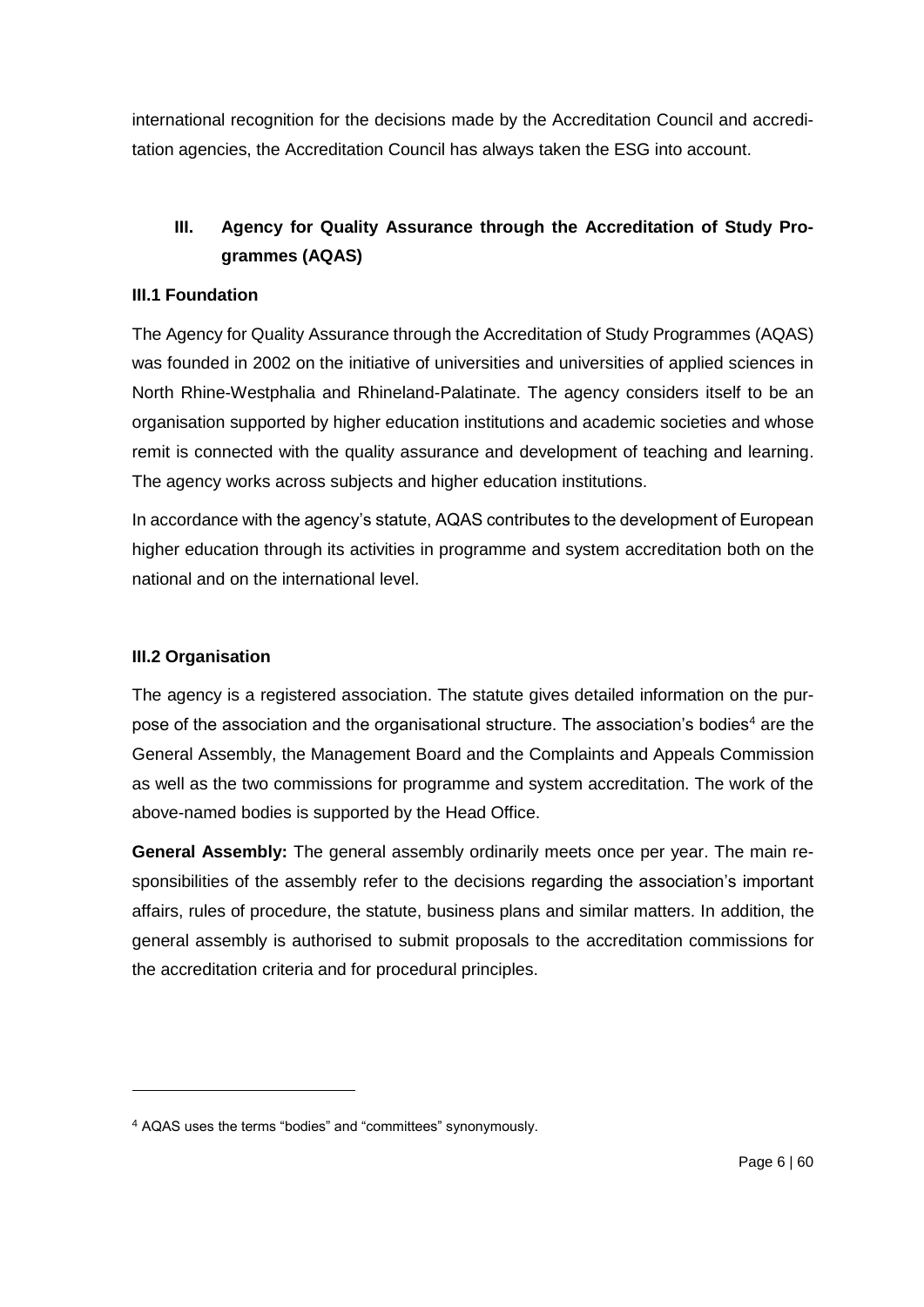international recognition for the decisions made by the Accreditation Council and accreditation agencies, the Accreditation Council has always taken the ESG into account.

# **III. Agency for Quality Assurance through the Accreditation of Study Programmes (AQAS)**

## **III.1 Foundation**

The Agency for Quality Assurance through the Accreditation of Study Programmes (AQAS) was founded in 2002 on the initiative of universities and universities of applied sciences in North Rhine-Westphalia and Rhineland-Palatinate. The agency considers itself to be an organisation supported by higher education institutions and academic societies and whose remit is connected with the quality assurance and development of teaching and learning. The agency works across subjects and higher education institutions.

In accordance with the agency's statute, AQAS contributes to the development of European higher education through its activities in programme and system accreditation both on the national and on the international level.

# **III.2 Organisation**

1

The agency is a registered association. The statute gives detailed information on the purpose of the association and the organisational structure. The association's bodies<sup>4</sup> are the General Assembly, the Management Board and the Complaints and Appeals Commission as well as the two commissions for programme and system accreditation. The work of the above-named bodies is supported by the Head Office.

**General Assembly:** The general assembly ordinarily meets once per year. The main responsibilities of the assembly refer to the decisions regarding the association's important affairs, rules of procedure, the statute, business plans and similar matters. In addition, the general assembly is authorised to submit proposals to the accreditation commissions for the accreditation criteria and for procedural principles.

<sup>4</sup> AQAS uses the terms "bodies" and "committees" synonymously.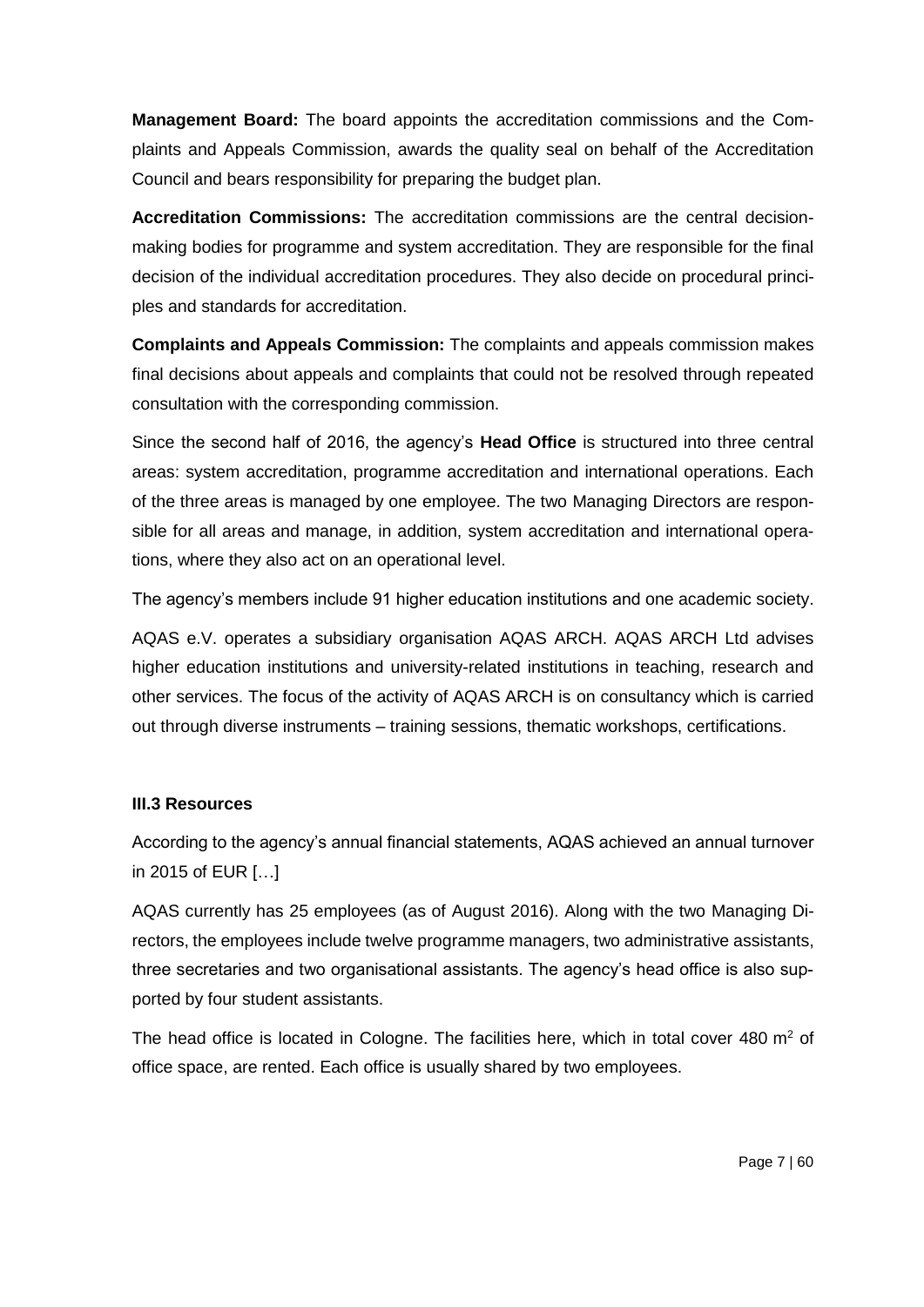**Management Board:** The board appoints the accreditation commissions and the Complaints and Appeals Commission, awards the quality seal on behalf of the Accreditation Council and bears responsibility for preparing the budget plan.

**Accreditation Commissions:** The accreditation commissions are the central decisionmaking bodies for programme and system accreditation. They are responsible for the final decision of the individual accreditation procedures. They also decide on procedural principles and standards for accreditation.

**Complaints and Appeals Commission:** The complaints and appeals commission makes final decisions about appeals and complaints that could not be resolved through repeated consultation with the corresponding commission.

Since the second half of 2016, the agency's **Head Office** is structured into three central areas: system accreditation, programme accreditation and international operations. Each of the three areas is managed by one employee. The two Managing Directors are responsible for all areas and manage, in addition, system accreditation and international operations, where they also act on an operational level.

The agency's members include 91 higher education institutions and one academic society.

AQAS e.V. operates a subsidiary organisation AQAS ARCH. AQAS ARCH Ltd advises higher education institutions and university-related institutions in teaching, research and other services. The focus of the activity of AQAS ARCH is on consultancy which is carried out through diverse instruments – training sessions, thematic workshops, certifications.

### **III.3 Resources**

According to the agency's annual financial statements, AQAS achieved an annual turnover in 2015 of EUR […]

AQAS currently has 25 employees (as of August 2016). Along with the two Managing Directors, the employees include twelve programme managers, two administrative assistants, three secretaries and two organisational assistants. The agency's head office is also supported by four student assistants.

The head office is located in Cologne. The facilities here, which in total cover  $480 \text{ m}^2$  of office space, are rented. Each office is usually shared by two employees.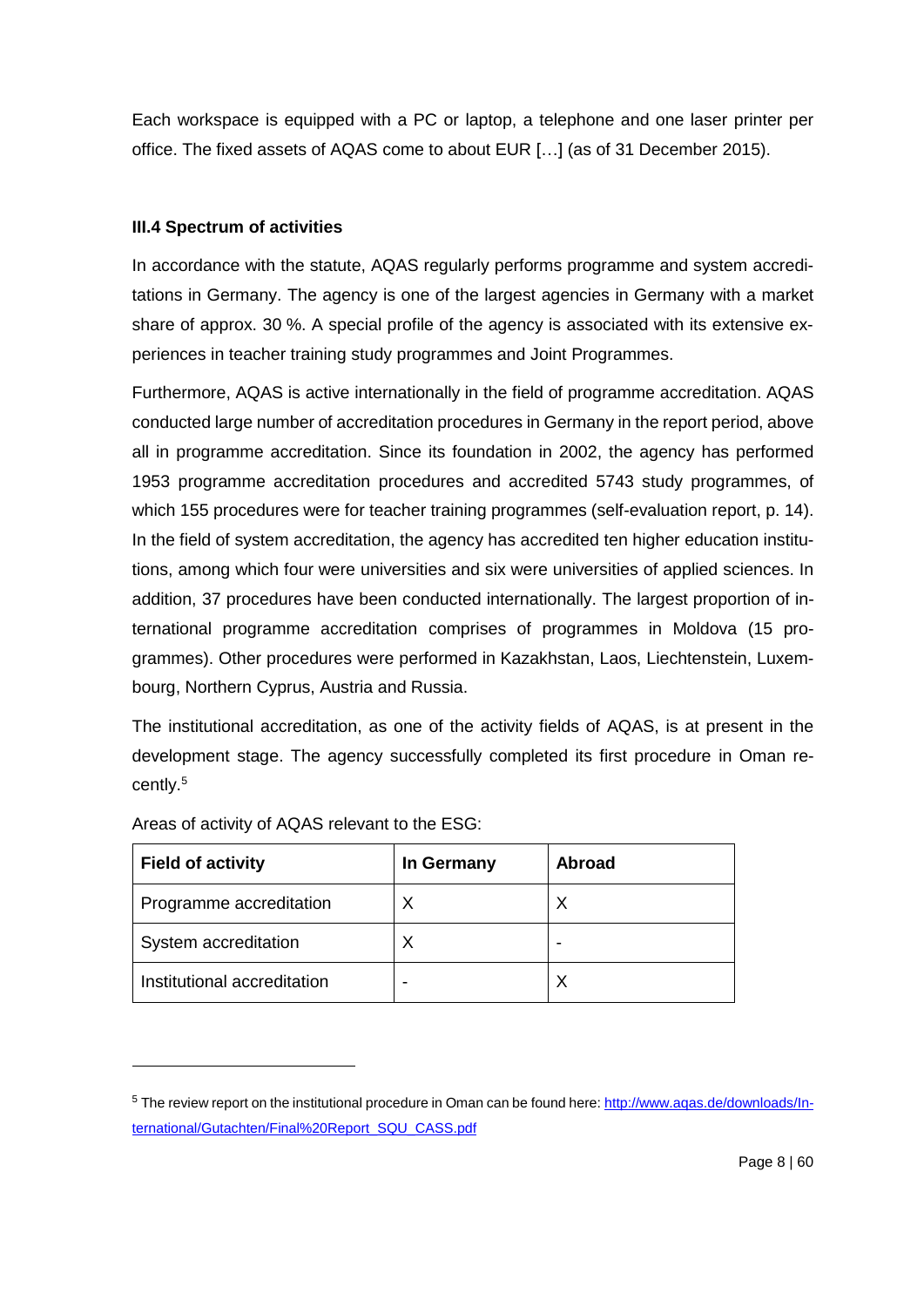Each workspace is equipped with a PC or laptop, a telephone and one laser printer per office. The fixed assets of AQAS come to about EUR […] (as of 31 December 2015).

# **III.4 Spectrum of activities**

In accordance with the statute, AQAS regularly performs programme and system accreditations in Germany. The agency is one of the largest agencies in Germany with a market share of approx. 30 %. A special profile of the agency is associated with its extensive experiences in teacher training study programmes and Joint Programmes.

Furthermore, AQAS is active internationally in the field of programme accreditation. AQAS conducted large number of accreditation procedures in Germany in the report period, above all in programme accreditation. Since its foundation in 2002, the agency has performed 1953 programme accreditation procedures and accredited 5743 study programmes, of which 155 procedures were for teacher training programmes (self-evaluation report, p. 14). In the field of system accreditation, the agency has accredited ten higher education institutions, among which four were universities and six were universities of applied sciences. In addition, 37 procedures have been conducted internationally. The largest proportion of international programme accreditation comprises of programmes in Moldova (15 programmes). Other procedures were performed in Kazakhstan, Laos, Liechtenstein, Luxembourg, Northern Cyprus, Austria and Russia.

The institutional accreditation, as one of the activity fields of AQAS, is at present in the development stage. The agency successfully completed its first procedure in Oman recently. 5

| <b>Field of activity</b>    | In Germany | Abroad |
|-----------------------------|------------|--------|
| Programme accreditation     | X          | Х      |
| System accreditation        | Χ          |        |
| Institutional accreditation |            | Х      |

Areas of activity of AQAS relevant to the ESG:

 $\overline{a}$ 

<sup>5</sup> The review report on the institutional procedure in Oman can be found here[: http://www.aqas.de/downloads/In](http://www.aqas.de/downloads/International/Gutachten/Final%20Report_SQU_CASS.pdf)[ternational/Gutachten/Final%20Report\\_SQU\\_CASS.pdf](http://www.aqas.de/downloads/International/Gutachten/Final%20Report_SQU_CASS.pdf)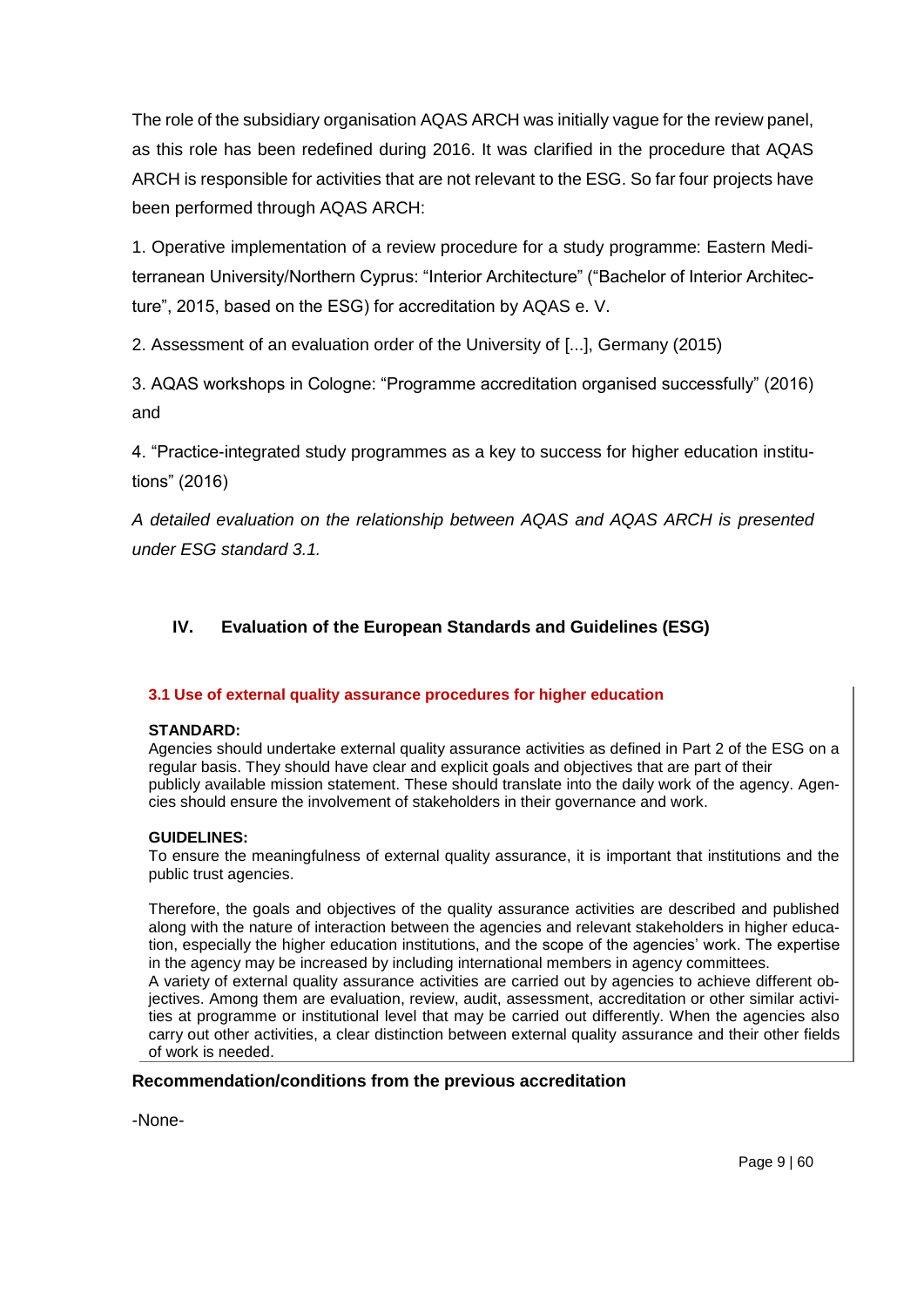The role of the subsidiary organisation AQAS ARCH was initially vague for the review panel, as this role has been redefined during 2016. It was clarified in the procedure that AQAS ARCH is responsible for activities that are not relevant to the ESG. So far four projects have been performed through AQAS ARCH:

1. Operative implementation of a review procedure for a study programme: Eastern Mediterranean University/Northern Cyprus: "Interior Architecture" ("Bachelor of Interior Architecture", 2015, based on the ESG) for accreditation by AQAS e. V.

2. Assessment of an evaluation order of the University of [...], Germany (2015)

3. AQAS workshops in Cologne: "Programme accreditation organised successfully" (2016) and

4. "Practice-integrated study programmes as a key to success for higher education institutions" (2016)

*A detailed evaluation on the relationship between AQAS and AQAS ARCH is presented under ESG standard 3.1.* 

# **IV. Evaluation of the European Standards and Guidelines (ESG)**

### **3.1 Use of external quality assurance procedures for higher education**

### **STANDARD:**

Agencies should undertake external quality assurance activities as defined in Part 2 of the ESG on a regular basis. They should have clear and explicit goals and objectives that are part of their publicly available mission statement. These should translate into the daily work of the agency. Agencies should ensure the involvement of stakeholders in their governance and work.

### **GUIDELINES:**

To ensure the meaningfulness of external quality assurance, it is important that institutions and the public trust agencies.

Therefore, the goals and objectives of the quality assurance activities are described and published along with the nature of interaction between the agencies and relevant stakeholders in higher education, especially the higher education institutions, and the scope of the agencies' work. The expertise in the agency may be increased by including international members in agency committees. A variety of external quality assurance activities are carried out by agencies to achieve different objectives. Among them are evaluation, review, audit, assessment, accreditation or other similar activities at programme or institutional level that may be carried out differently. When the agencies also carry out other activities, a clear distinction between external quality assurance and their other fields of work is needed.

# **Recommendation/conditions from the previous accreditation**

-None-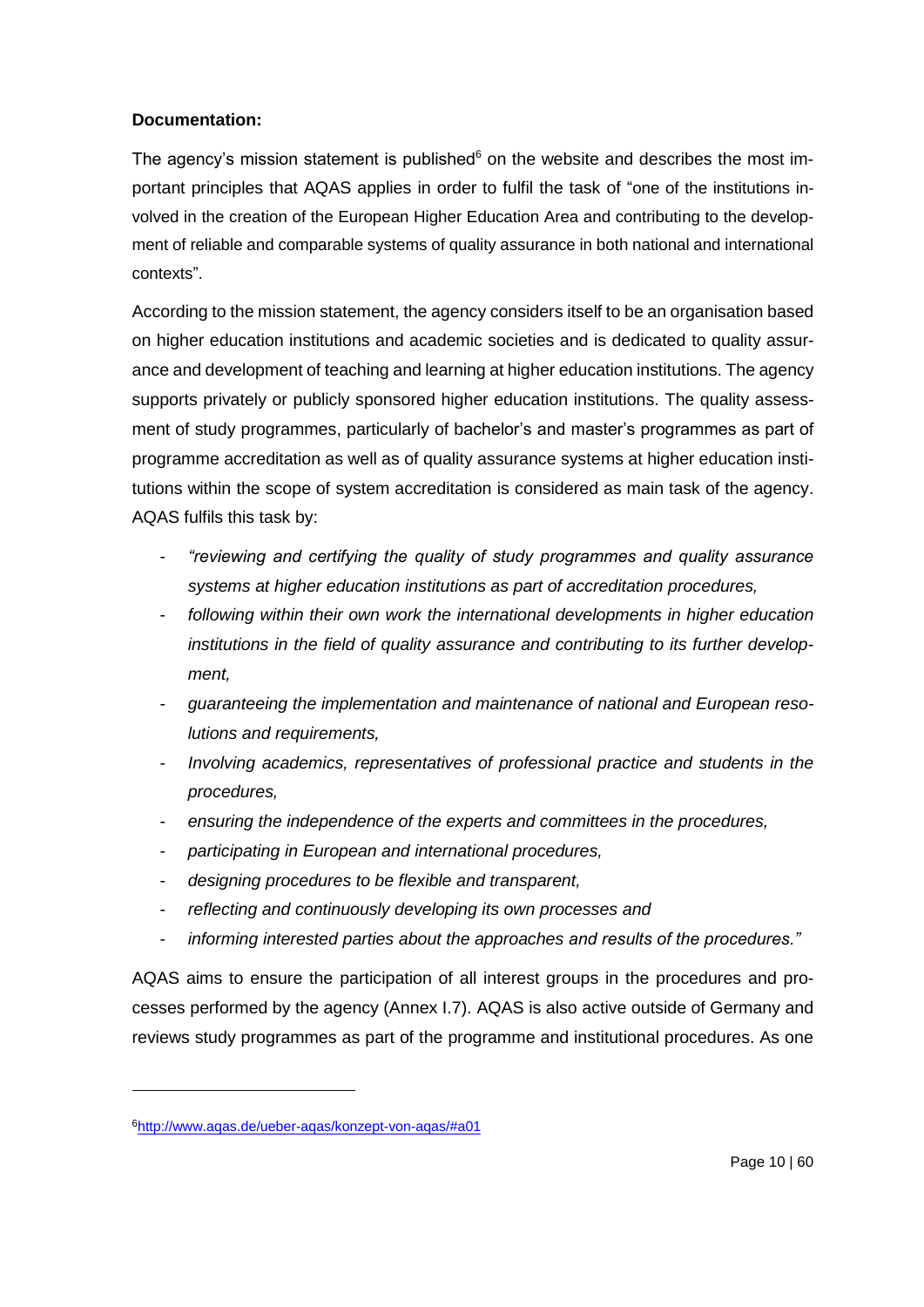# **Documentation:**

The agency's mission statement is published $6$  on the website and describes the most important principles that AQAS applies in order to fulfil the task of "one of the institutions involved in the creation of the European Higher Education Area and contributing to the development of reliable and comparable systems of quality assurance in both national and international contexts".

According to the mission statement, the agency considers itself to be an organisation based on higher education institutions and academic societies and is dedicated to quality assurance and development of teaching and learning at higher education institutions. The agency supports privately or publicly sponsored higher education institutions. The quality assessment of study programmes, particularly of bachelor's and master's programmes as part of programme accreditation as well as of quality assurance systems at higher education institutions within the scope of system accreditation is considered as main task of the agency. AQAS fulfils this task by:

- *"reviewing and certifying the quality of study programmes and quality assurance systems at higher education institutions as part of accreditation procedures,*
- following within their own work the international developments in higher education *institutions in the field of quality assurance and contributing to its further development,*
- *guaranteeing the implementation and maintenance of national and European resolutions and requirements,*
- *Involving academics, representatives of professional practice and students in the procedures,*
- *ensuring the independence of the experts and committees in the procedures,*
- *participating in European and international procedures,*
- *designing procedures to be flexible and transparent,*
- reflecting and continuously developing its own processes and
- *informing interested parties about the approaches and results of the procedures."*

AQAS aims to ensure the participation of all interest groups in the procedures and processes performed by the agency (Annex I.7). AQAS is also active outside of Germany and reviews study programmes as part of the programme and institutional procedures. As one

1

<sup>6</sup><http://www.aqas.de/ueber-aqas/konzept-von-aqas/#a01>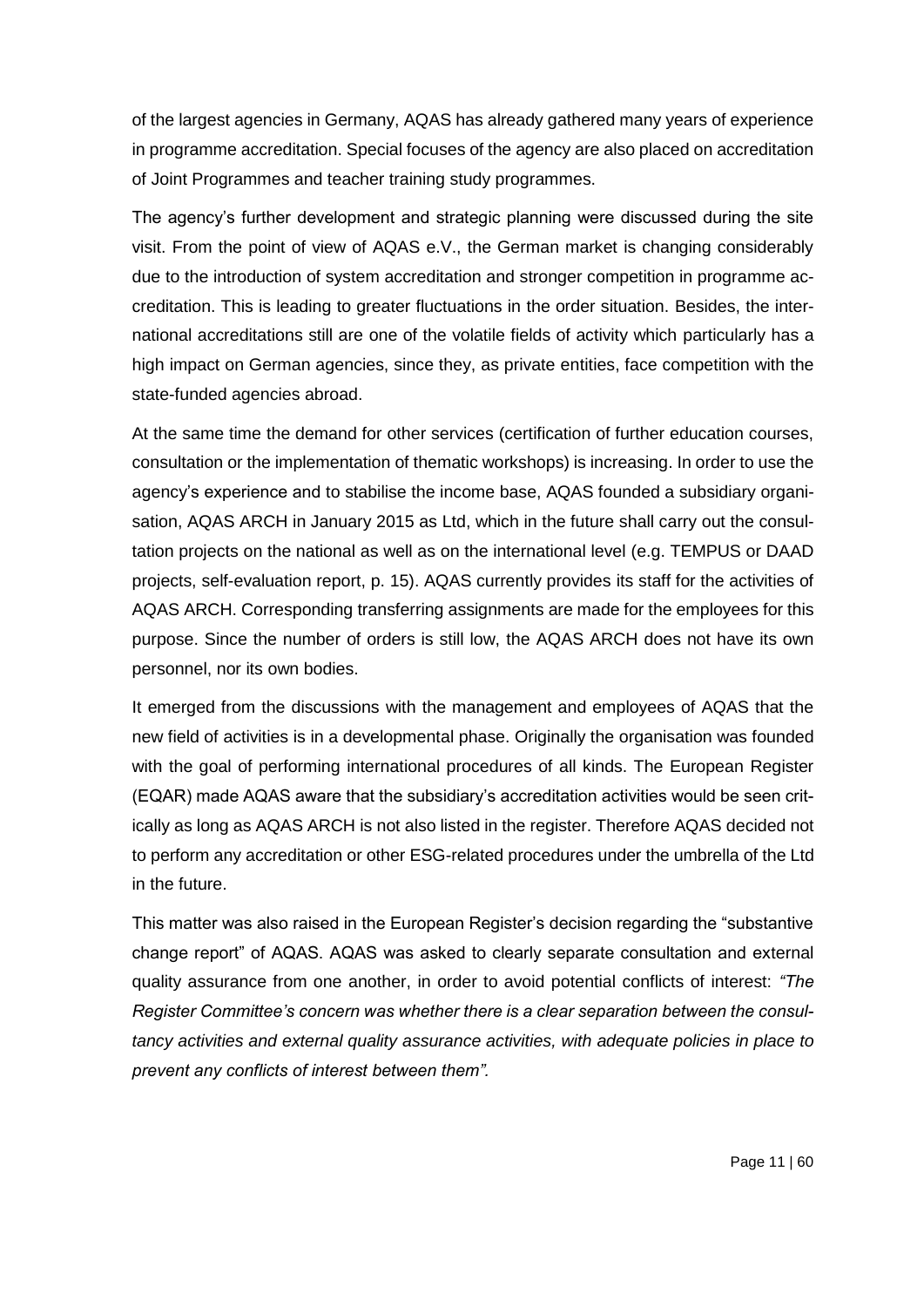of the largest agencies in Germany, AQAS has already gathered many years of experience in programme accreditation. Special focuses of the agency are also placed on accreditation of Joint Programmes and teacher training study programmes.

The agency's further development and strategic planning were discussed during the site visit. From the point of view of AQAS e.V., the German market is changing considerably due to the introduction of system accreditation and stronger competition in programme accreditation. This is leading to greater fluctuations in the order situation. Besides, the international accreditations still are one of the volatile fields of activity which particularly has a high impact on German agencies, since they, as private entities, face competition with the state-funded agencies abroad.

At the same time the demand for other services (certification of further education courses, consultation or the implementation of thematic workshops) is increasing. In order to use the agency's experience and to stabilise the income base, AQAS founded a subsidiary organisation, AQAS ARCH in January 2015 as Ltd, which in the future shall carry out the consultation projects on the national as well as on the international level (e.g. TEMPUS or DAAD projects, self-evaluation report, p. 15). AQAS currently provides its staff for the activities of AQAS ARCH. Corresponding transferring assignments are made for the employees for this purpose. Since the number of orders is still low, the AQAS ARCH does not have its own personnel, nor its own bodies.

It emerged from the discussions with the management and employees of AQAS that the new field of activities is in a developmental phase. Originally the organisation was founded with the goal of performing international procedures of all kinds. The European Register (EQAR) made AQAS aware that the subsidiary's accreditation activities would be seen critically as long as AQAS ARCH is not also listed in the register. Therefore AQAS decided not to perform any accreditation or other ESG-related procedures under the umbrella of the Ltd in the future.

This matter was also raised in the European Register's decision regarding the "substantive change report" of AQAS. AQAS was asked to clearly separate consultation and external quality assurance from one another, in order to avoid potential conflicts of interest: *"The Register Committee's concern was whether there is a clear separation between the consultancy activities and external quality assurance activities, with adequate policies in place to prevent any conflicts of interest between them".*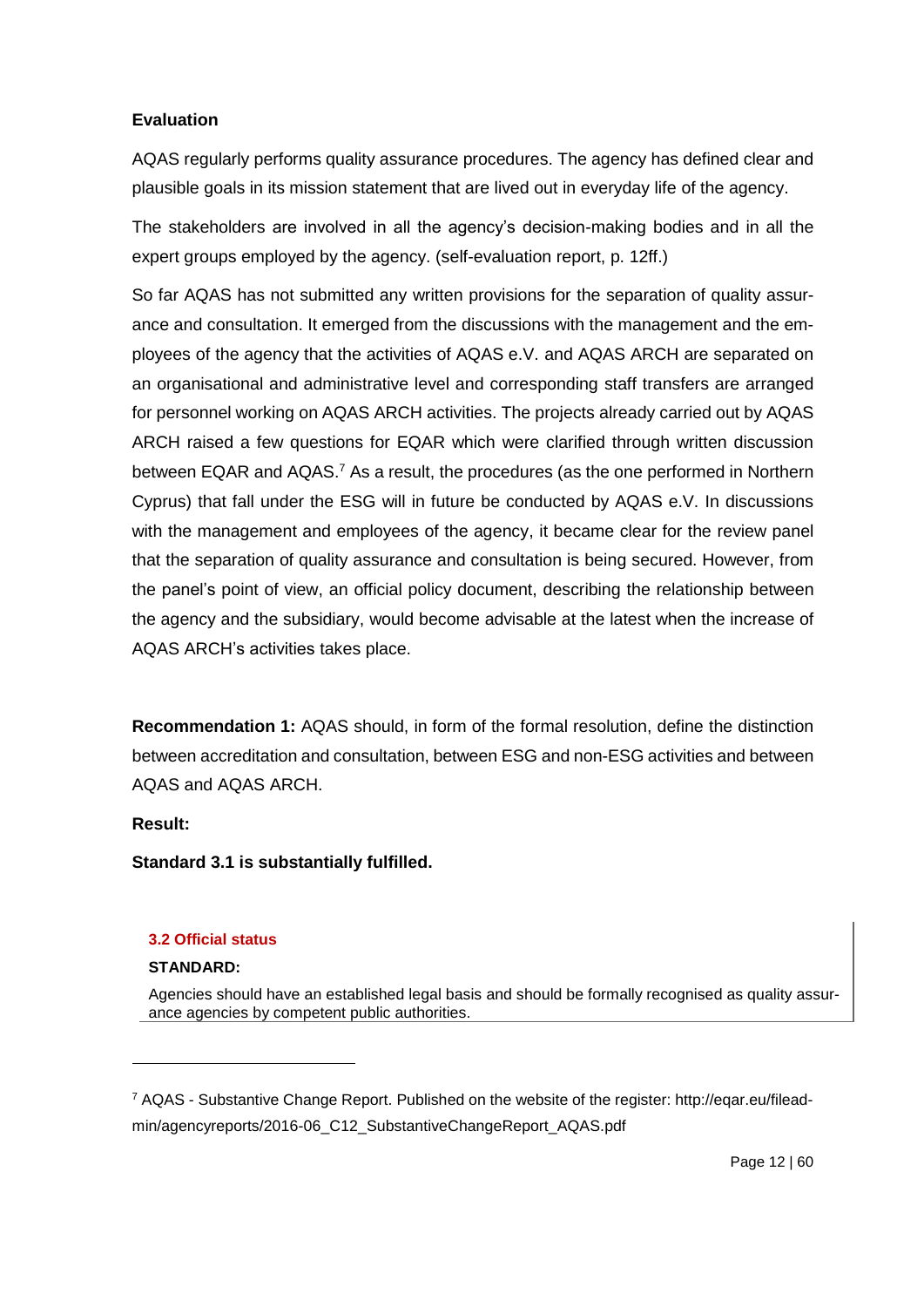AQAS regularly performs quality assurance procedures. The agency has defined clear and plausible goals in its mission statement that are lived out in everyday life of the agency.

The stakeholders are involved in all the agency's decision-making bodies and in all the expert groups employed by the agency. (self-evaluation report, p. 12ff.)

So far AQAS has not submitted any written provisions for the separation of quality assurance and consultation. It emerged from the discussions with the management and the employees of the agency that the activities of AQAS e.V. and AQAS ARCH are separated on an organisational and administrative level and corresponding staff transfers are arranged for personnel working on AQAS ARCH activities. The projects already carried out by AQAS ARCH raised a few questions for EQAR which were clarified through written discussion between EQAR and AQAS.<sup>7</sup> As a result, the procedures (as the one performed in Northern Cyprus) that fall under the ESG will in future be conducted by AQAS e.V. In discussions with the management and employees of the agency, it became clear for the review panel that the separation of quality assurance and consultation is being secured. However, from the panel's point of view, an official policy document, describing the relationship between the agency and the subsidiary, would become advisable at the latest when the increase of AQAS ARCH's activities takes place.

**Recommendation 1:** AQAS should, in form of the formal resolution, define the distinction between accreditation and consultation, between ESG and non-ESG activities and between AQAS and AQAS ARCH.

### **Result:**

1

**Standard 3.1 is substantially fulfilled.** 

### **3.2 Official status**

### **STANDARD:**

Agencies should have an established legal basis and should be formally recognised as quality assurance agencies by competent public authorities.

<sup>7</sup> AQAS - Substantive Change Report. Published on the website of the register: http://eqar.eu/fileadmin/agencyreports/2016-06\_C12\_SubstantiveChangeReport\_AQAS.pdf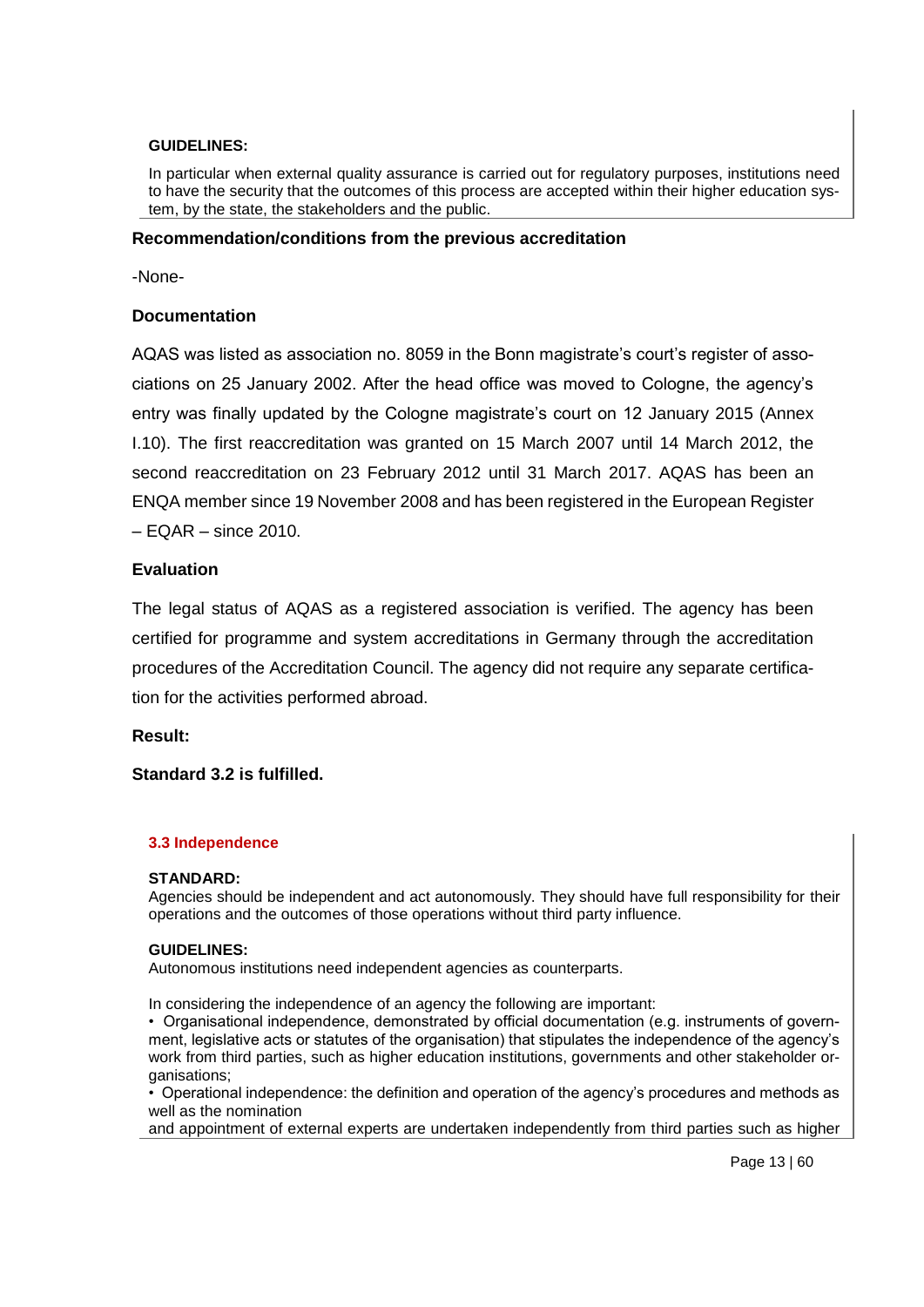#### **GUIDELINES:**

In particular when external quality assurance is carried out for regulatory purposes, institutions need to have the security that the outcomes of this process are accepted within their higher education system, by the state, the stakeholders and the public.

#### **Recommendation/conditions from the previous accreditation**

-None-

### **Documentation**

AQAS was listed as association no. 8059 in the Bonn magistrate's court's register of associations on 25 January 2002. After the head office was moved to Cologne, the agency's entry was finally updated by the Cologne magistrate's court on 12 January 2015 (Annex I.10). The first reaccreditation was granted on 15 March 2007 until 14 March 2012, the second reaccreditation on 23 February 2012 until 31 March 2017. AQAS has been an ENQA member since 19 November 2008 and has been registered in the European Register  $-$  EQAR  $-$  since 2010.

### **Evaluation**

The legal status of AQAS as a registered association is verified. The agency has been certified for programme and system accreditations in Germany through the accreditation procedures of the Accreditation Council. The agency did not require any separate certification for the activities performed abroad.

### **Result:**

### **Standard 3.2 is fulfilled.**

#### **3.3 Independence**

#### **STANDARD:**

Agencies should be independent and act autonomously. They should have full responsibility for their operations and the outcomes of those operations without third party influence.

#### **GUIDELINES:**

Autonomous institutions need independent agencies as counterparts.

In considering the independence of an agency the following are important:

• Organisational independence, demonstrated by official documentation (e.g. instruments of government, legislative acts or statutes of the organisation) that stipulates the independence of the agency's work from third parties, such as higher education institutions, governments and other stakeholder organisations;

• Operational independence: the definition and operation of the agency's procedures and methods as well as the nomination

and appointment of external experts are undertaken independently from third parties such as higher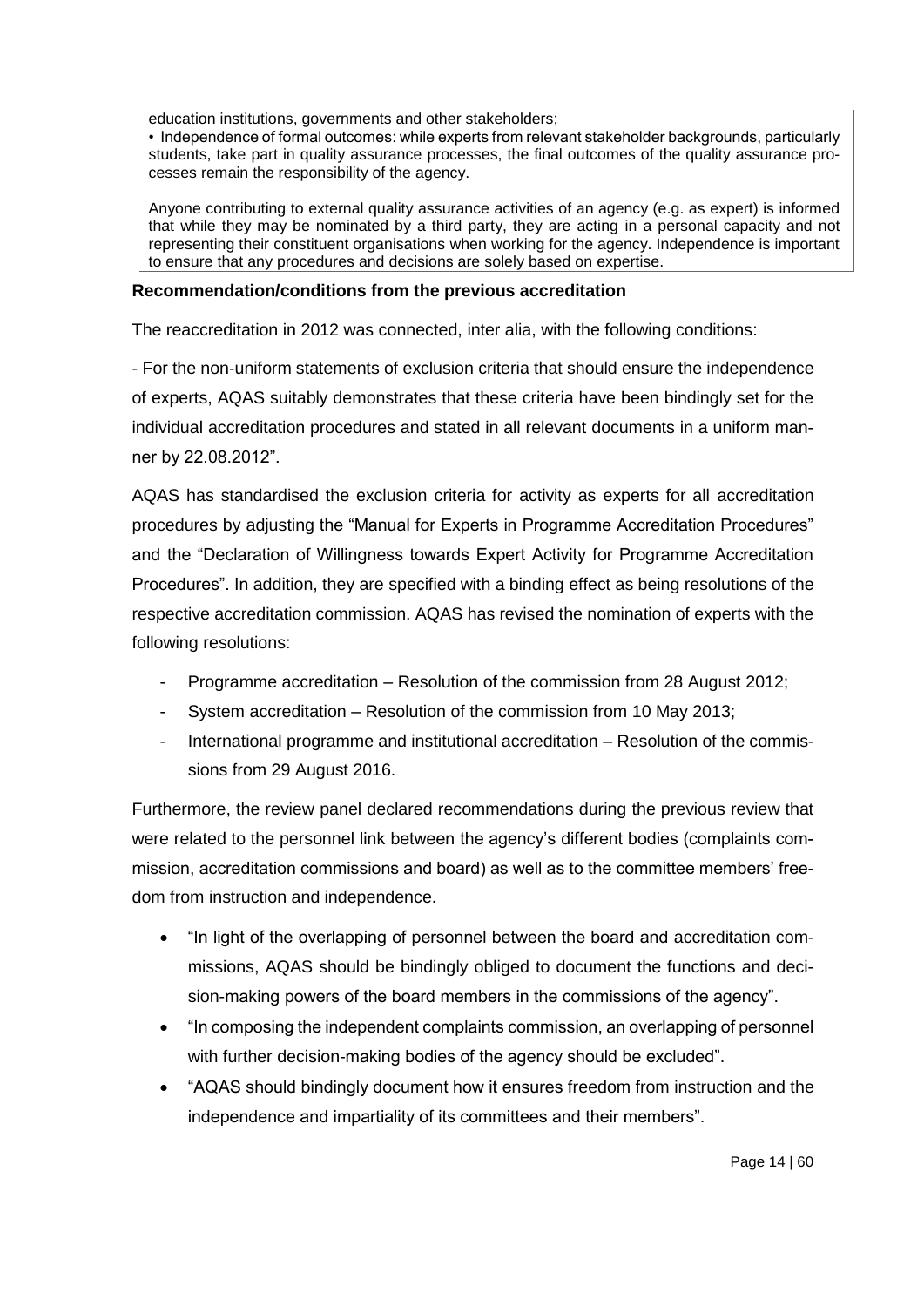education institutions, governments and other stakeholders;

• Independence of formal outcomes: while experts from relevant stakeholder backgrounds, particularly students, take part in quality assurance processes, the final outcomes of the quality assurance processes remain the responsibility of the agency.

Anyone contributing to external quality assurance activities of an agency (e.g. as expert) is informed that while they may be nominated by a third party, they are acting in a personal capacity and not representing their constituent organisations when working for the agency. Independence is important to ensure that any procedures and decisions are solely based on expertise.

#### **Recommendation/conditions from the previous accreditation**

The reaccreditation in 2012 was connected, inter alia, with the following conditions:

- For the non-uniform statements of exclusion criteria that should ensure the independence of experts, AQAS suitably demonstrates that these criteria have been bindingly set for the individual accreditation procedures and stated in all relevant documents in a uniform manner by 22.08.2012".

AQAS has standardised the exclusion criteria for activity as experts for all accreditation procedures by adjusting the "Manual for Experts in Programme Accreditation Procedures" and the "Declaration of Willingness towards Expert Activity for Programme Accreditation Procedures". In addition, they are specified with a binding effect as being resolutions of the respective accreditation commission. AQAS has revised the nomination of experts with the following resolutions:

- Programme accreditation Resolution of the commission from 28 August 2012;
- System accreditation Resolution of the commission from 10 May 2013;
- International programme and institutional accreditation Resolution of the commissions from 29 August 2016.

Furthermore, the review panel declared recommendations during the previous review that were related to the personnel link between the agency's different bodies (complaints commission, accreditation commissions and board) as well as to the committee members' freedom from instruction and independence.

- "In light of the overlapping of personnel between the board and accreditation commissions, AQAS should be bindingly obliged to document the functions and decision-making powers of the board members in the commissions of the agency".
- "In composing the independent complaints commission, an overlapping of personnel with further decision-making bodies of the agency should be excluded".
- "AQAS should bindingly document how it ensures freedom from instruction and the independence and impartiality of its committees and their members".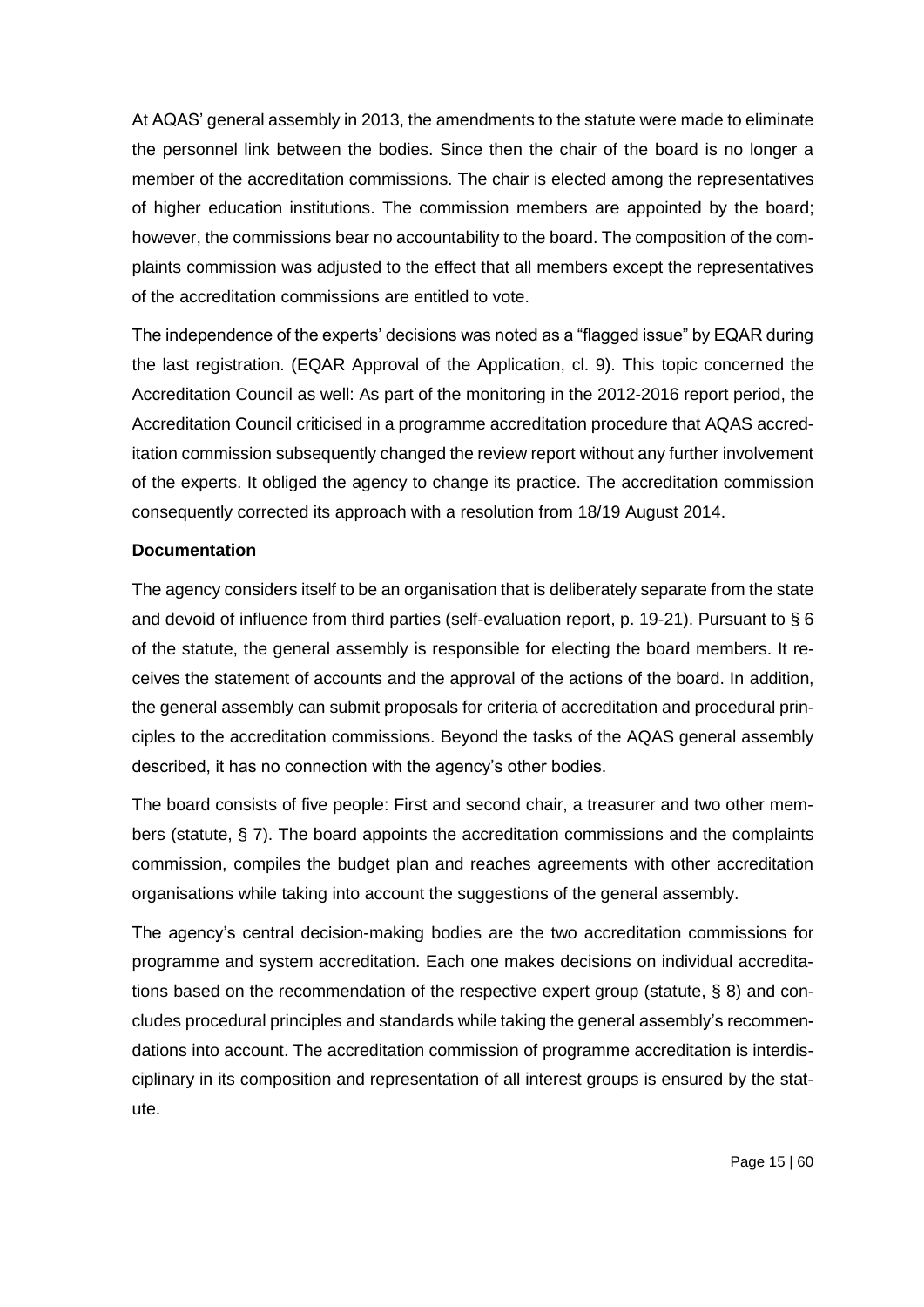At AQAS' general assembly in 2013, the amendments to the statute were made to eliminate the personnel link between the bodies. Since then the chair of the board is no longer a member of the accreditation commissions. The chair is elected among the representatives of higher education institutions. The commission members are appointed by the board; however, the commissions bear no accountability to the board. The composition of the complaints commission was adjusted to the effect that all members except the representatives of the accreditation commissions are entitled to vote.

The independence of the experts' decisions was noted as a "flagged issue" by EQAR during the last registration. (EQAR Approval of the Application, cl. 9). This topic concerned the Accreditation Council as well: As part of the monitoring in the 2012-2016 report period, the Accreditation Council criticised in a programme accreditation procedure that AQAS accreditation commission subsequently changed the review report without any further involvement of the experts. It obliged the agency to change its practice. The accreditation commission consequently corrected its approach with a resolution from 18/19 August 2014.

## **Documentation**

The agency considers itself to be an organisation that is deliberately separate from the state and devoid of influence from third parties (self-evaluation report, p. 19-21). Pursuant to § 6 of the statute, the general assembly is responsible for electing the board members. It receives the statement of accounts and the approval of the actions of the board. In addition, the general assembly can submit proposals for criteria of accreditation and procedural principles to the accreditation commissions. Beyond the tasks of the AQAS general assembly described, it has no connection with the agency's other bodies.

The board consists of five people: First and second chair, a treasurer and two other members (statute, § 7). The board appoints the accreditation commissions and the complaints commission, compiles the budget plan and reaches agreements with other accreditation organisations while taking into account the suggestions of the general assembly.

The agency's central decision-making bodies are the two accreditation commissions for programme and system accreditation. Each one makes decisions on individual accreditations based on the recommendation of the respective expert group (statute, § 8) and concludes procedural principles and standards while taking the general assembly's recommendations into account. The accreditation commission of programme accreditation is interdisciplinary in its composition and representation of all interest groups is ensured by the statute.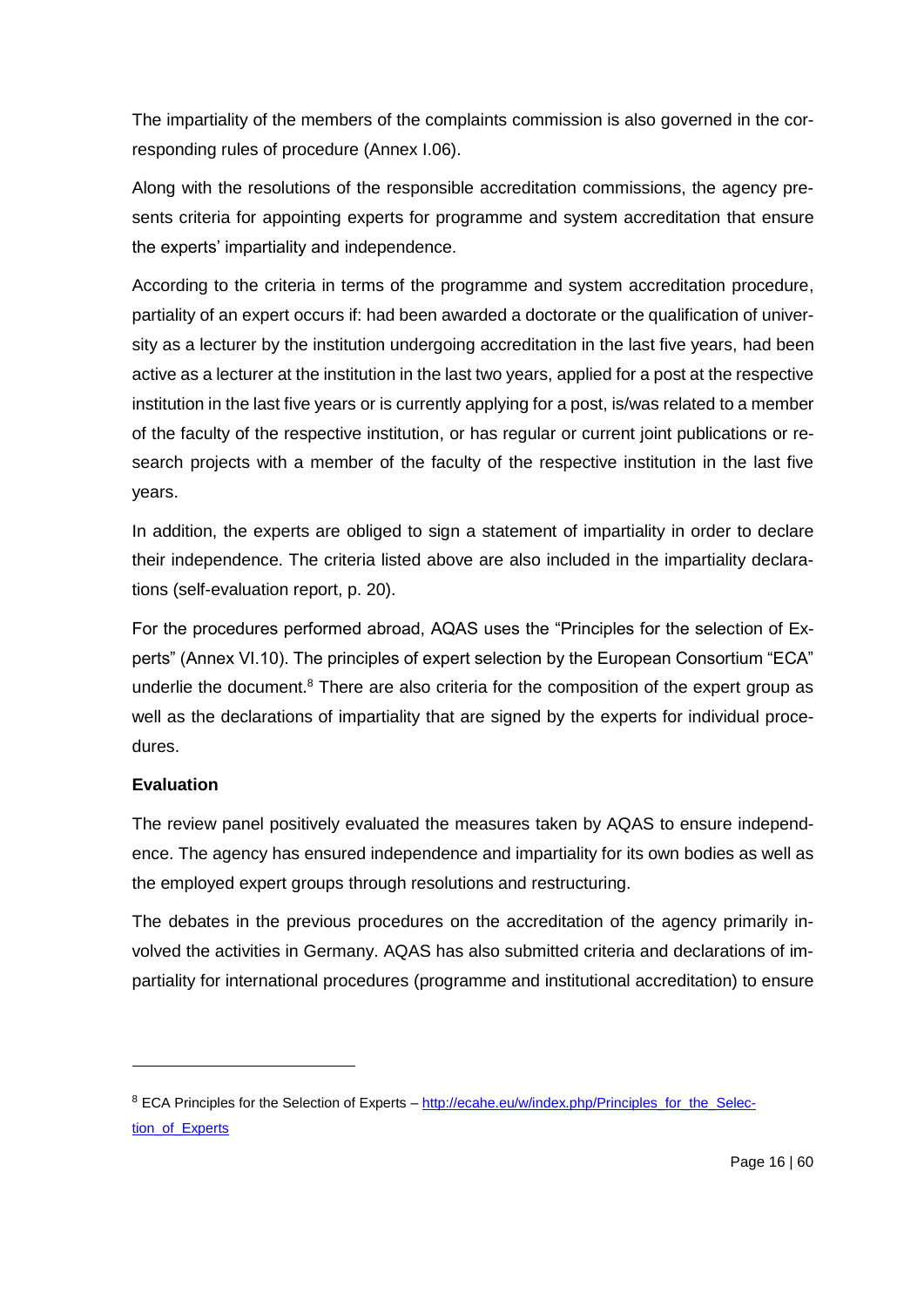The impartiality of the members of the complaints commission is also governed in the corresponding rules of procedure (Annex I.06).

Along with the resolutions of the responsible accreditation commissions, the agency presents criteria for appointing experts for programme and system accreditation that ensure the experts' impartiality and independence.

According to the criteria in terms of the programme and system accreditation procedure, partiality of an expert occurs if: had been awarded a doctorate or the qualification of university as a lecturer by the institution undergoing accreditation in the last five years, had been active as a lecturer at the institution in the last two years, applied for a post at the respective institution in the last five years or is currently applying for a post, is/was related to a member of the faculty of the respective institution, or has regular or current joint publications or research projects with a member of the faculty of the respective institution in the last five years.

In addition, the experts are obliged to sign a statement of impartiality in order to declare their independence. The criteria listed above are also included in the impartiality declarations (self-evaluation report, p. 20).

For the procedures performed abroad, AQAS uses the "Principles for the selection of Experts" (Annex VI.10). The principles of expert selection by the European Consortium "ECA" underlie the document. $8$  There are also criteria for the composition of the expert group as well as the declarations of impartiality that are signed by the experts for individual procedures.

# **Evaluation**

 $\overline{a}$ 

The review panel positively evaluated the measures taken by AQAS to ensure independence. The agency has ensured independence and impartiality for its own bodies as well as the employed expert groups through resolutions and restructuring.

The debates in the previous procedures on the accreditation of the agency primarily involved the activities in Germany. AQAS has also submitted criteria and declarations of impartiality for international procedures (programme and institutional accreditation) to ensure

<sup>&</sup>lt;sup>8</sup> ECA Principles for the Selection of Experts – [http://ecahe.eu/w/index.php/Principles\\_for\\_the\\_Selec](http://ecahe.eu/w/index.php/Principles_for_the_Selection_of_Experts)[tion\\_of\\_Experts](http://ecahe.eu/w/index.php/Principles_for_the_Selection_of_Experts)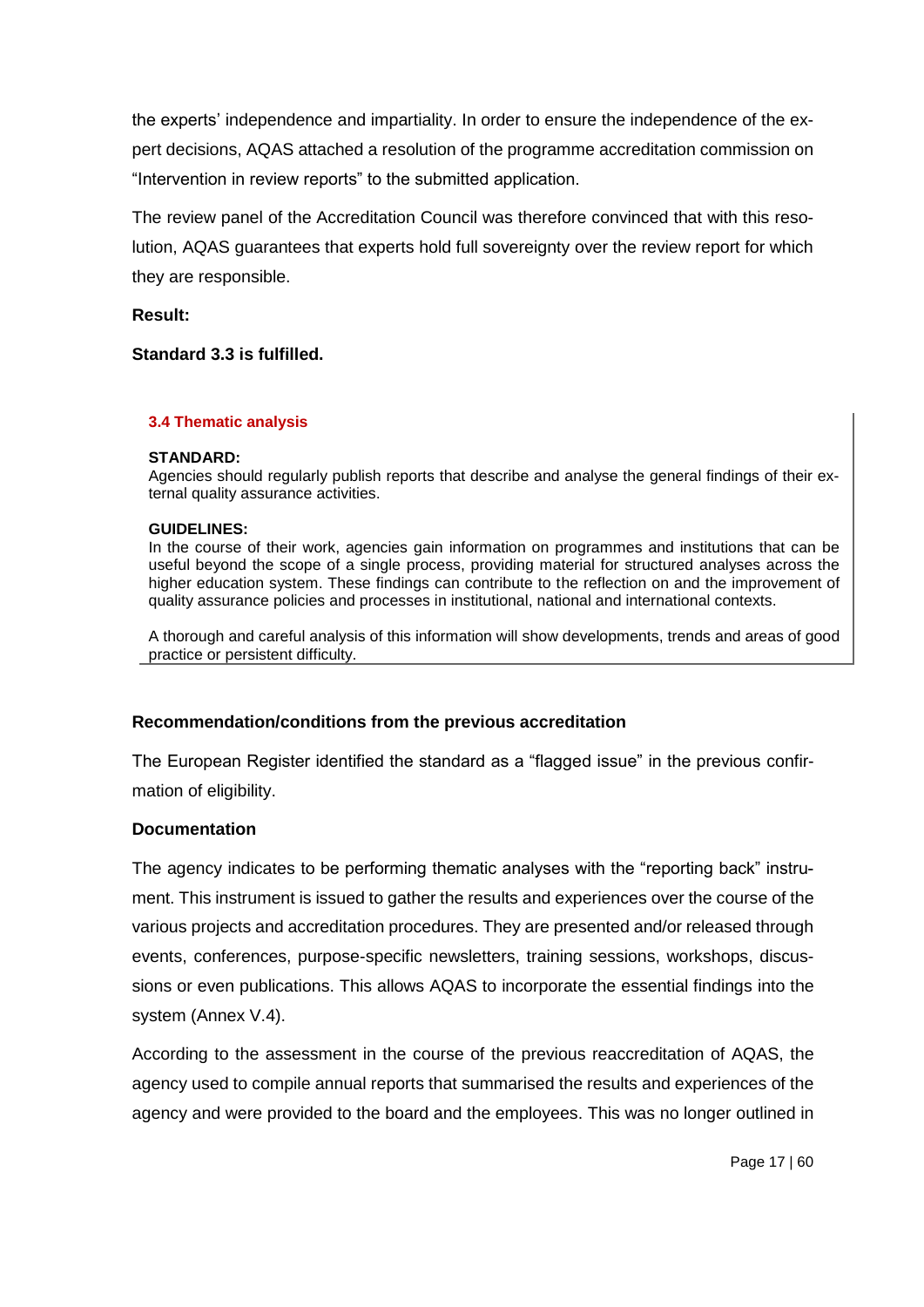the experts' independence and impartiality. In order to ensure the independence of the expert decisions, AQAS attached a resolution of the programme accreditation commission on "Intervention in review reports" to the submitted application.

The review panel of the Accreditation Council was therefore convinced that with this resolution, AQAS guarantees that experts hold full sovereignty over the review report for which they are responsible.

### **Result:**

### **Standard 3.3 is fulfilled.**

#### **3.4 Thematic analysis**

#### **STANDARD:**

Agencies should regularly publish reports that describe and analyse the general findings of their external quality assurance activities.

#### **GUIDELINES:**

In the course of their work, agencies gain information on programmes and institutions that can be useful beyond the scope of a single process, providing material for structured analyses across the higher education system. These findings can contribute to the reflection on and the improvement of quality assurance policies and processes in institutional, national and international contexts.

A thorough and careful analysis of this information will show developments, trends and areas of good practice or persistent difficulty.

### **Recommendation/conditions from the previous accreditation**

The European Register identified the standard as a "flagged issue" in the previous confirmation of eligibility.

### **Documentation**

The agency indicates to be performing thematic analyses with the "reporting back" instrument. This instrument is issued to gather the results and experiences over the course of the various projects and accreditation procedures. They are presented and/or released through events, conferences, purpose-specific newsletters, training sessions, workshops, discussions or even publications. This allows AQAS to incorporate the essential findings into the system (Annex V.4).

According to the assessment in the course of the previous reaccreditation of AQAS, the agency used to compile annual reports that summarised the results and experiences of the agency and were provided to the board and the employees. This was no longer outlined in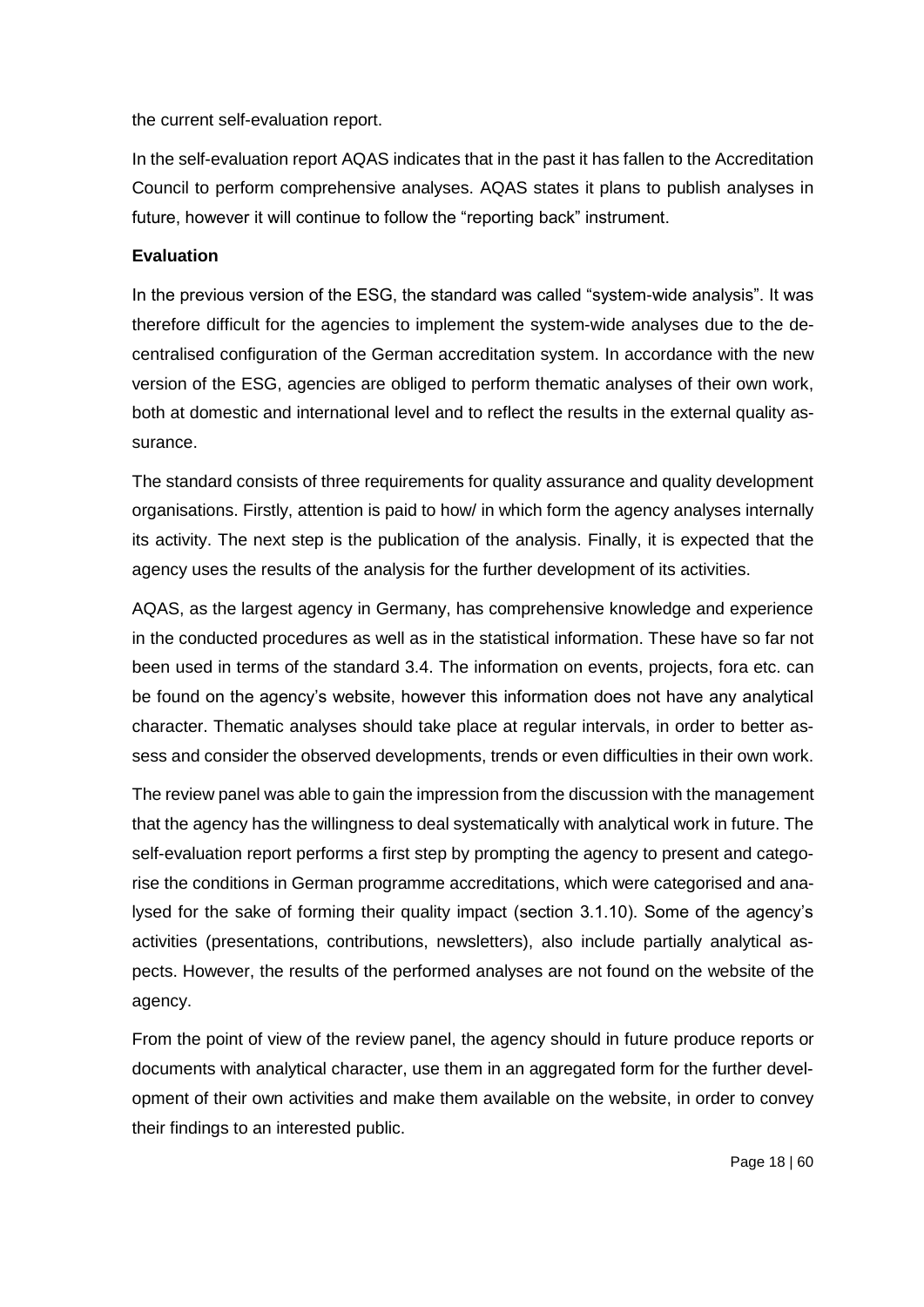the current self-evaluation report.

In the self-evaluation report AQAS indicates that in the past it has fallen to the Accreditation Council to perform comprehensive analyses. AQAS states it plans to publish analyses in future, however it will continue to follow the "reporting back" instrument.

### **Evaluation**

In the previous version of the ESG, the standard was called "system-wide analysis". It was therefore difficult for the agencies to implement the system-wide analyses due to the decentralised configuration of the German accreditation system. In accordance with the new version of the ESG, agencies are obliged to perform thematic analyses of their own work, both at domestic and international level and to reflect the results in the external quality assurance.

The standard consists of three requirements for quality assurance and quality development organisations. Firstly, attention is paid to how/ in which form the agency analyses internally its activity. The next step is the publication of the analysis. Finally, it is expected that the agency uses the results of the analysis for the further development of its activities.

AQAS, as the largest agency in Germany, has comprehensive knowledge and experience in the conducted procedures as well as in the statistical information. These have so far not been used in terms of the standard 3.4. The information on events, projects, fora etc. can be found on the agency's website, however this information does not have any analytical character. Thematic analyses should take place at regular intervals, in order to better assess and consider the observed developments, trends or even difficulties in their own work.

The review panel was able to gain the impression from the discussion with the management that the agency has the willingness to deal systematically with analytical work in future. The self-evaluation report performs a first step by prompting the agency to present and categorise the conditions in German programme accreditations, which were categorised and analysed for the sake of forming their quality impact (section 3.1.10). Some of the agency's activities (presentations, contributions, newsletters), also include partially analytical aspects. However, the results of the performed analyses are not found on the website of the agency.

From the point of view of the review panel, the agency should in future produce reports or documents with analytical character, use them in an aggregated form for the further development of their own activities and make them available on the website, in order to convey their findings to an interested public.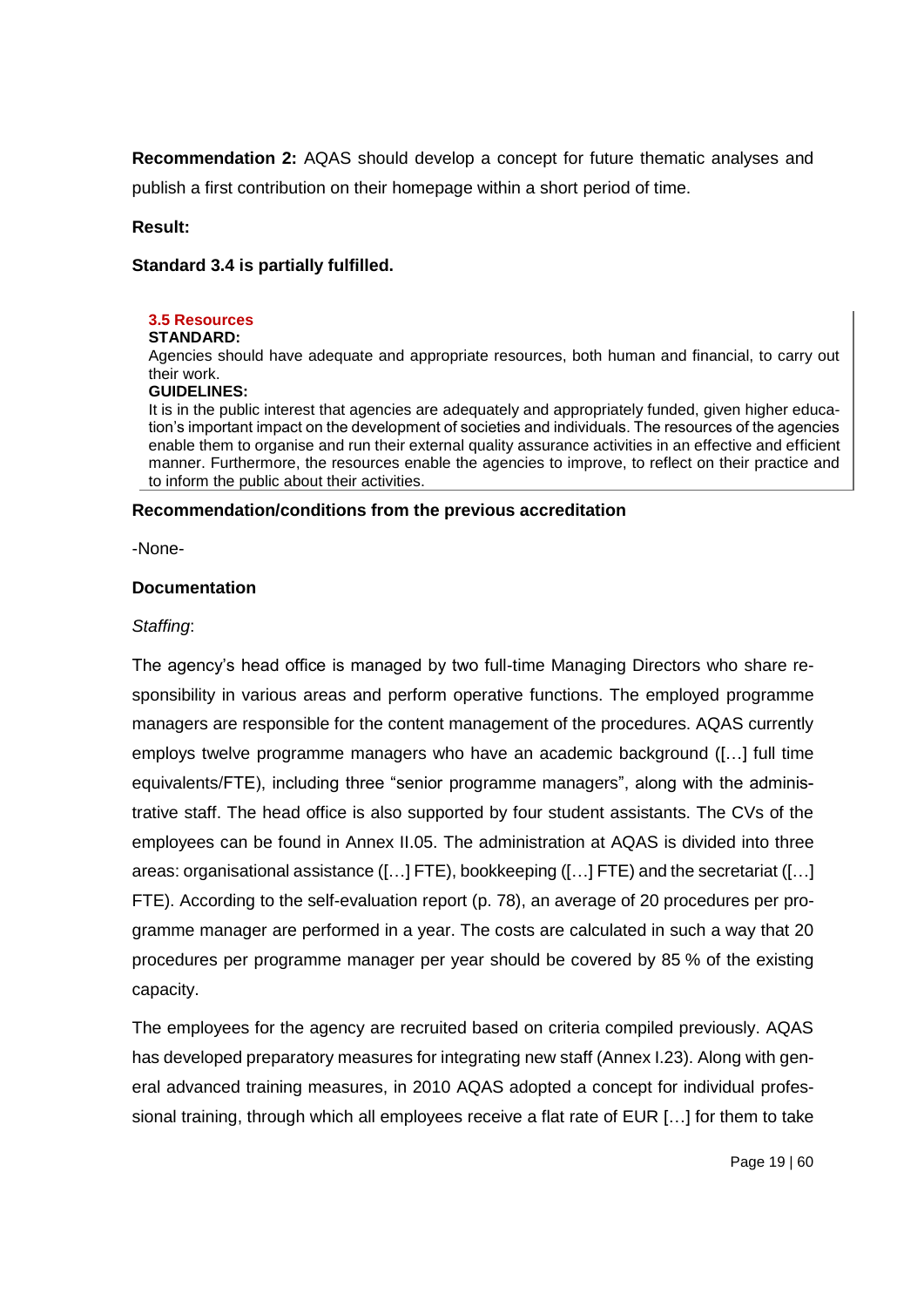**Recommendation 2:** AQAS should develop a concept for future thematic analyses and publish a first contribution on their homepage within a short period of time.

#### **Result:**

#### **Standard 3.4 is partially fulfilled.**

#### **3.5 Resources**

#### **STANDARD:**

Agencies should have adequate and appropriate resources, both human and financial, to carry out their work.

#### **GUIDELINES:**

It is in the public interest that agencies are adequately and appropriately funded, given higher education's important impact on the development of societies and individuals. The resources of the agencies enable them to organise and run their external quality assurance activities in an effective and efficient manner. Furthermore, the resources enable the agencies to improve, to reflect on their practice and to inform the public about their activities.

#### **Recommendation/conditions from the previous accreditation**

-None-

#### **Documentation**

#### *Staffing*:

The agency's head office is managed by two full-time Managing Directors who share responsibility in various areas and perform operative functions. The employed programme managers are responsible for the content management of the procedures. AQAS currently employs twelve programme managers who have an academic background ([…] full time equivalents/FTE), including three "senior programme managers", along with the administrative staff. The head office is also supported by four student assistants. The CVs of the employees can be found in Annex II.05. The administration at AQAS is divided into three areas: organisational assistance ([…] FTE), bookkeeping ([…] FTE) and the secretariat ([…] FTE). According to the self-evaluation report (p. 78), an average of 20 procedures per programme manager are performed in a year. The costs are calculated in such a way that 20 procedures per programme manager per year should be covered by 85 % of the existing capacity.

The employees for the agency are recruited based on criteria compiled previously. AQAS has developed preparatory measures for integrating new staff (Annex I.23). Along with general advanced training measures, in 2010 AQAS adopted a concept for individual professional training, through which all employees receive a flat rate of EUR […] for them to take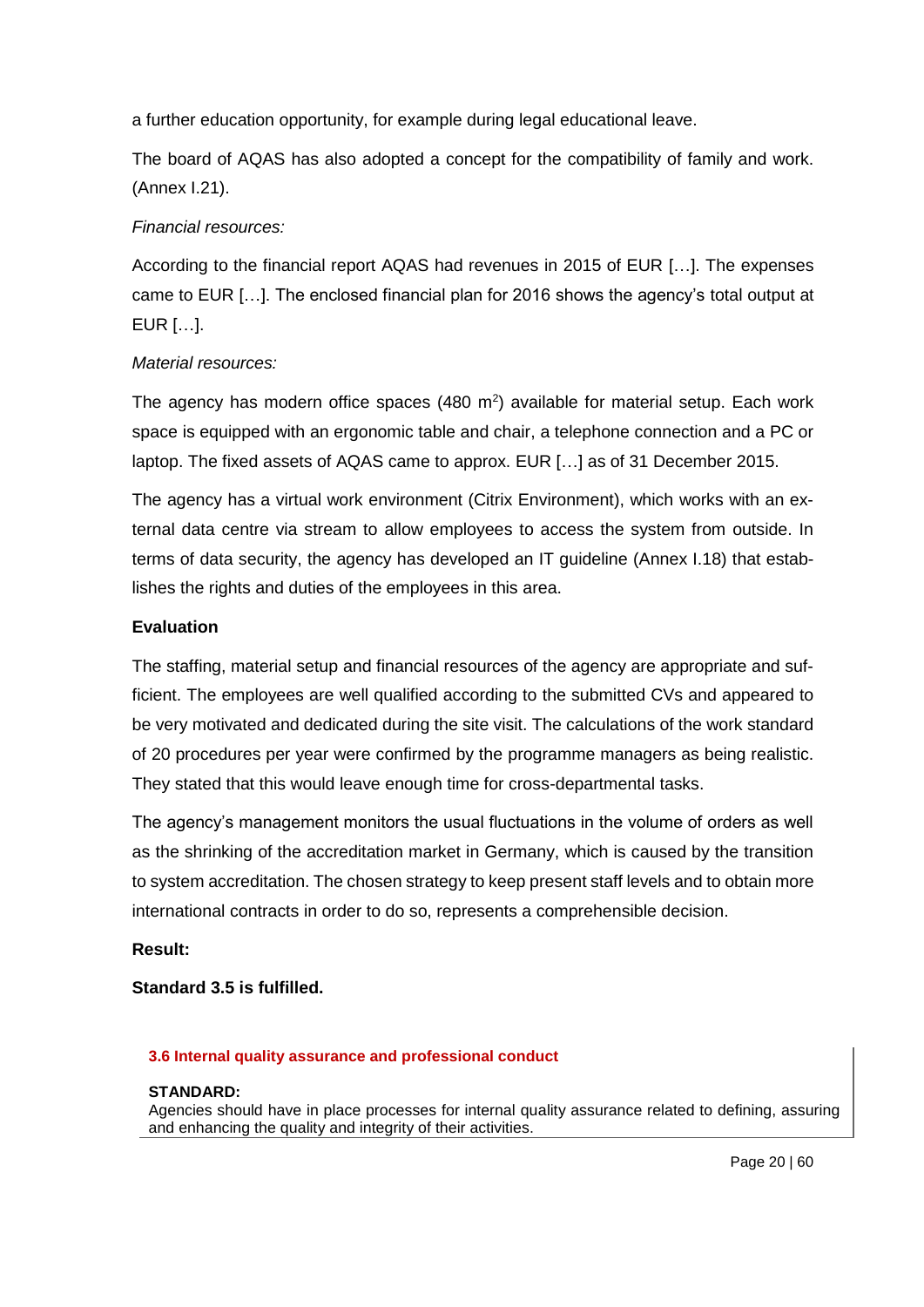a further education opportunity, for example during legal educational leave.

The board of AQAS has also adopted a concept for the compatibility of family and work. (Annex I.21).

# *Financial resources:*

According to the financial report AQAS had revenues in 2015 of EUR […]. The expenses came to EUR […]. The enclosed financial plan for 2016 shows the agency's total output at EUR […].

# *Material resources:*

The agency has modern office spaces (480  $m<sup>2</sup>$ ) available for material setup. Each work space is equipped with an ergonomic table and chair, a telephone connection and a PC or laptop. The fixed assets of AQAS came to approx. EUR […] as of 31 December 2015.

The agency has a virtual work environment (Citrix Environment), which works with an external data centre via stream to allow employees to access the system from outside. In terms of data security, the agency has developed an IT guideline (Annex I.18) that establishes the rights and duties of the employees in this area.

# **Evaluation**

The staffing, material setup and financial resources of the agency are appropriate and sufficient. The employees are well qualified according to the submitted CVs and appeared to be very motivated and dedicated during the site visit. The calculations of the work standard of 20 procedures per year were confirmed by the programme managers as being realistic. They stated that this would leave enough time for cross-departmental tasks.

The agency's management monitors the usual fluctuations in the volume of orders as well as the shrinking of the accreditation market in Germany, which is caused by the transition to system accreditation. The chosen strategy to keep present staff levels and to obtain more international contracts in order to do so, represents a comprehensible decision.

# **Result:**

**Standard 3.5 is fulfilled.** 

# **3.6 Internal quality assurance and professional conduct**

# **STANDARD:**

Agencies should have in place processes for internal quality assurance related to defining, assuring and enhancing the quality and integrity of their activities.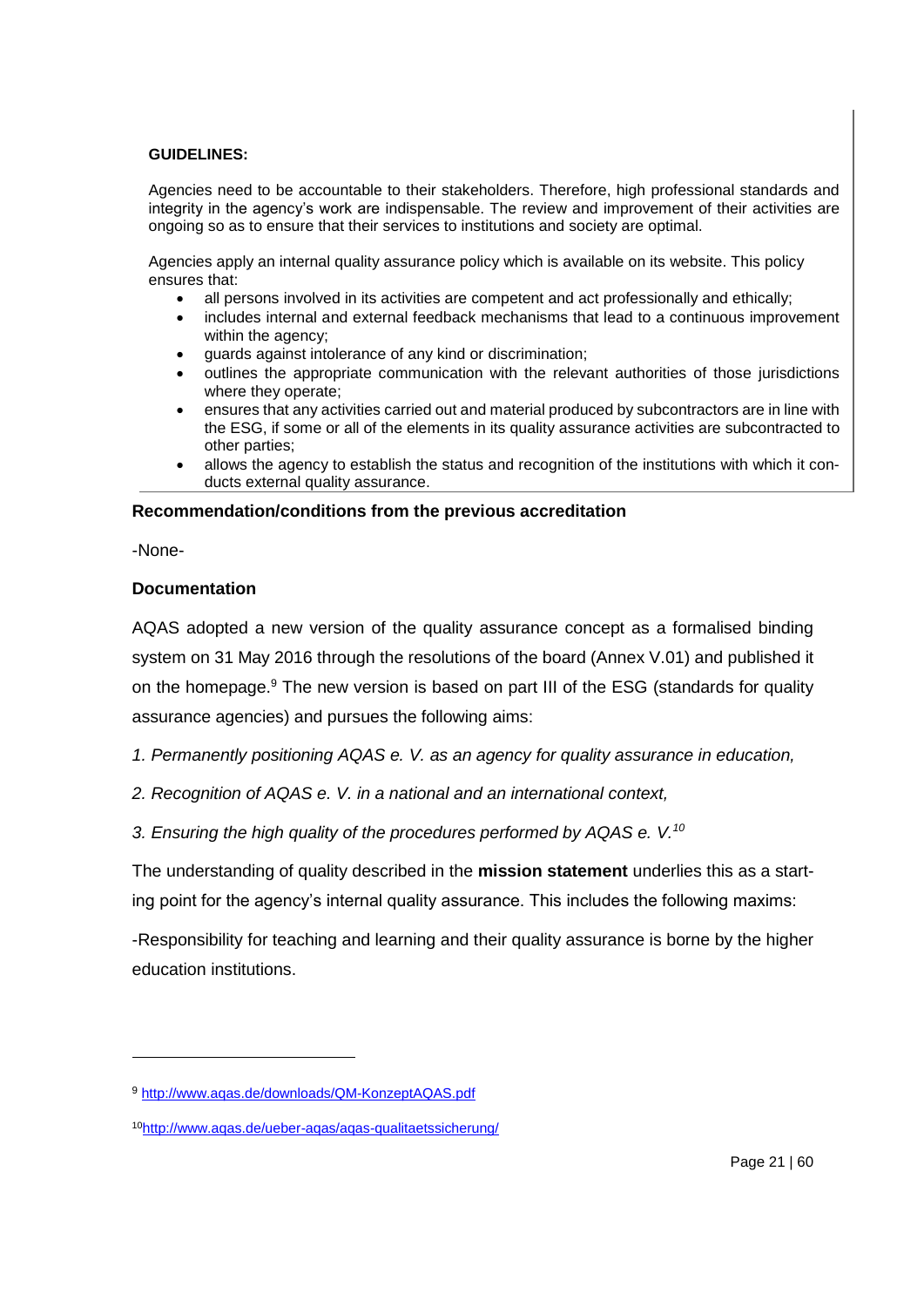#### **GUIDELINES:**

Agencies need to be accountable to their stakeholders. Therefore, high professional standards and integrity in the agency's work are indispensable. The review and improvement of their activities are ongoing so as to ensure that their services to institutions and society are optimal.

Agencies apply an internal quality assurance policy which is available on its website. This policy ensures that:

- all persons involved in its activities are competent and act professionally and ethically;
- includes internal and external feedback mechanisms that lead to a continuous improvement within the agency;
- guards against intolerance of any kind or discrimination;
- outlines the appropriate communication with the relevant authorities of those jurisdictions where they operate;
- ensures that any activities carried out and material produced by subcontractors are in line with the ESG, if some or all of the elements in its quality assurance activities are subcontracted to other parties;
- allows the agency to establish the status and recognition of the institutions with which it conducts external quality assurance.

### **Recommendation/conditions from the previous accreditation**

-None-

1

### **Documentation**

AQAS adopted a new version of the quality assurance concept as a formalised binding system on 31 May 2016 through the resolutions of the board (Annex V.01) and published it on the homepage.<sup>9</sup> The new version is based on part III of the ESG (standards for quality assurance agencies) and pursues the following aims:

- *1. Permanently positioning AQAS e. V. as an agency for quality assurance in education,*
- *2. Recognition of AQAS e. V. in a national and an international context,*

*3. Ensuring the high quality of the procedures performed by AQAS e. V.<sup>10</sup>*

The understanding of quality described in the **mission statement** underlies this as a starting point for the agency's internal quality assurance. This includes the following maxims:

-Responsibility for teaching and learning and their quality assurance is borne by the higher education institutions.

<sup>9</sup> <http://www.aqas.de/downloads/QM-KonzeptAQAS.pdf>

<sup>10</sup><http://www.aqas.de/ueber-aqas/aqas-qualitaetssicherung/>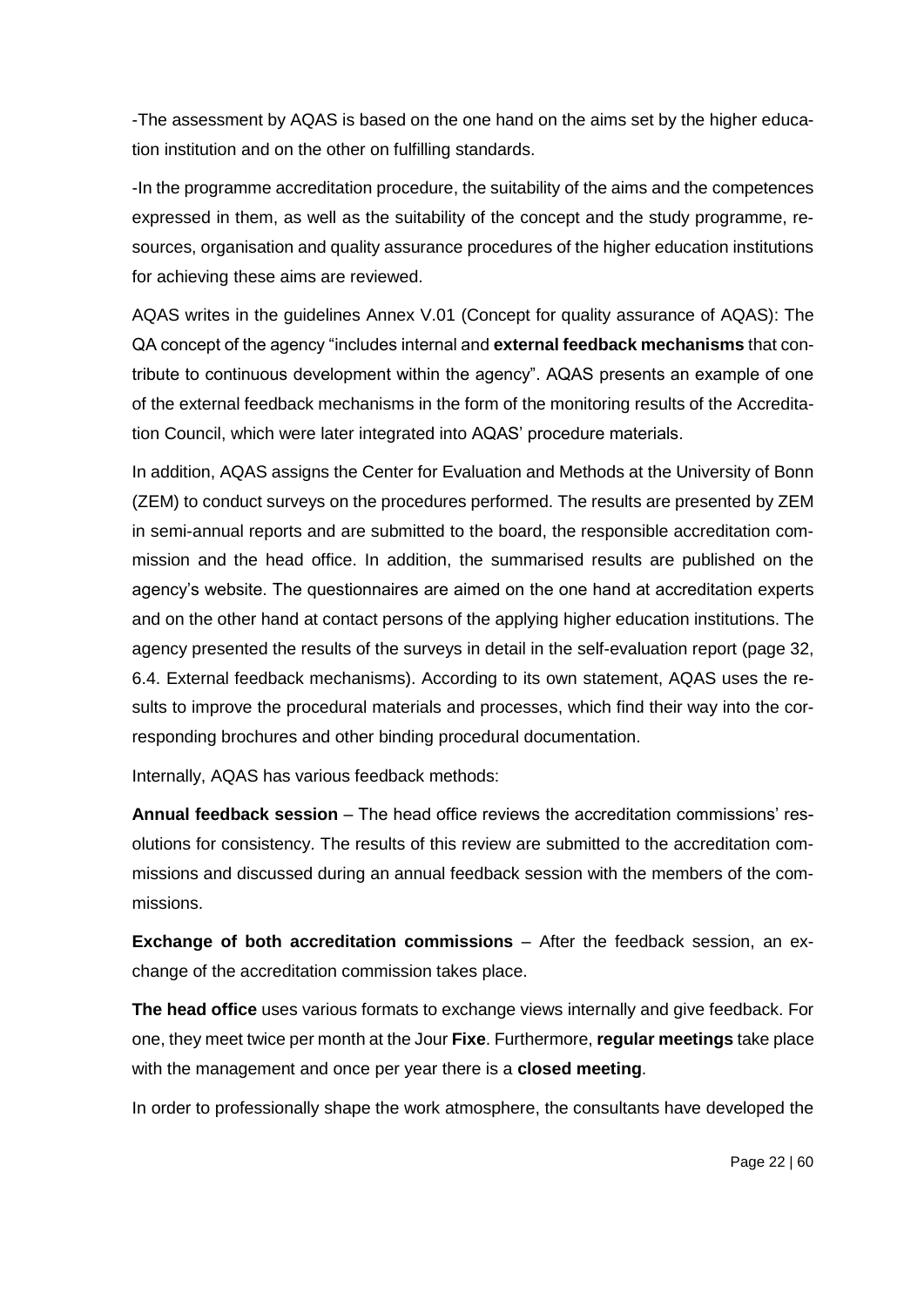-The assessment by AQAS is based on the one hand on the aims set by the higher education institution and on the other on fulfilling standards.

-In the programme accreditation procedure, the suitability of the aims and the competences expressed in them, as well as the suitability of the concept and the study programme, resources, organisation and quality assurance procedures of the higher education institutions for achieving these aims are reviewed.

AQAS writes in the guidelines Annex V.01 (Concept for quality assurance of AQAS): The QA concept of the agency "includes internal and **external feedback mechanisms** that contribute to continuous development within the agency". AQAS presents an example of one of the external feedback mechanisms in the form of the monitoring results of the Accreditation Council, which were later integrated into AQAS' procedure materials.

In addition, AQAS assigns the Center for Evaluation and Methods at the University of Bonn (ZEM) to conduct surveys on the procedures performed. The results are presented by ZEM in semi-annual reports and are submitted to the board, the responsible accreditation commission and the head office. In addition, the summarised results are published on the agency's website. The questionnaires are aimed on the one hand at accreditation experts and on the other hand at contact persons of the applying higher education institutions. The agency presented the results of the surveys in detail in the self-evaluation report (page 32, 6.4. External feedback mechanisms). According to its own statement, AQAS uses the results to improve the procedural materials and processes, which find their way into the corresponding brochures and other binding procedural documentation.

Internally, AQAS has various feedback methods:

**Annual feedback session** – The head office reviews the accreditation commissions' resolutions for consistency. The results of this review are submitted to the accreditation commissions and discussed during an annual feedback session with the members of the commissions.

**Exchange of both accreditation commissions** – After the feedback session, an exchange of the accreditation commission takes place.

**The head office** uses various formats to exchange views internally and give feedback. For one, they meet twice per month at the Jour **Fixe**. Furthermore, **regular meetings** take place with the management and once per year there is a **closed meeting**.

In order to professionally shape the work atmosphere, the consultants have developed the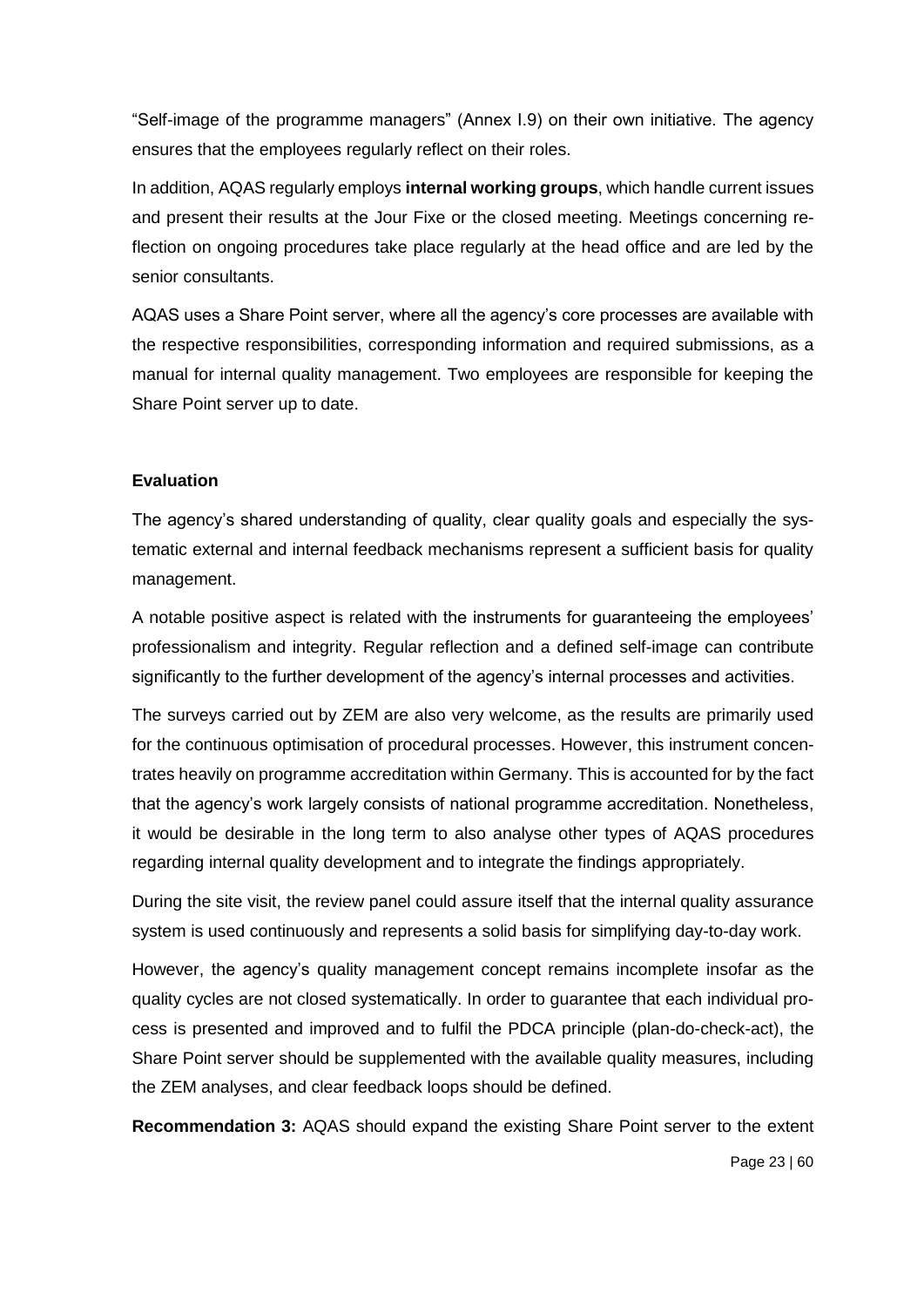"Self-image of the programme managers" (Annex I.9) on their own initiative. The agency ensures that the employees regularly reflect on their roles.

In addition, AQAS regularly employs **internal working groups**, which handle current issues and present their results at the Jour Fixe or the closed meeting. Meetings concerning reflection on ongoing procedures take place regularly at the head office and are led by the senior consultants.

AQAS uses a Share Point server, where all the agency's core processes are available with the respective responsibilities, corresponding information and required submissions, as a manual for internal quality management. Two employees are responsible for keeping the Share Point server up to date.

#### **Evaluation**

The agency's shared understanding of quality, clear quality goals and especially the systematic external and internal feedback mechanisms represent a sufficient basis for quality management.

A notable positive aspect is related with the instruments for guaranteeing the employees' professionalism and integrity. Regular reflection and a defined self-image can contribute significantly to the further development of the agency's internal processes and activities.

The surveys carried out by ZEM are also very welcome, as the results are primarily used for the continuous optimisation of procedural processes. However, this instrument concentrates heavily on programme accreditation within Germany. This is accounted for by the fact that the agency's work largely consists of national programme accreditation. Nonetheless, it would be desirable in the long term to also analyse other types of AQAS procedures regarding internal quality development and to integrate the findings appropriately.

During the site visit, the review panel could assure itself that the internal quality assurance system is used continuously and represents a solid basis for simplifying day-to-day work.

However, the agency's quality management concept remains incomplete insofar as the quality cycles are not closed systematically. In order to guarantee that each individual process is presented and improved and to fulfil the PDCA principle (plan-do-check-act), the Share Point server should be supplemented with the available quality measures, including the ZEM analyses, and clear feedback loops should be defined.

**Recommendation 3:** AQAS should expand the existing Share Point server to the extent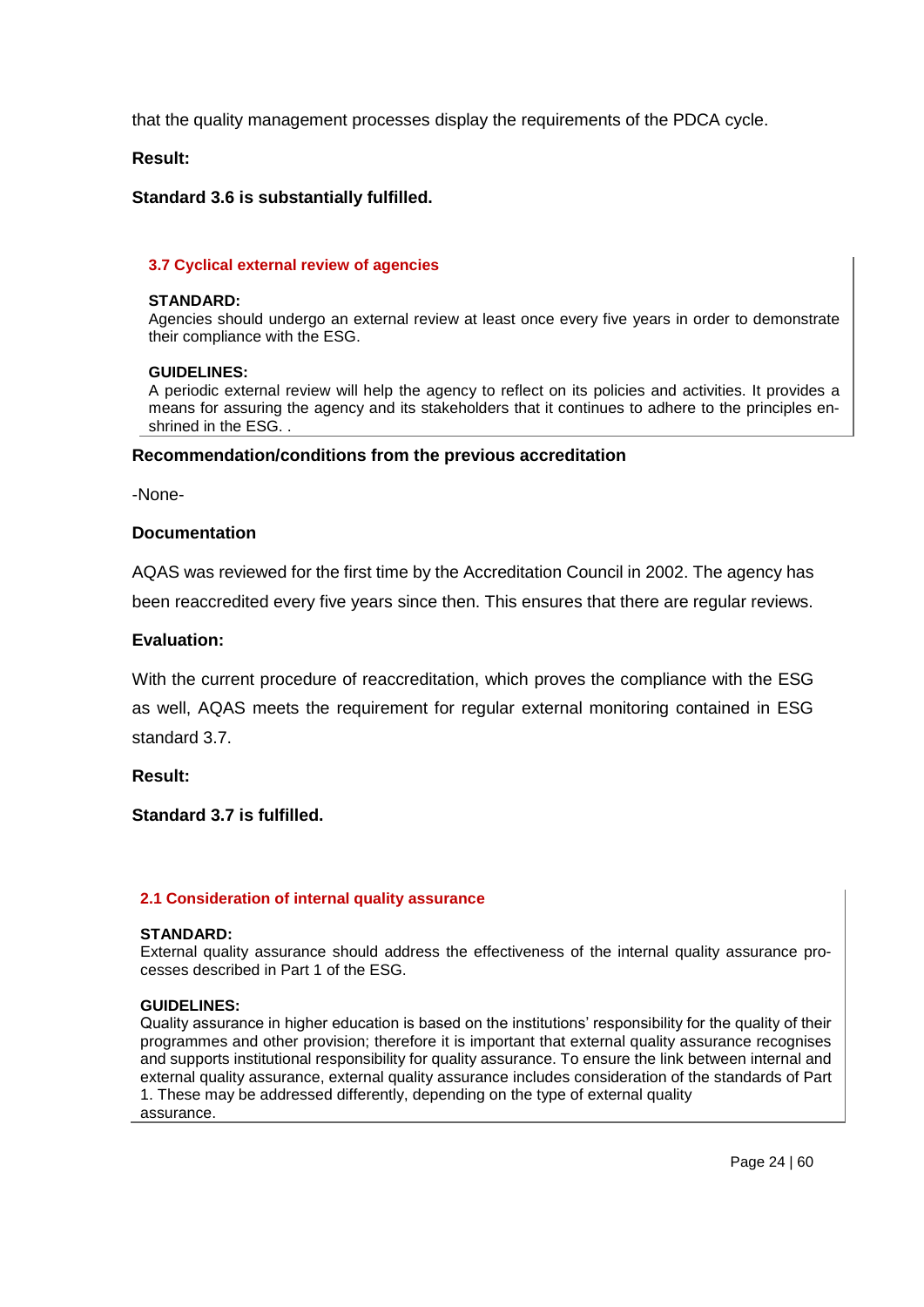that the quality management processes display the requirements of the PDCA cycle.

**Result:**

#### **Standard 3.6 is substantially fulfilled.**

#### **3.7 Cyclical external review of agencies**

#### **STANDARD:**

Agencies should undergo an external review at least once every five years in order to demonstrate their compliance with the ESG.

#### **GUIDELINES:**

A periodic external review will help the agency to reflect on its policies and activities. It provides a means for assuring the agency and its stakeholders that it continues to adhere to the principles enshrined in the ESG. .

#### **Recommendation/conditions from the previous accreditation**

-None-

#### **Documentation**

AQAS was reviewed for the first time by the Accreditation Council in 2002. The agency has been reaccredited every five years since then. This ensures that there are regular reviews.

#### **Evaluation:**

With the current procedure of reaccreditation, which proves the compliance with the ESG as well, AQAS meets the requirement for regular external monitoring contained in ESG standard 3.7.

#### **Result:**

#### **Standard 3.7 is fulfilled.**

#### **2.1 Consideration of internal quality assurance**

#### **STANDARD:**

External quality assurance should address the effectiveness of the internal quality assurance processes described in Part 1 of the ESG.

#### **GUIDELINES:**

Quality assurance in higher education is based on the institutions' responsibility for the quality of their programmes and other provision; therefore it is important that external quality assurance recognises and supports institutional responsibility for quality assurance. To ensure the link between internal and external quality assurance, external quality assurance includes consideration of the standards of Part 1. These may be addressed differently, depending on the type of external quality assurance.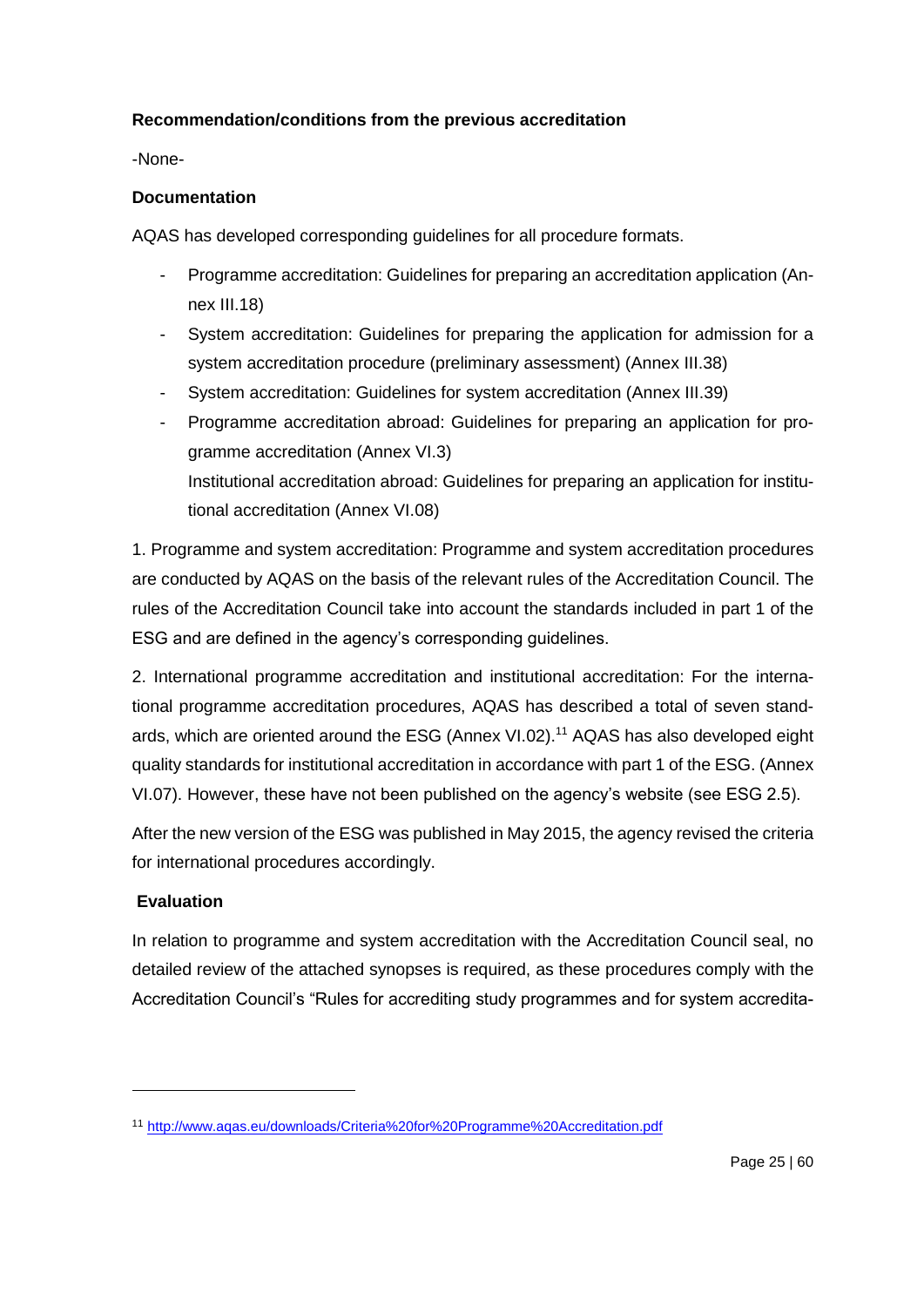# **Recommendation/conditions from the previous accreditation**

-None-

### **Documentation**

AQAS has developed corresponding guidelines for all procedure formats.

- Programme accreditation: Guidelines for preparing an accreditation application (Annex III.18)
- System accreditation: Guidelines for preparing the application for admission for a system accreditation procedure (preliminary assessment) (Annex III.38)
- System accreditation: Guidelines for system accreditation (Annex III.39)
- Programme accreditation abroad: Guidelines for preparing an application for programme accreditation (Annex VI.3) Institutional accreditation abroad: Guidelines for preparing an application for institutional accreditation (Annex VI.08)

1. Programme and system accreditation: Programme and system accreditation procedures are conducted by AQAS on the basis of the relevant rules of the Accreditation Council. The rules of the Accreditation Council take into account the standards included in part 1 of the ESG and are defined in the agency's corresponding guidelines.

2. International programme accreditation and institutional accreditation: For the international programme accreditation procedures, AQAS has described a total of seven standards, which are oriented around the ESG (Annex VI.02).<sup>11</sup> AQAS has also developed eight quality standards for institutional accreditation in accordance with part 1 of the ESG. (Annex VI.07). However, these have not been published on the agency's website (see ESG 2.5).

After the new version of the ESG was published in May 2015, the agency revised the criteria for international procedures accordingly.

# **Evaluation**

1

In relation to programme and system accreditation with the Accreditation Council seal, no detailed review of the attached synopses is required, as these procedures comply with the Accreditation Council's "Rules for accrediting study programmes and for system accredita-

<sup>11</sup> <http://www.aqas.eu/downloads/Criteria%20for%20Programme%20Accreditation.pdf>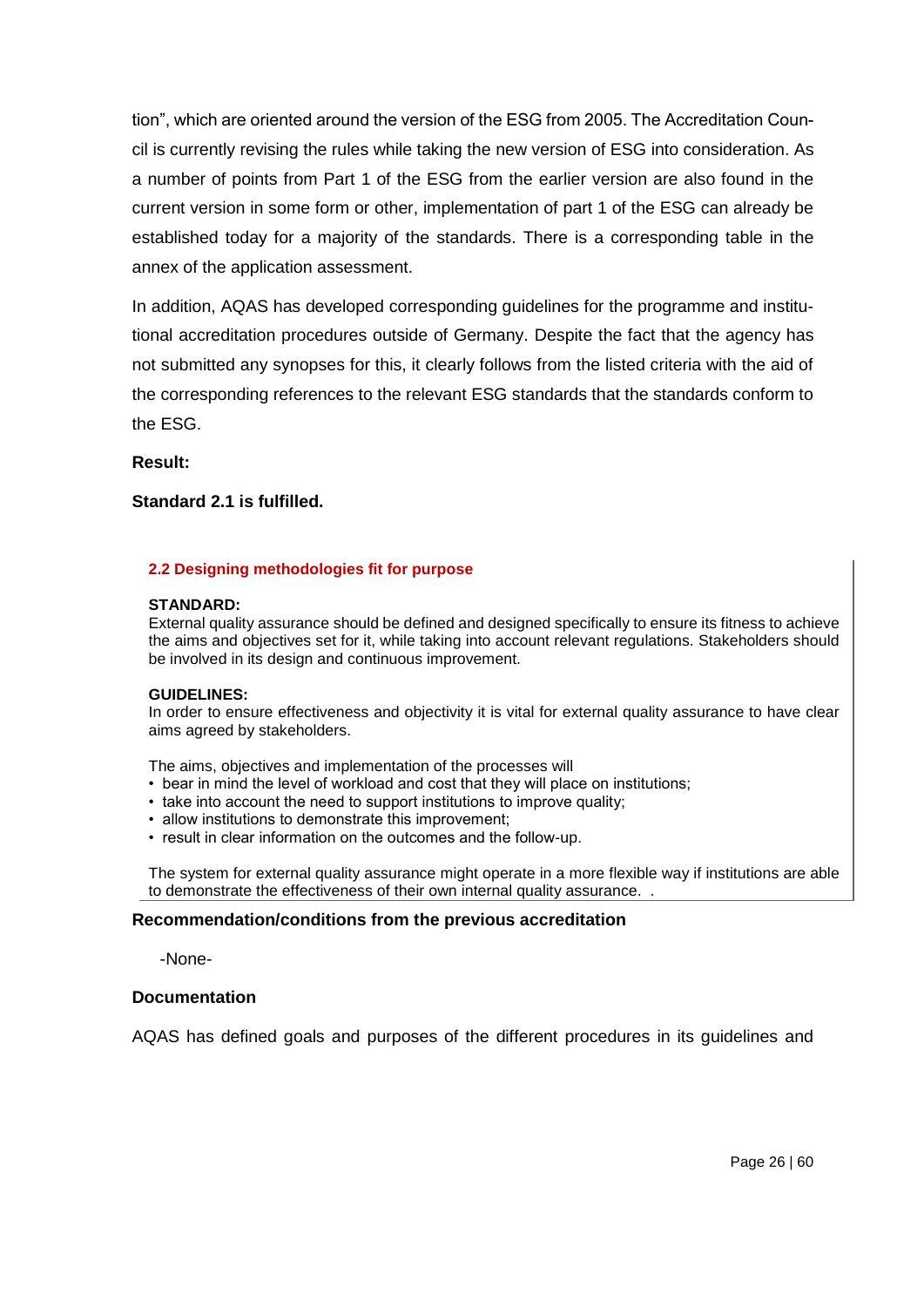tion", which are oriented around the version of the ESG from 2005. The Accreditation Council is currently revising the rules while taking the new version of ESG into consideration. As a number of points from Part 1 of the ESG from the earlier version are also found in the current version in some form or other, implementation of part 1 of the ESG can already be established today for a majority of the standards. There is a corresponding table in the annex of the application assessment.

In addition, AQAS has developed corresponding guidelines for the programme and institutional accreditation procedures outside of Germany. Despite the fact that the agency has not submitted any synopses for this, it clearly follows from the listed criteria with the aid of the corresponding references to the relevant ESG standards that the standards conform to the ESG.

**Result:**

#### **Standard 2.1 is fulfilled.**

#### **2.2 Designing methodologies fit for purpose**

#### **STANDARD:**

External quality assurance should be defined and designed specifically to ensure its fitness to achieve the aims and objectives set for it, while taking into account relevant regulations. Stakeholders should be involved in its design and continuous improvement.

#### **GUIDELINES:**

In order to ensure effectiveness and objectivity it is vital for external quality assurance to have clear aims agreed by stakeholders.

The aims, objectives and implementation of the processes will

- bear in mind the level of workload and cost that they will place on institutions;
- take into account the need to support institutions to improve quality;
- allow institutions to demonstrate this improvement;
- result in clear information on the outcomes and the follow-up.

The system for external quality assurance might operate in a more flexible way if institutions are able to demonstrate the effectiveness of their own internal quality assurance. .

### **Recommendation/conditions from the previous accreditation**

-None-

#### **Documentation**

AQAS has defined goals and purposes of the different procedures in its guidelines and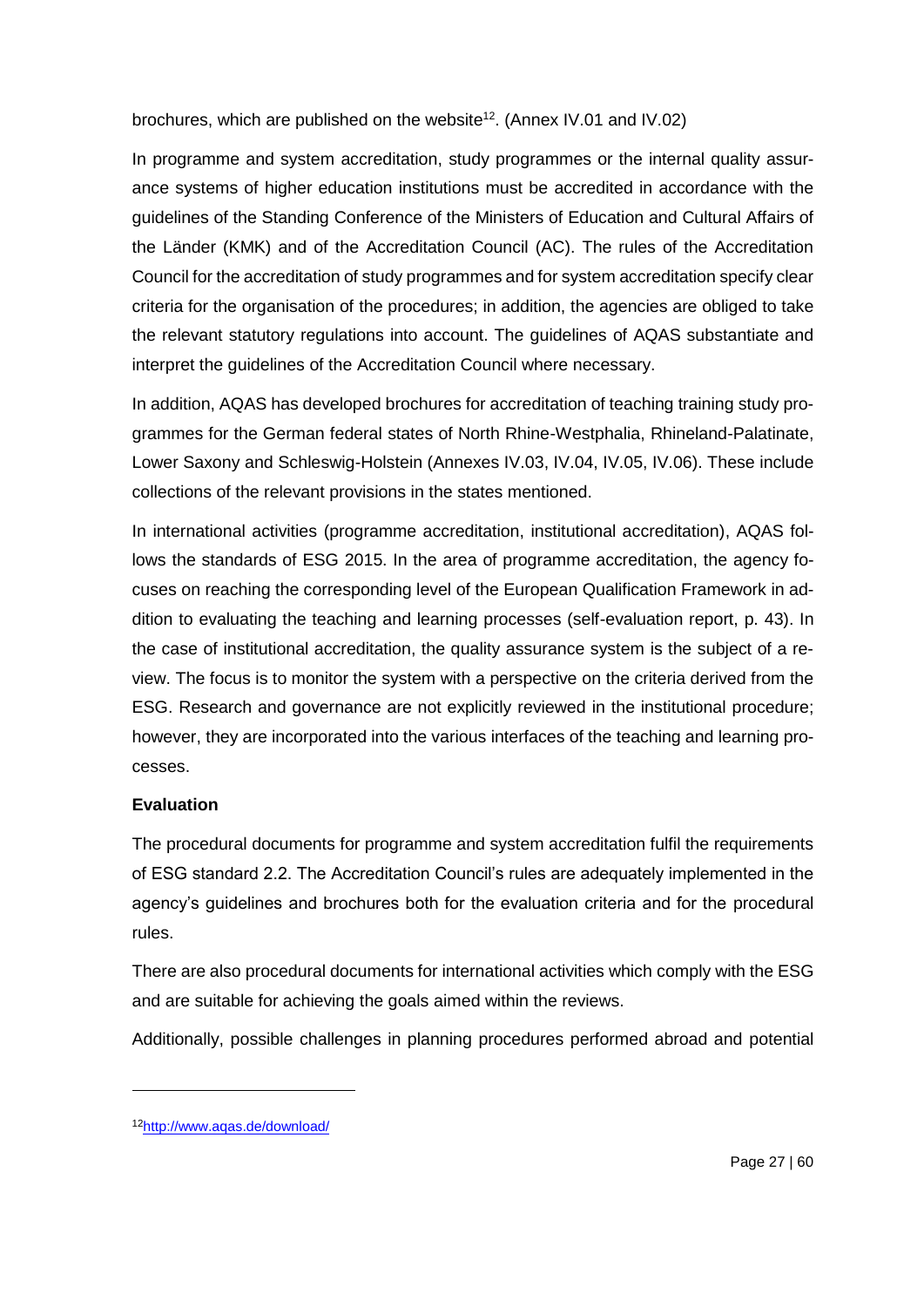brochures, which are published on the website<sup>12</sup>. (Annex IV.01 and IV.02)

In programme and system accreditation, study programmes or the internal quality assurance systems of higher education institutions must be accredited in accordance with the guidelines of the Standing Conference of the Ministers of Education and Cultural Affairs of the Länder (KMK) and of the Accreditation Council (AC). The rules of the Accreditation Council for the accreditation of study programmes and for system accreditation specify clear criteria for the organisation of the procedures; in addition, the agencies are obliged to take the relevant statutory regulations into account. The guidelines of AQAS substantiate and interpret the guidelines of the Accreditation Council where necessary.

In addition, AQAS has developed brochures for accreditation of teaching training study programmes for the German federal states of North Rhine-Westphalia, Rhineland-Palatinate, Lower Saxony and Schleswig-Holstein (Annexes IV.03, IV.04, IV.05, IV.06). These include collections of the relevant provisions in the states mentioned.

In international activities (programme accreditation, institutional accreditation), AQAS follows the standards of ESG 2015. In the area of programme accreditation, the agency focuses on reaching the corresponding level of the European Qualification Framework in addition to evaluating the teaching and learning processes (self-evaluation report, p. 43). In the case of institutional accreditation, the quality assurance system is the subject of a review. The focus is to monitor the system with a perspective on the criteria derived from the ESG. Research and governance are not explicitly reviewed in the institutional procedure; however, they are incorporated into the various interfaces of the teaching and learning processes.

# **Evaluation**

1

The procedural documents for programme and system accreditation fulfil the requirements of ESG standard 2.2. The Accreditation Council's rules are adequately implemented in the agency's guidelines and brochures both for the evaluation criteria and for the procedural rules.

There are also procedural documents for international activities which comply with the ESG and are suitable for achieving the goals aimed within the reviews.

Additionally, possible challenges in planning procedures performed abroad and potential

<sup>12</sup><http://www.aqas.de/download/>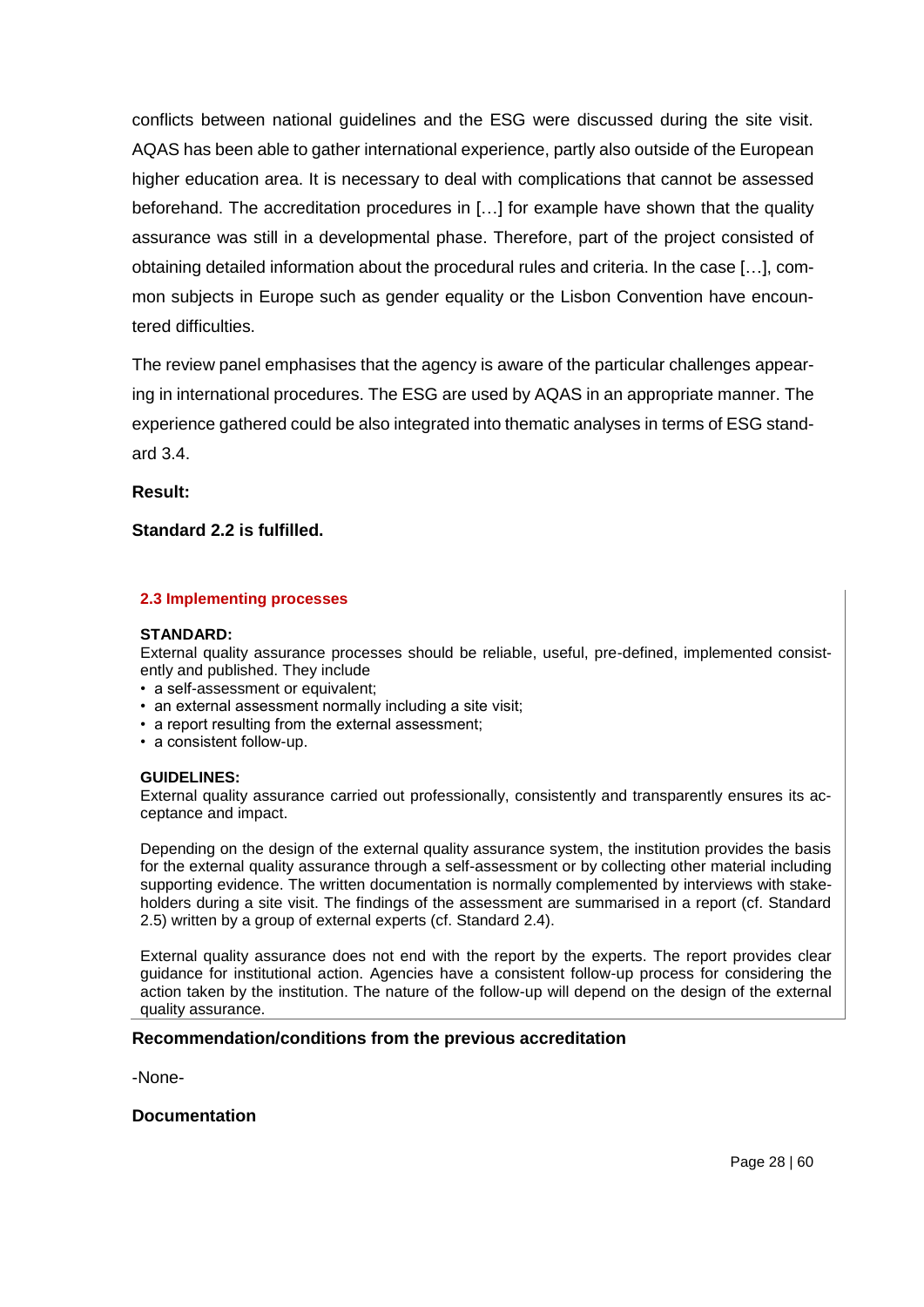conflicts between national guidelines and the ESG were discussed during the site visit. AQAS has been able to gather international experience, partly also outside of the European higher education area. It is necessary to deal with complications that cannot be assessed beforehand. The accreditation procedures in […] for example have shown that the quality assurance was still in a developmental phase. Therefore, part of the project consisted of obtaining detailed information about the procedural rules and criteria. In the case […], common subjects in Europe such as gender equality or the Lisbon Convention have encountered difficulties.

The review panel emphasises that the agency is aware of the particular challenges appearing in international procedures. The ESG are used by AQAS in an appropriate manner. The experience gathered could be also integrated into thematic analyses in terms of ESG standard 3.4.

**Result:**

### **Standard 2.2 is fulfilled.**

#### **2.3 Implementing processes**

#### **STANDARD:**

External quality assurance processes should be reliable, useful, pre-defined, implemented consistently and published. They include

- a self-assessment or equivalent;
- an external assessment normally including a site visit;
- a report resulting from the external assessment;
- a consistent follow-up.

#### **GUIDELINES:**

External quality assurance carried out professionally, consistently and transparently ensures its acceptance and impact.

Depending on the design of the external quality assurance system, the institution provides the basis for the external quality assurance through a self-assessment or by collecting other material including supporting evidence. The written documentation is normally complemented by interviews with stakeholders during a site visit. The findings of the assessment are summarised in a report (cf. Standard 2.5) written by a group of external experts (cf. Standard 2.4).

External quality assurance does not end with the report by the experts. The report provides clear guidance for institutional action. Agencies have a consistent follow-up process for considering the action taken by the institution. The nature of the follow-up will depend on the design of the external quality assurance.

#### **Recommendation/conditions from the previous accreditation**

-None-

#### **Documentation**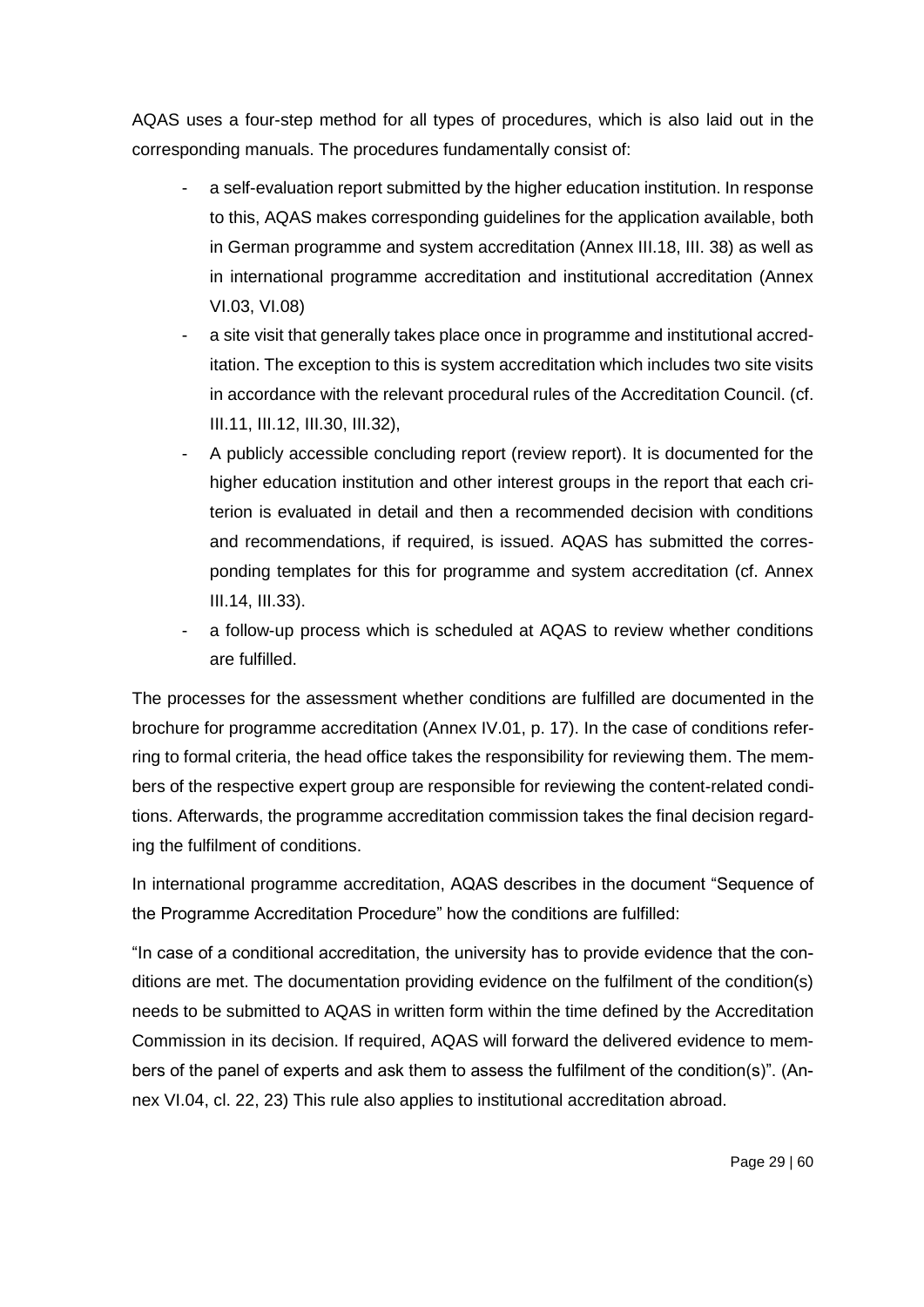AQAS uses a four-step method for all types of procedures, which is also laid out in the corresponding manuals. The procedures fundamentally consist of:

- a self-evaluation report submitted by the higher education institution. In response to this, AQAS makes corresponding guidelines for the application available, both in German programme and system accreditation (Annex III.18, III. 38) as well as in international programme accreditation and institutional accreditation (Annex VI.03, VI.08)
- a site visit that generally takes place once in programme and institutional accreditation. The exception to this is system accreditation which includes two site visits in accordance with the relevant procedural rules of the Accreditation Council. (cf. III.11, III.12, III.30, III.32),
- A publicly accessible concluding report (review report). It is documented for the higher education institution and other interest groups in the report that each criterion is evaluated in detail and then a recommended decision with conditions and recommendations, if required, is issued. AQAS has submitted the corresponding templates for this for programme and system accreditation (cf. Annex III.14, III.33).
- a follow-up process which is scheduled at AQAS to review whether conditions are fulfilled.

The processes for the assessment whether conditions are fulfilled are documented in the brochure for programme accreditation (Annex IV.01, p. 17). In the case of conditions referring to formal criteria, the head office takes the responsibility for reviewing them. The members of the respective expert group are responsible for reviewing the content-related conditions. Afterwards, the programme accreditation commission takes the final decision regarding the fulfilment of conditions.

In international programme accreditation, AQAS describes in the document "Sequence of the Programme Accreditation Procedure" how the conditions are fulfilled:

"In case of a conditional accreditation, the university has to provide evidence that the conditions are met. The documentation providing evidence on the fulfilment of the condition(s) needs to be submitted to AQAS in written form within the time defined by the Accreditation Commission in its decision. If required, AQAS will forward the delivered evidence to members of the panel of experts and ask them to assess the fulfilment of the condition(s)". (Annex VI.04, cl. 22, 23) This rule also applies to institutional accreditation abroad.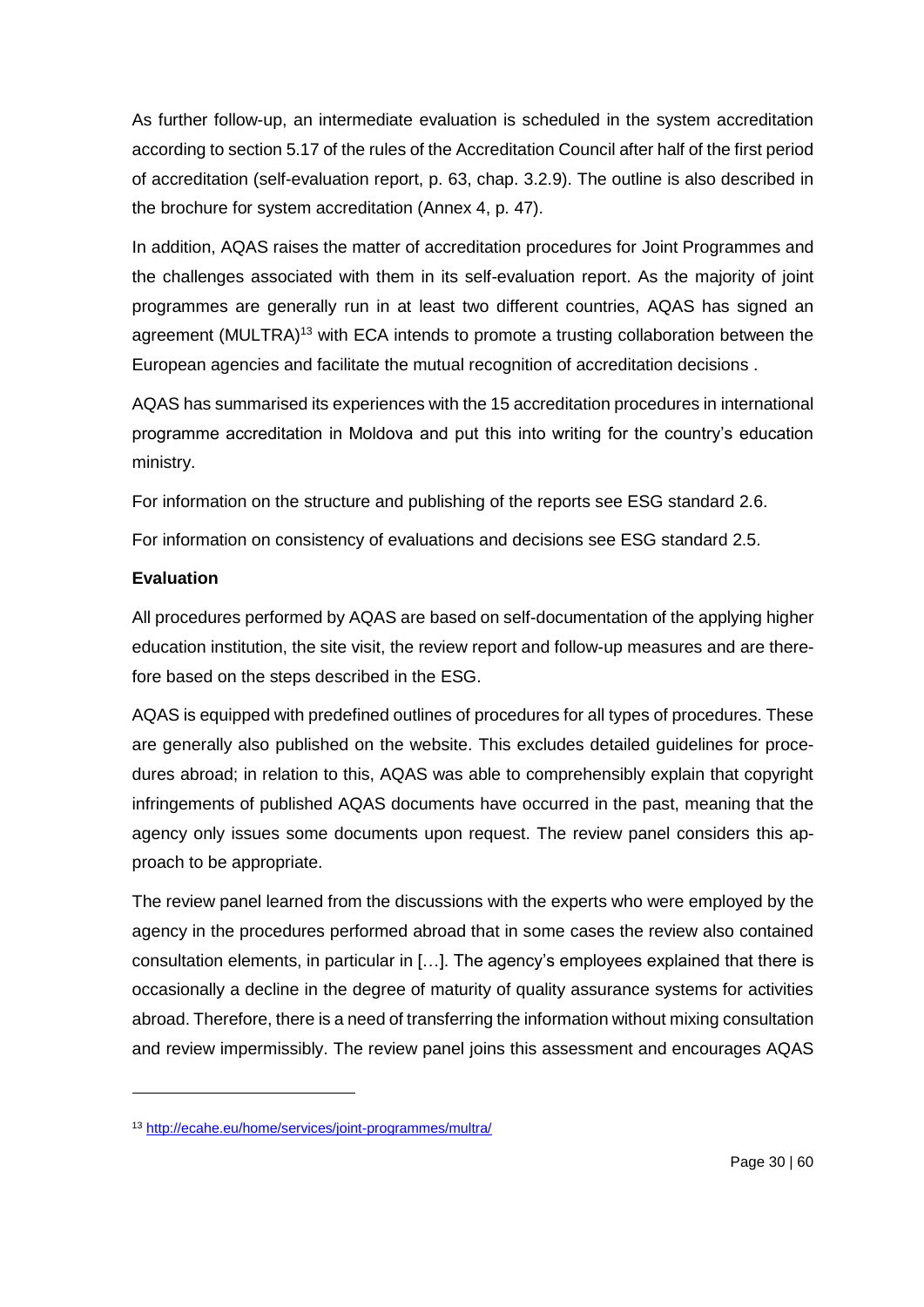As further follow-up, an intermediate evaluation is scheduled in the system accreditation according to section 5.17 of the rules of the Accreditation Council after half of the first period of accreditation (self-evaluation report, p. 63, chap. 3.2.9). The outline is also described in the brochure for system accreditation (Annex 4, p. 47).

In addition, AQAS raises the matter of accreditation procedures for Joint Programmes and the challenges associated with them in its self-evaluation report. As the majority of joint programmes are generally run in at least two different countries, AQAS has signed an agreement (MULTRA)<sup>13</sup> with ECA intends to promote a trusting collaboration between the European agencies and facilitate the mutual recognition of accreditation decisions .

AQAS has summarised its experiences with the 15 accreditation procedures in international programme accreditation in Moldova and put this into writing for the country's education ministry.

For information on the structure and publishing of the reports see ESG standard 2.6.

For information on consistency of evaluations and decisions see ESG standard 2.5.

# **Evaluation**

-

All procedures performed by AQAS are based on self-documentation of the applying higher education institution, the site visit, the review report and follow-up measures and are therefore based on the steps described in the ESG.

AQAS is equipped with predefined outlines of procedures for all types of procedures. These are generally also published on the website. This excludes detailed guidelines for procedures abroad; in relation to this, AQAS was able to comprehensibly explain that copyright infringements of published AQAS documents have occurred in the past, meaning that the agency only issues some documents upon request. The review panel considers this approach to be appropriate.

The review panel learned from the discussions with the experts who were employed by the agency in the procedures performed abroad that in some cases the review also contained consultation elements, in particular in […]. The agency's employees explained that there is occasionally a decline in the degree of maturity of quality assurance systems for activities abroad. Therefore, there is a need of transferring the information without mixing consultation and review impermissibly. The review panel joins this assessment and encourages AQAS

<sup>13</sup> <http://ecahe.eu/home/services/joint-programmes/multra/>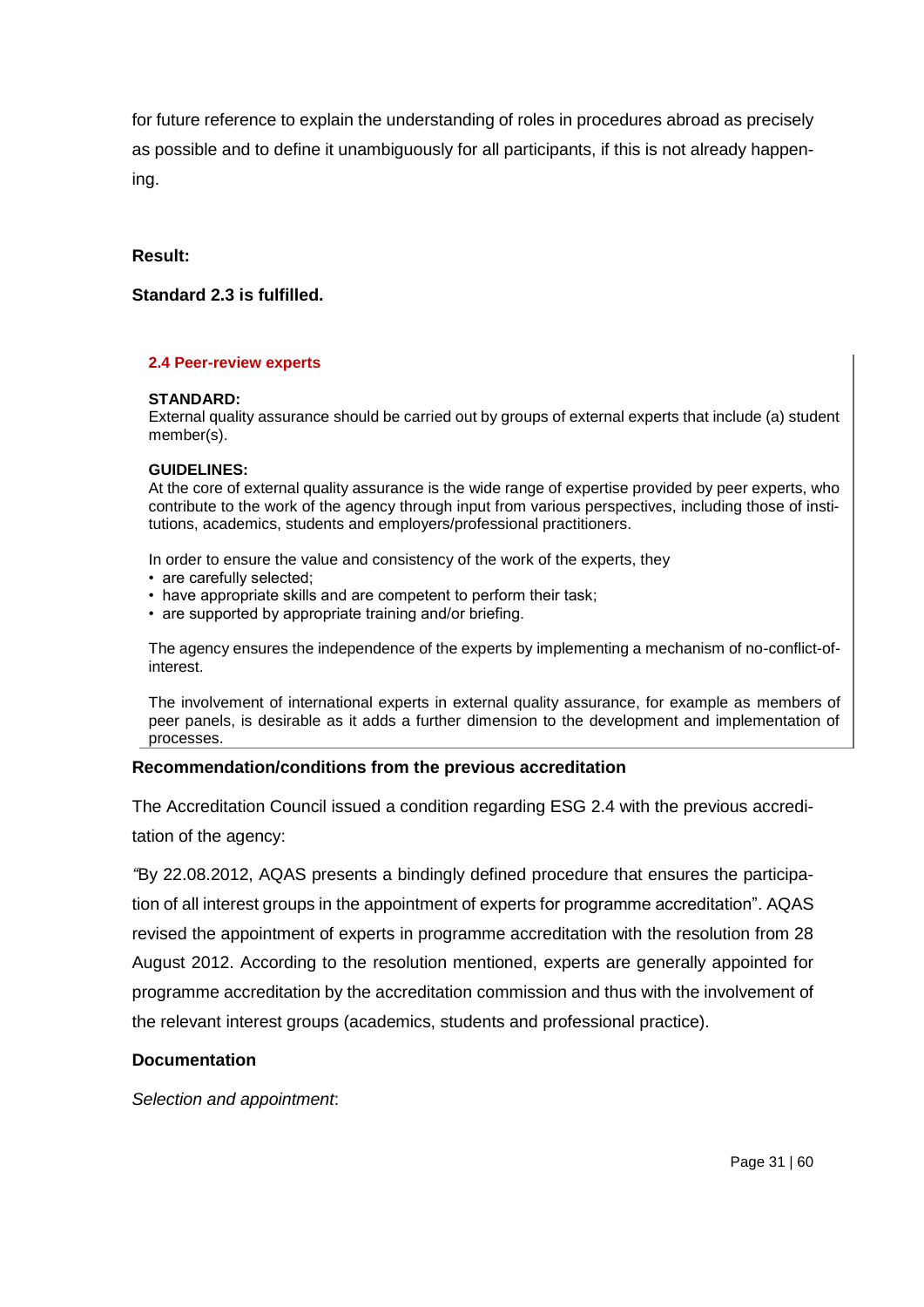for future reference to explain the understanding of roles in procedures abroad as precisely as possible and to define it unambiguously for all participants, if this is not already happening.

### **Result:**

### **Standard 2.3 is fulfilled.**

#### **2.4 Peer-review experts**

#### **STANDARD:**

External quality assurance should be carried out by groups of external experts that include (a) student member(s).

#### **GUIDELINES:**

At the core of external quality assurance is the wide range of expertise provided by peer experts, who contribute to the work of the agency through input from various perspectives, including those of institutions, academics, students and employers/professional practitioners.

In order to ensure the value and consistency of the work of the experts, they

- are carefully selected;
- have appropriate skills and are competent to perform their task;
- are supported by appropriate training and/or briefing.

The agency ensures the independence of the experts by implementing a mechanism of no-conflict-ofinterest.

The involvement of international experts in external quality assurance, for example as members of peer panels, is desirable as it adds a further dimension to the development and implementation of processes.

### **Recommendation/conditions from the previous accreditation**

The Accreditation Council issued a condition regarding ESG 2.4 with the previous accreditation of the agency:

*"*By 22.08.2012, AQAS presents a bindingly defined procedure that ensures the participation of all interest groups in the appointment of experts for programme accreditation". AQAS revised the appointment of experts in programme accreditation with the resolution from 28 August 2012. According to the resolution mentioned, experts are generally appointed for programme accreditation by the accreditation commission and thus with the involvement of the relevant interest groups (academics, students and professional practice).

### **Documentation**

*Selection and appointment*: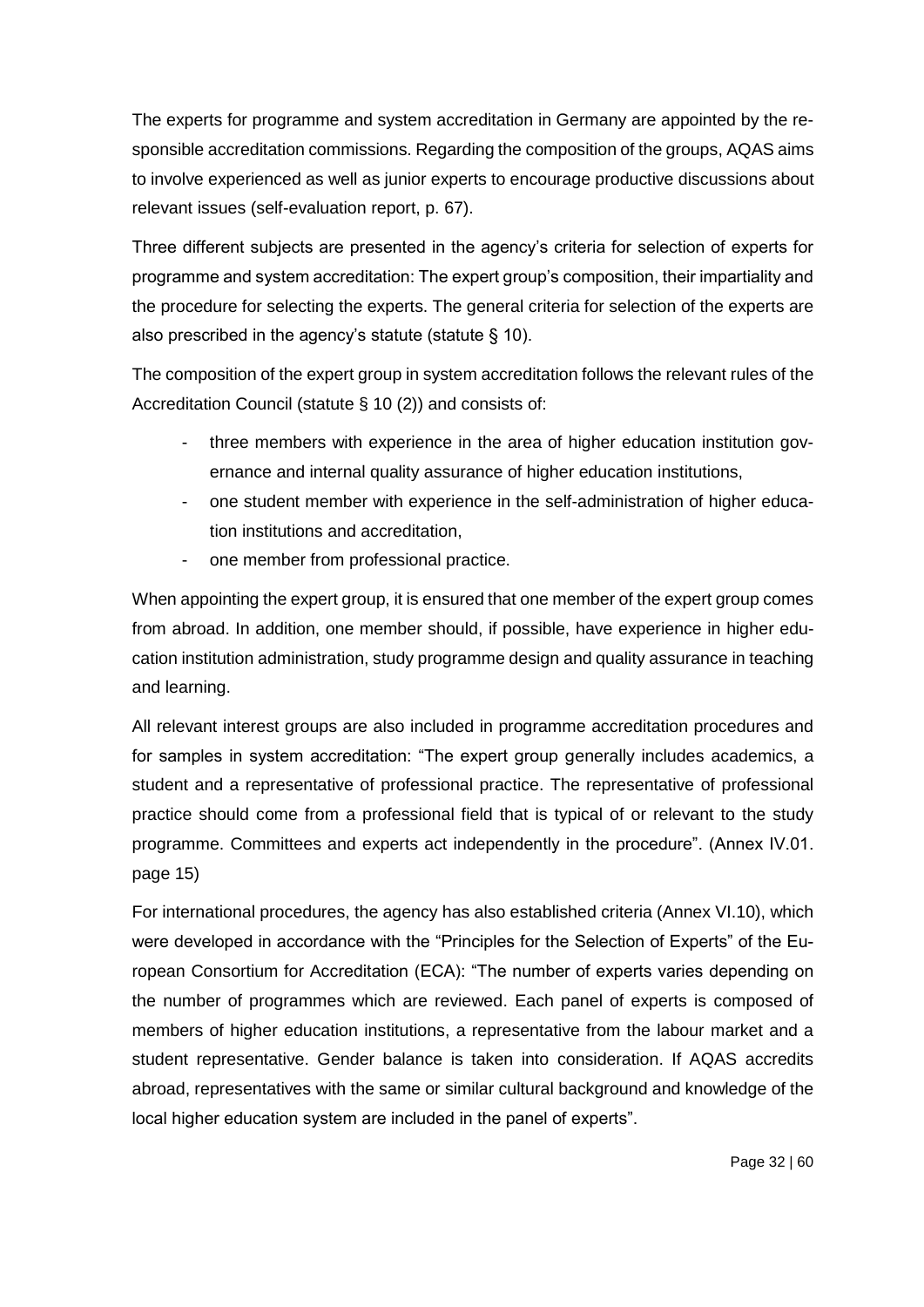The experts for programme and system accreditation in Germany are appointed by the responsible accreditation commissions. Regarding the composition of the groups, AQAS aims to involve experienced as well as junior experts to encourage productive discussions about relevant issues (self-evaluation report, p. 67).

Three different subjects are presented in the agency's criteria for selection of experts for programme and system accreditation: The expert group's composition, their impartiality and the procedure for selecting the experts. The general criteria for selection of the experts are also prescribed in the agency's statute (statute § 10).

The composition of the expert group in system accreditation follows the relevant rules of the Accreditation Council (statute § 10 (2)) and consists of:

- three members with experience in the area of higher education institution governance and internal quality assurance of higher education institutions,
- one student member with experience in the self-administration of higher education institutions and accreditation,
- one member from professional practice.

When appointing the expert group, it is ensured that one member of the expert group comes from abroad. In addition, one member should, if possible, have experience in higher education institution administration, study programme design and quality assurance in teaching and learning.

All relevant interest groups are also included in programme accreditation procedures and for samples in system accreditation: "The expert group generally includes academics, a student and a representative of professional practice. The representative of professional practice should come from a professional field that is typical of or relevant to the study programme. Committees and experts act independently in the procedure". (Annex IV.01. page 15)

For international procedures, the agency has also established criteria (Annex VI.10), which were developed in accordance with the "Principles for the Selection of Experts" of the European Consortium for Accreditation (ECA): "The number of experts varies depending on the number of programmes which are reviewed. Each panel of experts is composed of members of higher education institutions, a representative from the labour market and a student representative. Gender balance is taken into consideration. If AQAS accredits abroad, representatives with the same or similar cultural background and knowledge of the local higher education system are included in the panel of experts".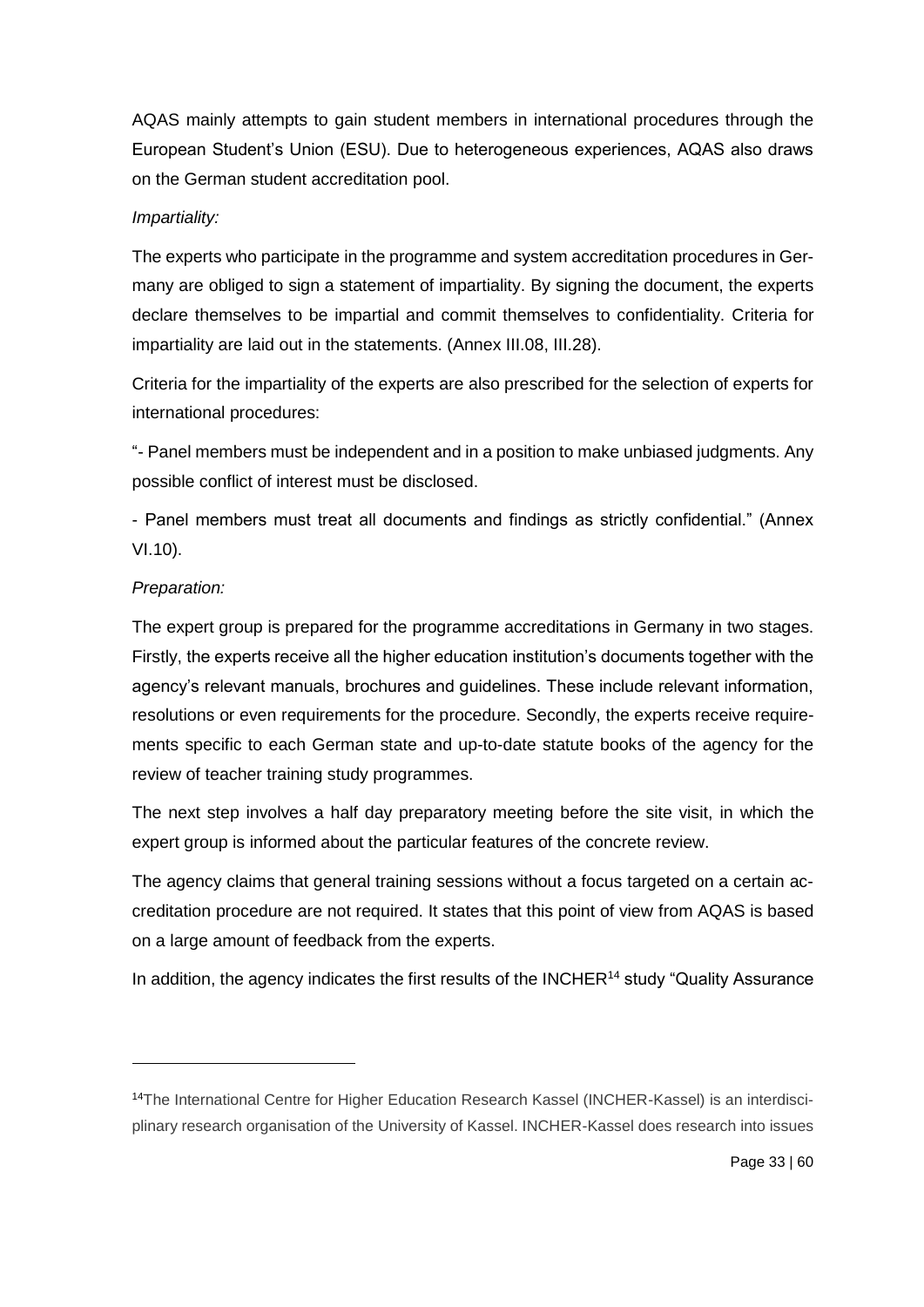AQAS mainly attempts to gain student members in international procedures through the European Student's Union (ESU). Due to heterogeneous experiences, AQAS also draws on the German student accreditation pool.

### *Impartiality:*

The experts who participate in the programme and system accreditation procedures in Germany are obliged to sign a statement of impartiality. By signing the document, the experts declare themselves to be impartial and commit themselves to confidentiality. Criteria for impartiality are laid out in the statements. (Annex III.08, III.28).

Criteria for the impartiality of the experts are also prescribed for the selection of experts for international procedures:

"- Panel members must be independent and in a position to make unbiased judgments. Any possible conflict of interest must be disclosed.

- Panel members must treat all documents and findings as strictly confidential." (Annex VI.10).

# *Preparation:*

1

The expert group is prepared for the programme accreditations in Germany in two stages. Firstly, the experts receive all the higher education institution's documents together with the agency's relevant manuals, brochures and guidelines. These include relevant information, resolutions or even requirements for the procedure. Secondly, the experts receive requirements specific to each German state and up-to-date statute books of the agency for the review of teacher training study programmes.

The next step involves a half day preparatory meeting before the site visit, in which the expert group is informed about the particular features of the concrete review.

The agency claims that general training sessions without a focus targeted on a certain accreditation procedure are not required. It states that this point of view from AQAS is based on a large amount of feedback from the experts.

In addition, the agency indicates the first results of the INCHER<sup>14</sup> study "Quality Assurance

<sup>14</sup>The International Centre for Higher Education Research Kassel (INCHER-Kassel) is an interdisciplinary research organisation of the University of Kassel. INCHER-Kassel does research into issues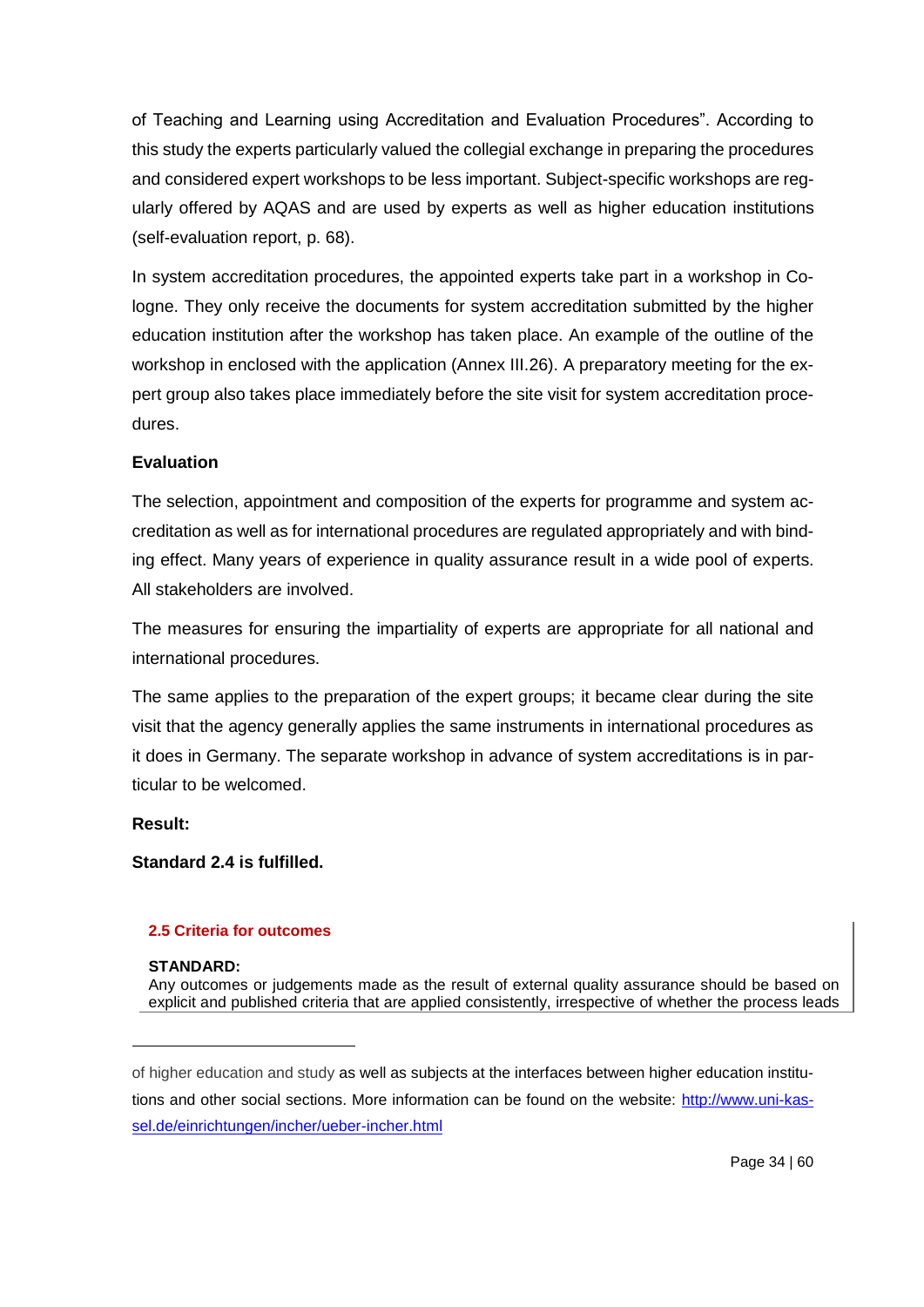of Teaching and Learning using Accreditation and Evaluation Procedures". According to this study the experts particularly valued the collegial exchange in preparing the procedures and considered expert workshops to be less important. Subject-specific workshops are regularly offered by AQAS and are used by experts as well as higher education institutions (self-evaluation report, p. 68).

In system accreditation procedures, the appointed experts take part in a workshop in Cologne. They only receive the documents for system accreditation submitted by the higher education institution after the workshop has taken place. An example of the outline of the workshop in enclosed with the application (Annex III.26). A preparatory meeting for the expert group also takes place immediately before the site visit for system accreditation procedures.

## **Evaluation**

The selection, appointment and composition of the experts for programme and system accreditation as well as for international procedures are regulated appropriately and with binding effect. Many years of experience in quality assurance result in a wide pool of experts. All stakeholders are involved.

The measures for ensuring the impartiality of experts are appropriate for all national and international procedures.

The same applies to the preparation of the expert groups; it became clear during the site visit that the agency generally applies the same instruments in international procedures as it does in Germany. The separate workshop in advance of system accreditations is in particular to be welcomed.

**Result:**

-

**Standard 2.4 is fulfilled.**

### **2.5 Criteria for outcomes**

### **STANDARD:**

Any outcomes or judgements made as the result of external quality assurance should be based on explicit and published criteria that are applied consistently, irrespective of whether the process leads

of higher education and study as well as subjects at the interfaces between higher education institutions and other social sections. More information can be found on the website: [http://www.uni-kas](http://www.uni-kassel.de/einrichtungen/incher/ueber-incher.html)[sel.de/einrichtungen/incher/ueber-incher.html](http://www.uni-kassel.de/einrichtungen/incher/ueber-incher.html)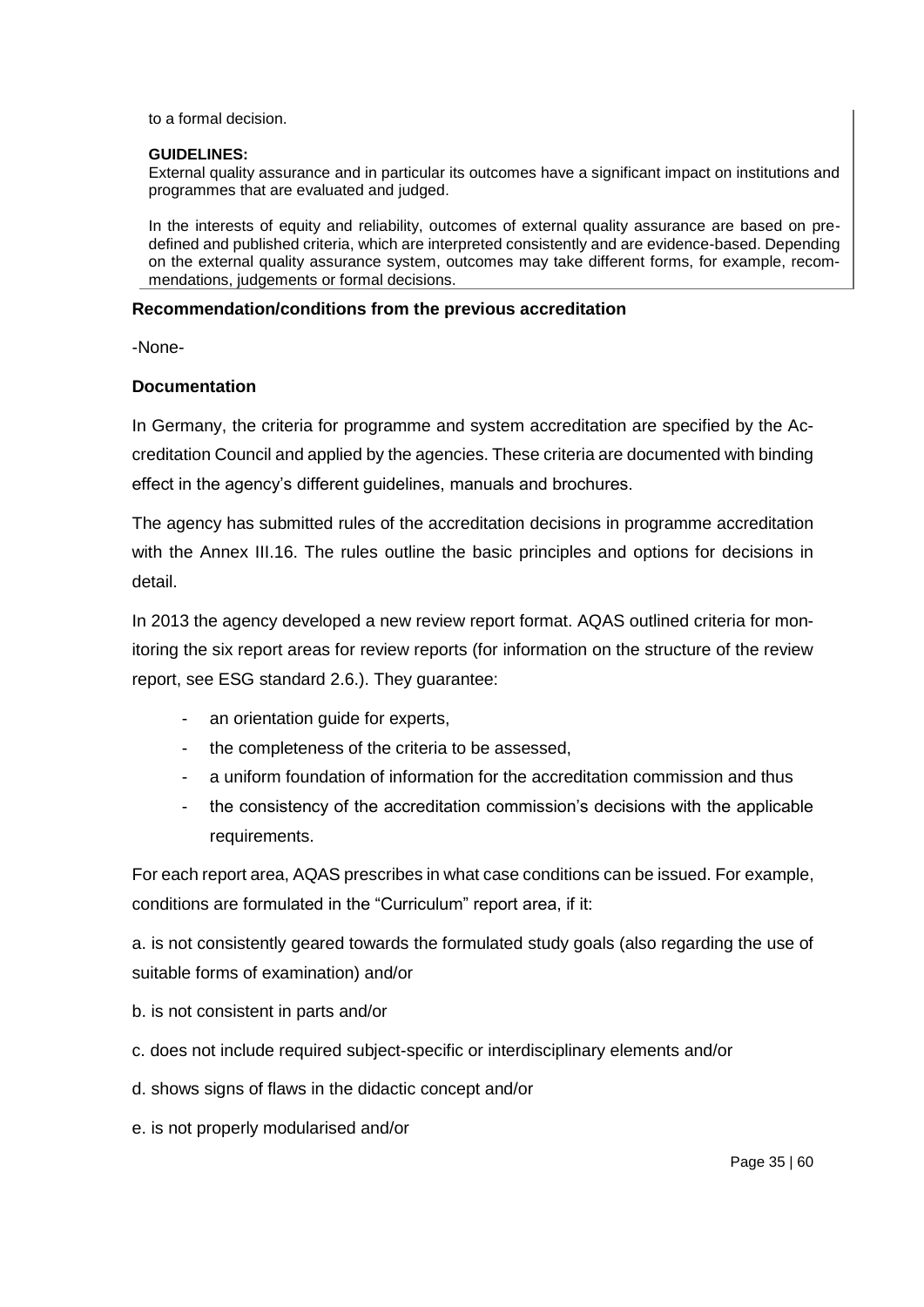to a formal decision.

#### **GUIDELINES:**

External quality assurance and in particular its outcomes have a significant impact on institutions and programmes that are evaluated and judged.

In the interests of equity and reliability, outcomes of external quality assurance are based on predefined and published criteria, which are interpreted consistently and are evidence-based. Depending on the external quality assurance system, outcomes may take different forms, for example, recommendations, judgements or formal decisions.

#### **Recommendation/conditions from the previous accreditation**

-None-

#### **Documentation**

In Germany, the criteria for programme and system accreditation are specified by the Accreditation Council and applied by the agencies. These criteria are documented with binding effect in the agency's different guidelines, manuals and brochures.

The agency has submitted rules of the accreditation decisions in programme accreditation with the Annex III.16. The rules outline the basic principles and options for decisions in detail.

In 2013 the agency developed a new review report format. AQAS outlined criteria for monitoring the six report areas for review reports (for information on the structure of the review report, see ESG standard 2.6.). They guarantee:

- an orientation guide for experts,
- the completeness of the criteria to be assessed,
- a uniform foundation of information for the accreditation commission and thus
- the consistency of the accreditation commission's decisions with the applicable requirements.

For each report area, AQAS prescribes in what case conditions can be issued. For example, conditions are formulated in the "Curriculum" report area, if it:

a. is not consistently geared towards the formulated study goals (also regarding the use of suitable forms of examination) and/or

- b. is not consistent in parts and/or
- c. does not include required subject-specific or interdisciplinary elements and/or
- d. shows signs of flaws in the didactic concept and/or
- e. is not properly modularised and/or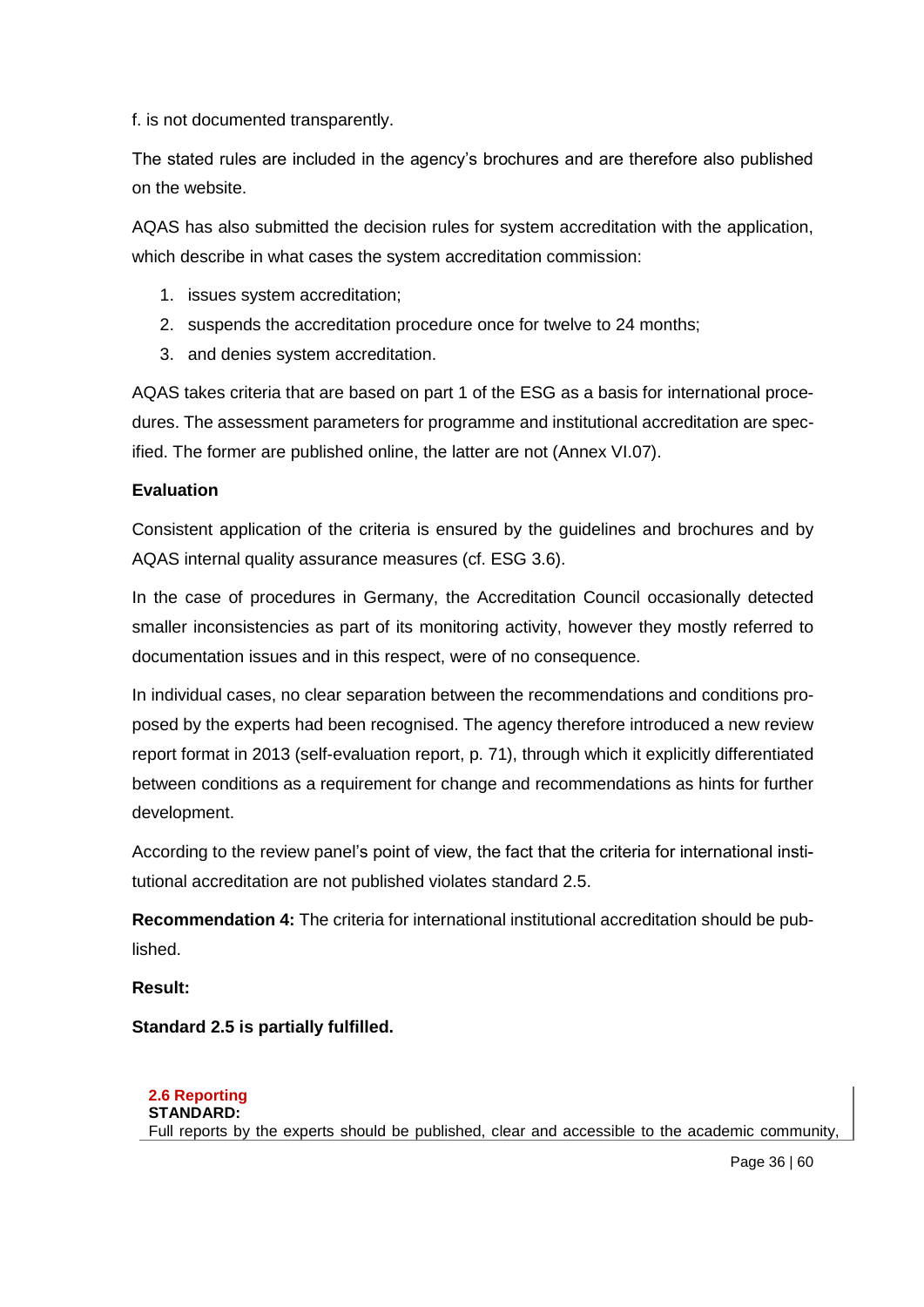f. is not documented transparently.

The stated rules are included in the agency's brochures and are therefore also published on the website.

AQAS has also submitted the decision rules for system accreditation with the application, which describe in what cases the system accreditation commission:

- 1. issues system accreditation;
- 2. suspends the accreditation procedure once for twelve to 24 months;
- 3. and denies system accreditation.

AQAS takes criteria that are based on part 1 of the ESG as a basis for international procedures. The assessment parameters for programme and institutional accreditation are specified. The former are published online, the latter are not (Annex VI.07).

## **Evaluation**

Consistent application of the criteria is ensured by the guidelines and brochures and by AQAS internal quality assurance measures (cf. ESG 3.6).

In the case of procedures in Germany, the Accreditation Council occasionally detected smaller inconsistencies as part of its monitoring activity, however they mostly referred to documentation issues and in this respect, were of no consequence.

In individual cases, no clear separation between the recommendations and conditions proposed by the experts had been recognised. The agency therefore introduced a new review report format in 2013 (self-evaluation report, p. 71), through which it explicitly differentiated between conditions as a requirement for change and recommendations as hints for further development.

According to the review panel's point of view, the fact that the criteria for international institutional accreditation are not published violates standard 2.5.

**Recommendation 4:** The criteria for international institutional accreditation should be published.

# **Result:**

**Standard 2.5 is partially fulfilled.**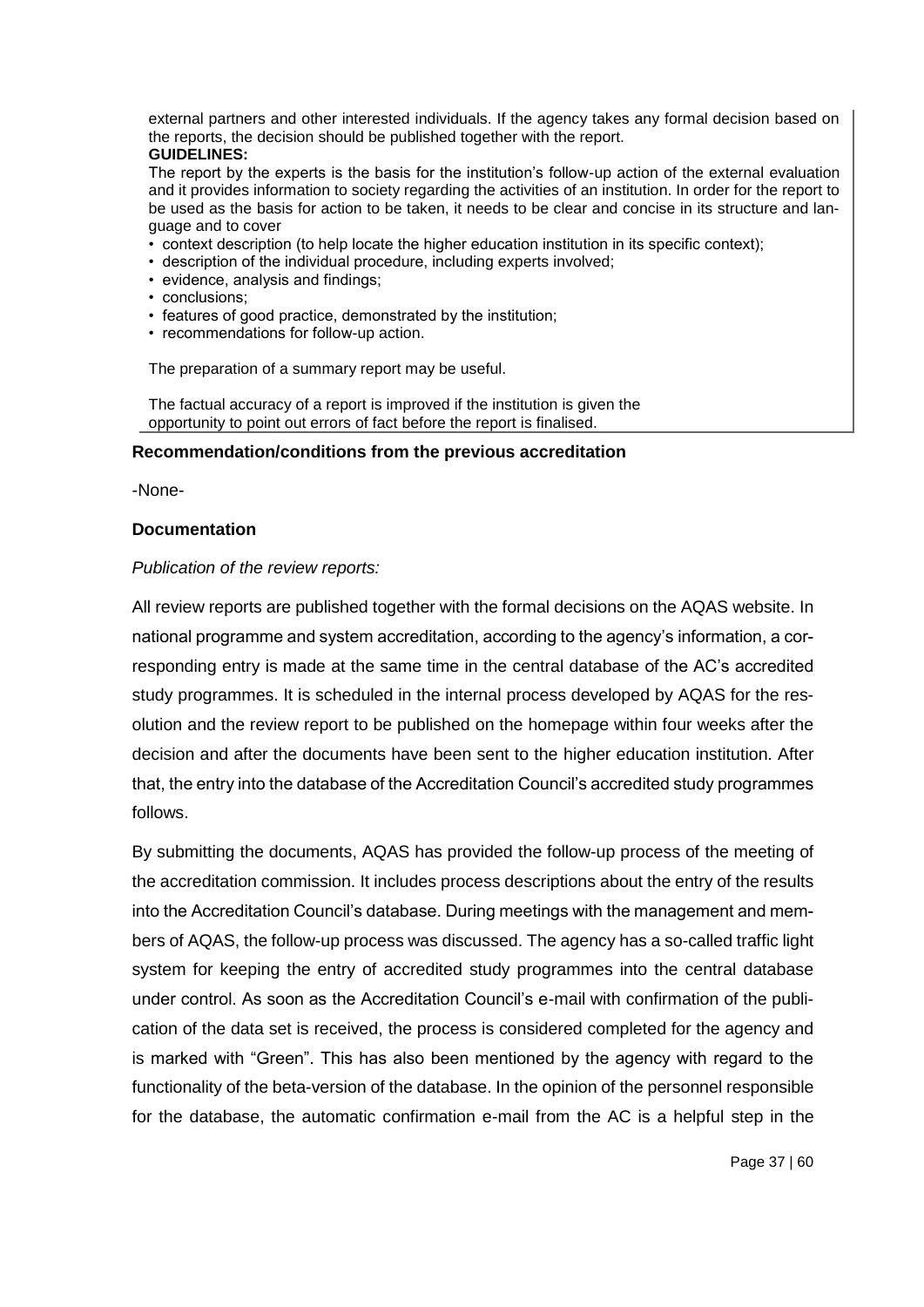external partners and other interested individuals. If the agency takes any formal decision based on the reports, the decision should be published together with the report.

#### **GUIDELINES:**

The report by the experts is the basis for the institution's follow-up action of the external evaluation and it provides information to society regarding the activities of an institution. In order for the report to be used as the basis for action to be taken, it needs to be clear and concise in its structure and language and to cover

- context description (to help locate the higher education institution in its specific context);
- description of the individual procedure, including experts involved;
- evidence, analysis and findings;
- conclusions;
- features of good practice, demonstrated by the institution;
- recommendations for follow-up action.

The preparation of a summary report may be useful.

The factual accuracy of a report is improved if the institution is given the opportunity to point out errors of fact before the report is finalised.

#### **Recommendation/conditions from the previous accreditation**

-None-

#### **Documentation**

#### *Publication of the review reports:*

All review reports are published together with the formal decisions on the AQAS website. In national programme and system accreditation, according to the agency's information, a corresponding entry is made at the same time in the central database of the AC's accredited study programmes. It is scheduled in the internal process developed by AQAS for the resolution and the review report to be published on the homepage within four weeks after the decision and after the documents have been sent to the higher education institution. After that, the entry into the database of the Accreditation Council's accredited study programmes follows.

By submitting the documents, AQAS has provided the follow-up process of the meeting of the accreditation commission. It includes process descriptions about the entry of the results into the Accreditation Council's database. During meetings with the management and members of AQAS, the follow-up process was discussed. The agency has a so-called traffic light system for keeping the entry of accredited study programmes into the central database under control. As soon as the Accreditation Council's e-mail with confirmation of the publication of the data set is received, the process is considered completed for the agency and is marked with "Green". This has also been mentioned by the agency with regard to the functionality of the beta-version of the database. In the opinion of the personnel responsible for the database, the automatic confirmation e-mail from the AC is a helpful step in the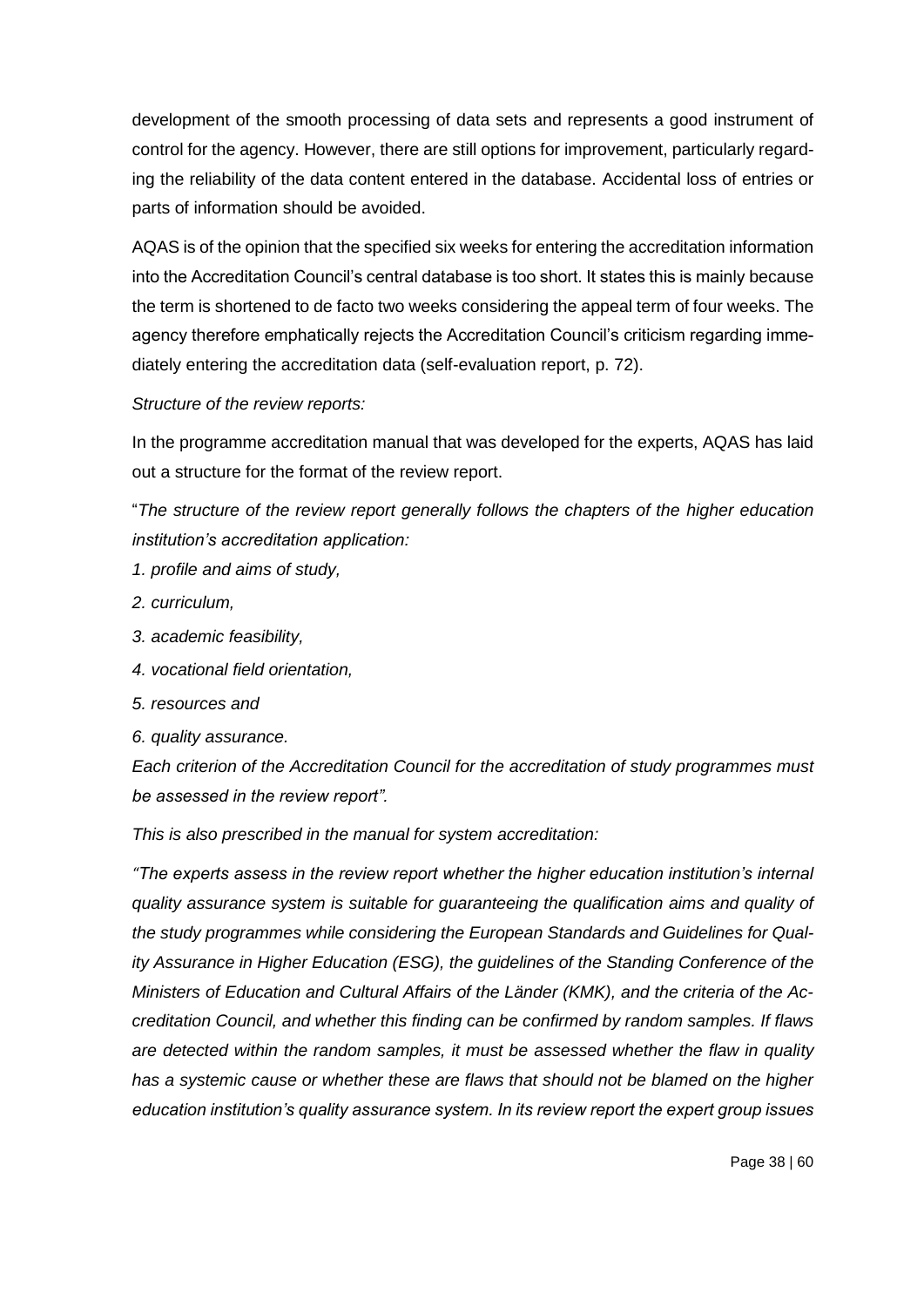development of the smooth processing of data sets and represents a good instrument of control for the agency. However, there are still options for improvement, particularly regarding the reliability of the data content entered in the database. Accidental loss of entries or parts of information should be avoided.

AQAS is of the opinion that the specified six weeks for entering the accreditation information into the Accreditation Council's central database is too short. It states this is mainly because the term is shortened to de facto two weeks considering the appeal term of four weeks. The agency therefore emphatically rejects the Accreditation Council's criticism regarding immediately entering the accreditation data (self-evaluation report, p. 72).

## *Structure of the review reports:*

In the programme accreditation manual that was developed for the experts, AQAS has laid out a structure for the format of the review report.

"*The structure of the review report generally follows the chapters of the higher education institution's accreditation application:*

- *1. profile and aims of study,*
- *2. curriculum,*
- *3. academic feasibility,*
- *4. vocational field orientation,*
- *5. resources and*
- *6. quality assurance.*

*Each criterion of the Accreditation Council for the accreditation of study programmes must be assessed in the review report".*

*This is also prescribed in the manual for system accreditation:* 

*"The experts assess in the review report whether the higher education institution's internal quality assurance system is suitable for guaranteeing the qualification aims and quality of the study programmes while considering the European Standards and Guidelines for Quality Assurance in Higher Education (ESG), the guidelines of the Standing Conference of the Ministers of Education and Cultural Affairs of the Länder (KMK), and the criteria of the Accreditation Council, and whether this finding can be confirmed by random samples. If flaws are detected within the random samples, it must be assessed whether the flaw in quality has a systemic cause or whether these are flaws that should not be blamed on the higher education institution's quality assurance system. In its review report the expert group issues*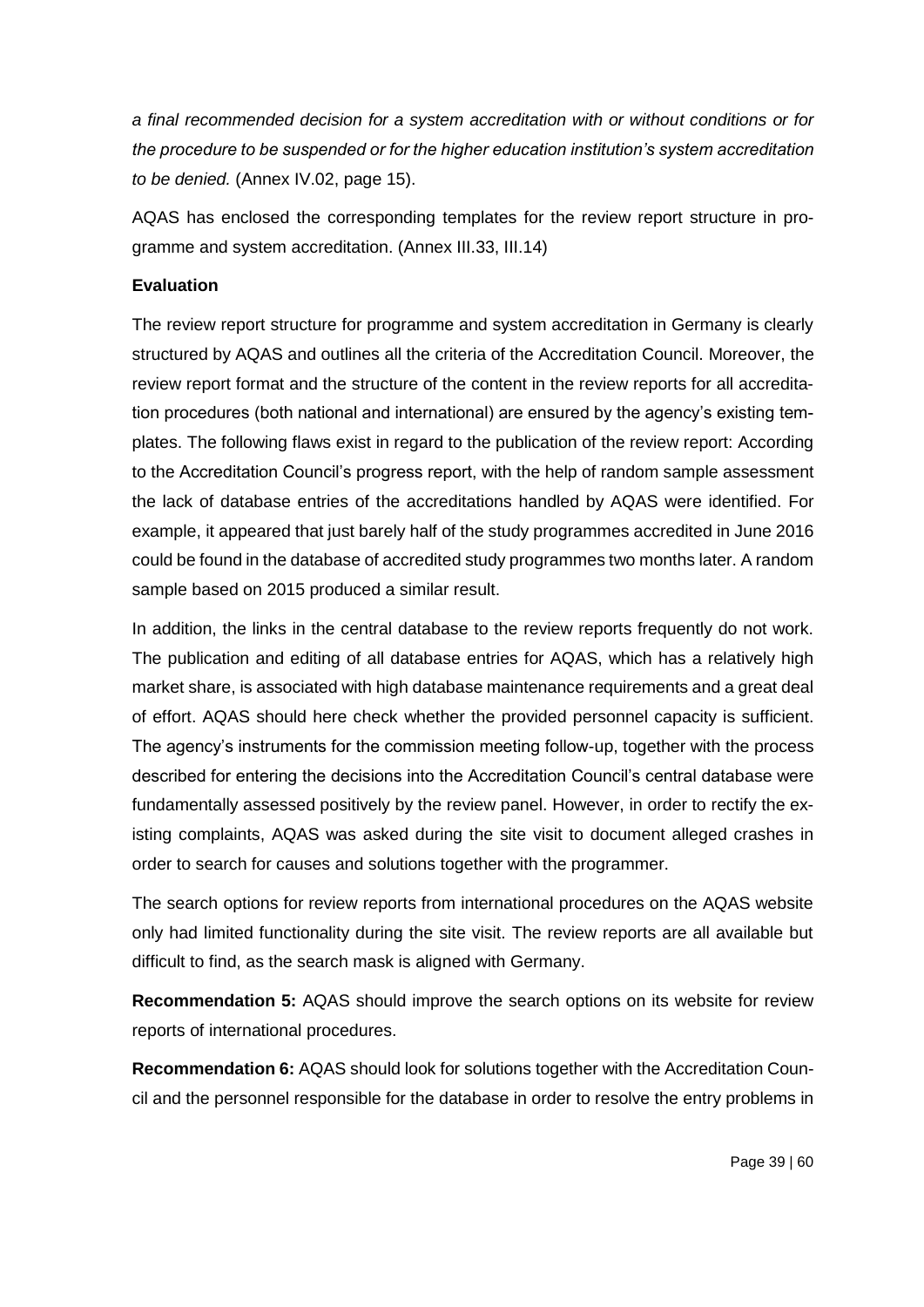*a final recommended decision for a system accreditation with or without conditions or for the procedure to be suspended or for the higher education institution's system accreditation to be denied.* (Annex IV.02, page 15).

AQAS has enclosed the corresponding templates for the review report structure in programme and system accreditation. (Annex III.33, III.14)

# **Evaluation**

The review report structure for programme and system accreditation in Germany is clearly structured by AQAS and outlines all the criteria of the Accreditation Council. Moreover, the review report format and the structure of the content in the review reports for all accreditation procedures (both national and international) are ensured by the agency's existing templates. The following flaws exist in regard to the publication of the review report: According to the Accreditation Council's progress report, with the help of random sample assessment the lack of database entries of the accreditations handled by AQAS were identified. For example, it appeared that just barely half of the study programmes accredited in June 2016 could be found in the database of accredited study programmes two months later. A random sample based on 2015 produced a similar result.

In addition, the links in the central database to the review reports frequently do not work. The publication and editing of all database entries for AQAS, which has a relatively high market share, is associated with high database maintenance requirements and a great deal of effort. AQAS should here check whether the provided personnel capacity is sufficient. The agency's instruments for the commission meeting follow-up, together with the process described for entering the decisions into the Accreditation Council's central database were fundamentally assessed positively by the review panel. However, in order to rectify the existing complaints, AQAS was asked during the site visit to document alleged crashes in order to search for causes and solutions together with the programmer.

The search options for review reports from international procedures on the AQAS website only had limited functionality during the site visit. The review reports are all available but difficult to find, as the search mask is aligned with Germany.

**Recommendation 5:** AQAS should improve the search options on its website for review reports of international procedures.

**Recommendation 6:** AQAS should look for solutions together with the Accreditation Council and the personnel responsible for the database in order to resolve the entry problems in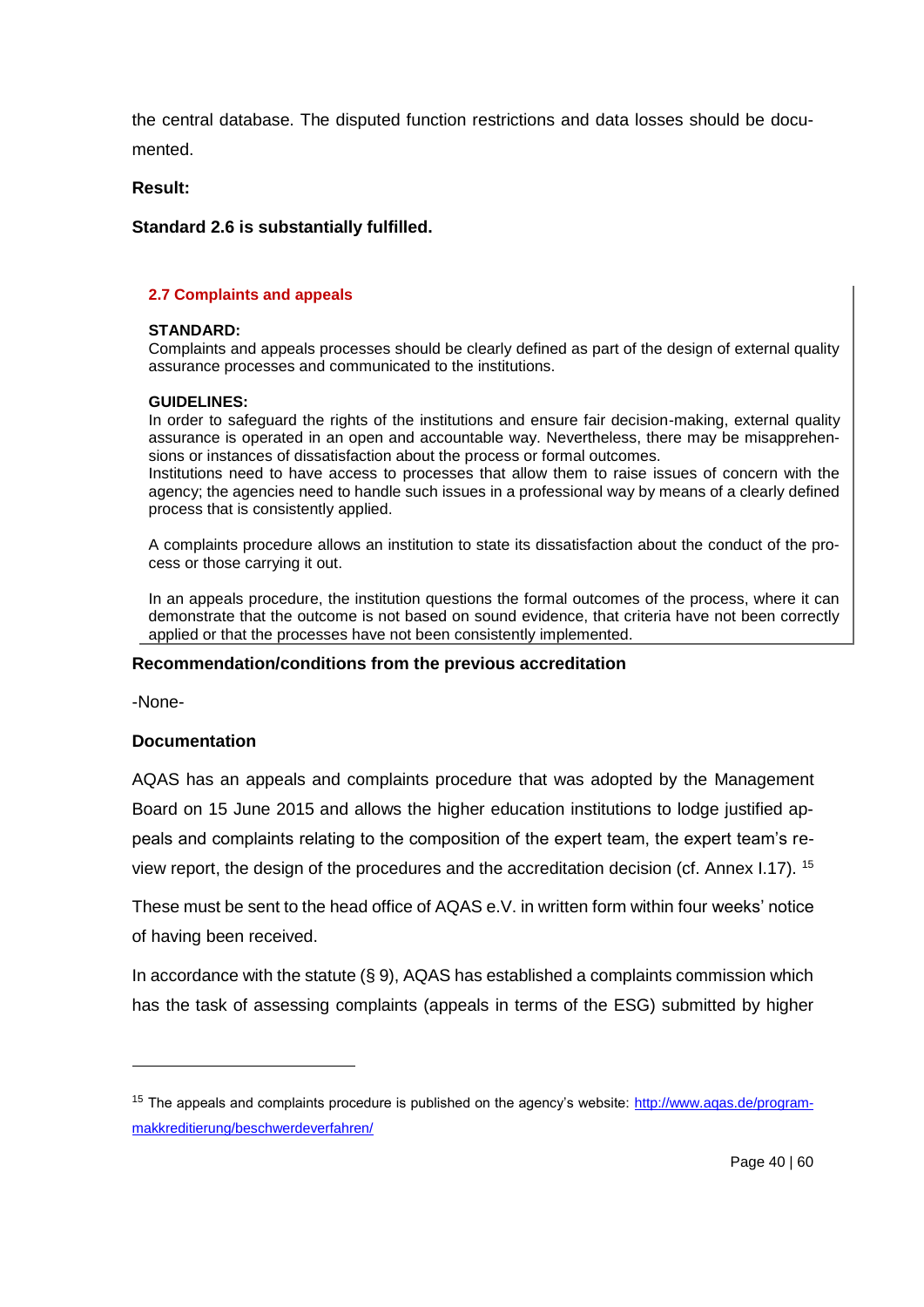the central database. The disputed function restrictions and data losses should be documented.

**Result:**

# **Standard 2.6 is substantially fulfilled.**

### **2.7 Complaints and appeals**

### **STANDARD:**

Complaints and appeals processes should be clearly defined as part of the design of external quality assurance processes and communicated to the institutions.

### **GUIDELINES:**

In order to safeguard the rights of the institutions and ensure fair decision-making, external quality assurance is operated in an open and accountable way. Nevertheless, there may be misapprehensions or instances of dissatisfaction about the process or formal outcomes.

Institutions need to have access to processes that allow them to raise issues of concern with the agency; the agencies need to handle such issues in a professional way by means of a clearly defined process that is consistently applied.

A complaints procedure allows an institution to state its dissatisfaction about the conduct of the process or those carrying it out.

In an appeals procedure, the institution questions the formal outcomes of the process, where it can demonstrate that the outcome is not based on sound evidence, that criteria have not been correctly applied or that the processes have not been consistently implemented.

### **Recommendation/conditions from the previous accreditation**

-None-

 $\overline{a}$ 

# **Documentation**

AQAS has an appeals and complaints procedure that was adopted by the Management Board on 15 June 2015 and allows the higher education institutions to lodge justified appeals and complaints relating to the composition of the expert team, the expert team's review report, the design of the procedures and the accreditation decision (cf. Annex I.17). <sup>15</sup>

These must be sent to the head office of AQAS e.V. in written form within four weeks' notice of having been received.

In accordance with the statute  $(\S 9)$ , AQAS has established a complaints commission which has the task of assessing complaints (appeals in terms of the ESG) submitted by higher

<sup>&</sup>lt;sup>15</sup> The appeals and complaints procedure is published on the agency's website: [http://www.aqas.de/program](http://www.aqas.de/programmakkreditierung/beschwerdeverfahren/)[makkreditierung/beschwerdeverfahren/](http://www.aqas.de/programmakkreditierung/beschwerdeverfahren/)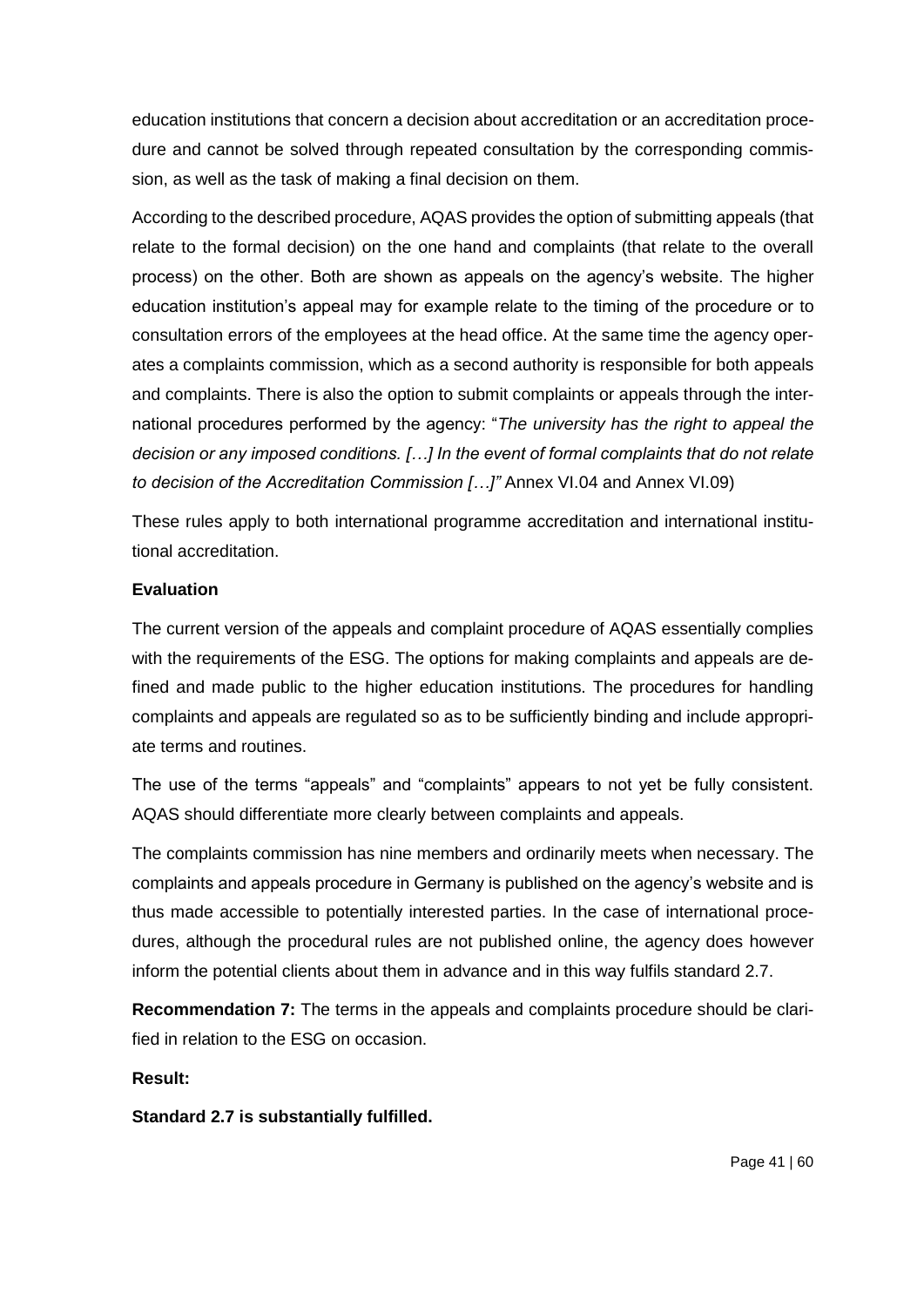education institutions that concern a decision about accreditation or an accreditation procedure and cannot be solved through repeated consultation by the corresponding commission, as well as the task of making a final decision on them.

According to the described procedure, AQAS provides the option of submitting appeals (that relate to the formal decision) on the one hand and complaints (that relate to the overall process) on the other. Both are shown as appeals on the agency's website. The higher education institution's appeal may for example relate to the timing of the procedure or to consultation errors of the employees at the head office. At the same time the agency operates a complaints commission, which as a second authority is responsible for both appeals and complaints. There is also the option to submit complaints or appeals through the international procedures performed by the agency: "*The university has the right to appeal the decision or any imposed conditions. […] In the event of formal complaints that do not relate to decision of the Accreditation Commission […]"* Annex VI.04 and Annex VI.09)

These rules apply to both international programme accreditation and international institutional accreditation.

## **Evaluation**

The current version of the appeals and complaint procedure of AQAS essentially complies with the requirements of the ESG. The options for making complaints and appeals are defined and made public to the higher education institutions. The procedures for handling complaints and appeals are regulated so as to be sufficiently binding and include appropriate terms and routines.

The use of the terms "appeals" and "complaints" appears to not yet be fully consistent. AQAS should differentiate more clearly between complaints and appeals.

The complaints commission has nine members and ordinarily meets when necessary. The complaints and appeals procedure in Germany is published on the agency's website and is thus made accessible to potentially interested parties. In the case of international procedures, although the procedural rules are not published online, the agency does however inform the potential clients about them in advance and in this way fulfils standard 2.7.

**Recommendation 7:** The terms in the appeals and complaints procedure should be clarified in relation to the ESG on occasion.

# **Result:**

**Standard 2.7 is substantially fulfilled.**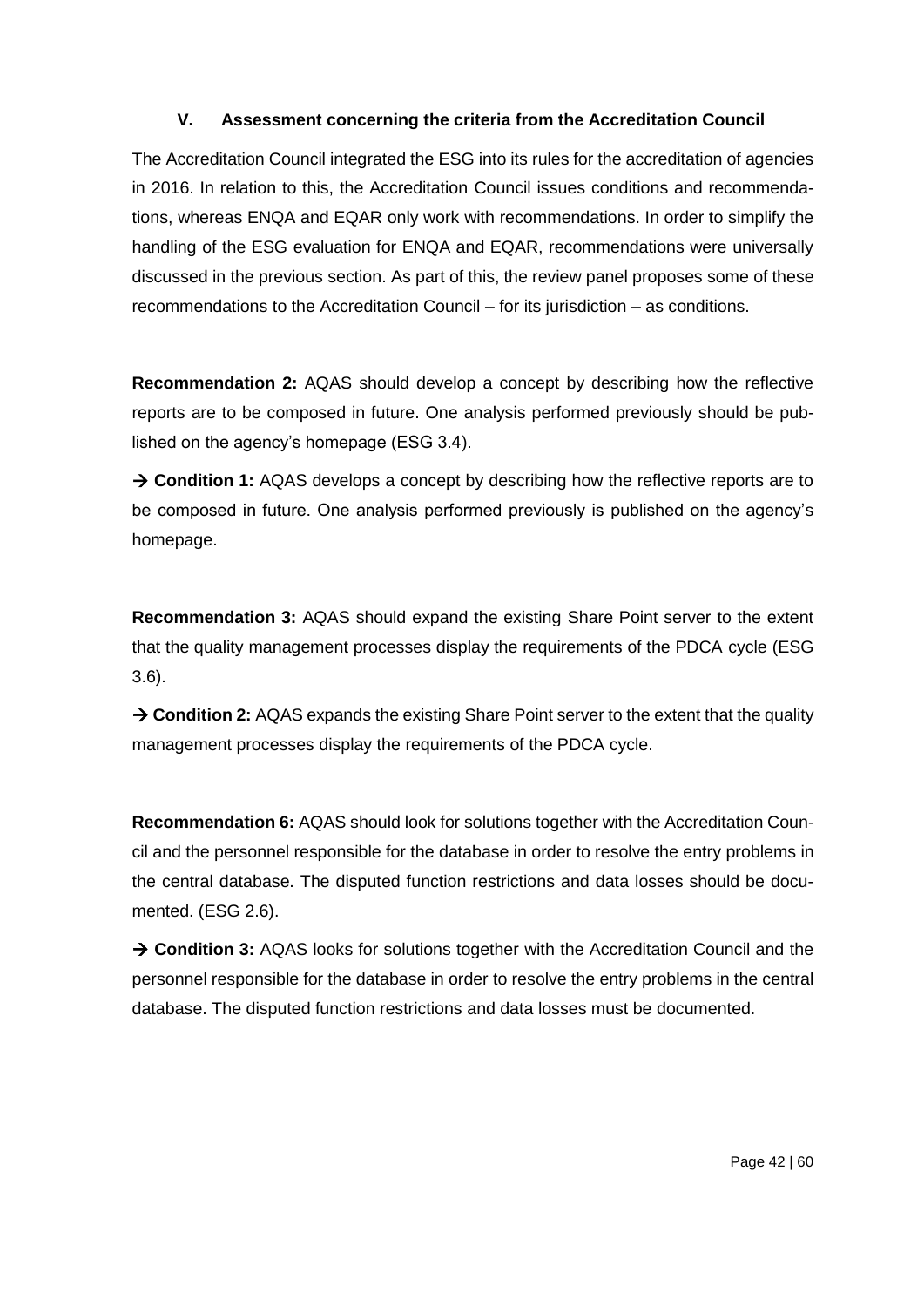# **V. Assessment concerning the criteria from the Accreditation Council**

The Accreditation Council integrated the ESG into its rules for the accreditation of agencies in 2016. In relation to this, the Accreditation Council issues conditions and recommendations, whereas ENQA and EQAR only work with recommendations. In order to simplify the handling of the ESG evaluation for ENQA and EQAR, recommendations were universally discussed in the previous section. As part of this, the review panel proposes some of these recommendations to the Accreditation Council – for its jurisdiction – as conditions.

**Recommendation 2:** AQAS should develop a concept by describing how the reflective reports are to be composed in future. One analysis performed previously should be published on the agency's homepage (ESG 3.4).

→ **Condition 1:** AQAS develops a concept by describing how the reflective reports are to be composed in future. One analysis performed previously is published on the agency's homepage.

**Recommendation 3:** AQAS should expand the existing Share Point server to the extent that the quality management processes display the requirements of the PDCA cycle (ESG 3.6).

→ **Condition 2:** AQAS expands the existing Share Point server to the extent that the quality management processes display the requirements of the PDCA cycle.

**Recommendation 6:** AQAS should look for solutions together with the Accreditation Council and the personnel responsible for the database in order to resolve the entry problems in the central database. The disputed function restrictions and data losses should be documented. (ESG 2.6).

→ **Condition 3:** AQAS looks for solutions together with the Accreditation Council and the personnel responsible for the database in order to resolve the entry problems in the central database. The disputed function restrictions and data losses must be documented.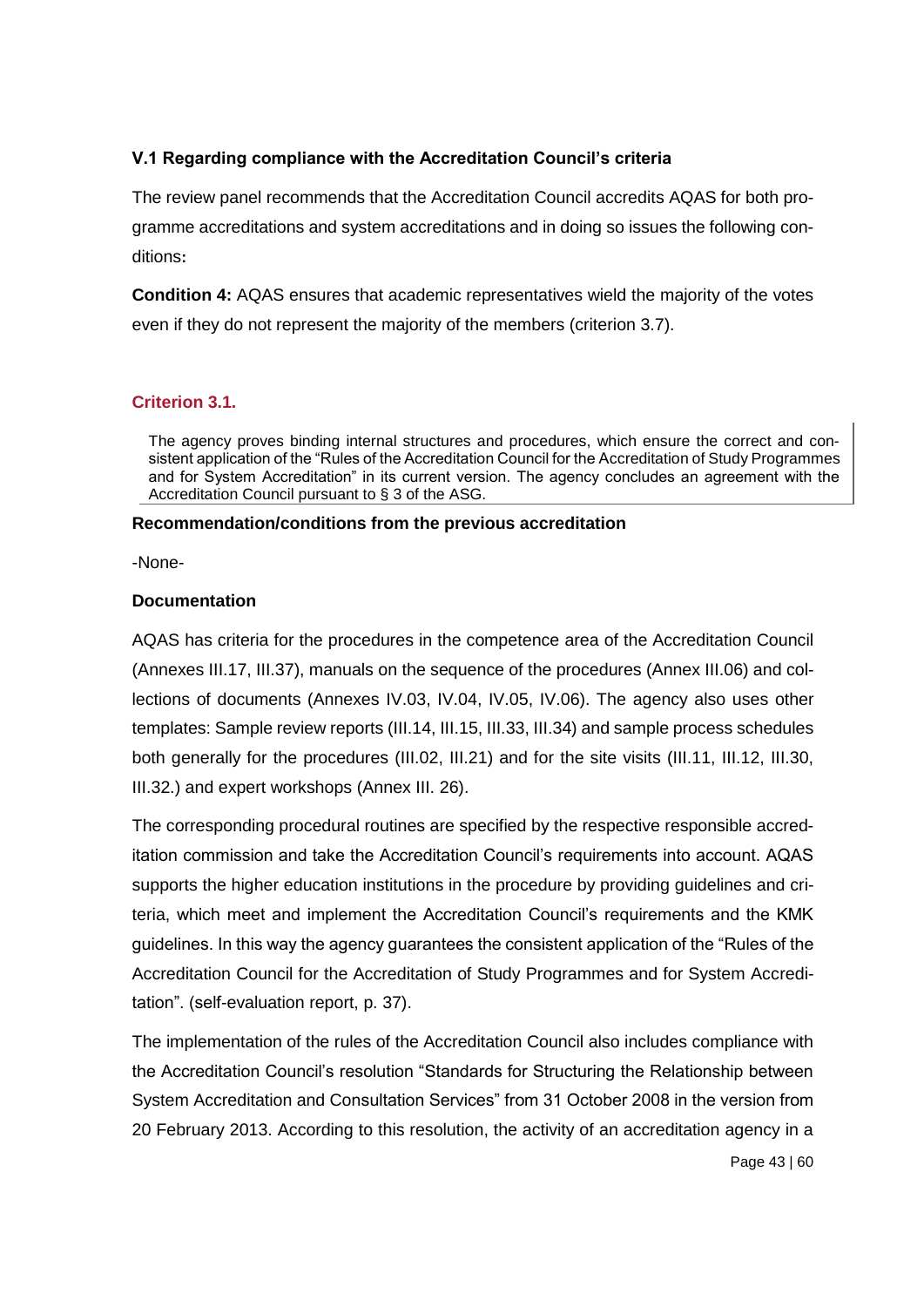# **V.1 Regarding compliance with the Accreditation Council's criteria**

The review panel recommends that the Accreditation Council accredits AQAS for both programme accreditations and system accreditations and in doing so issues the following conditions**:**

**Condition 4:** AQAS ensures that academic representatives wield the majority of the votes even if they do not represent the majority of the members (criterion 3.7).

## **Criterion 3.1.**

The agency proves binding internal structures and procedures, which ensure the correct and consistent application of the "Rules of the Accreditation Council for the Accreditation of Study Programmes and for System Accreditation" in its current version. The agency concludes an agreement with the Accreditation Council pursuant to § 3 of the ASG.

#### **Recommendation/conditions from the previous accreditation**

-None-

### **Documentation**

AQAS has criteria for the procedures in the competence area of the Accreditation Council (Annexes III.17, III.37), manuals on the sequence of the procedures (Annex III.06) and collections of documents (Annexes IV.03, IV.04, IV.05, IV.06). The agency also uses other templates: Sample review reports (III.14, III.15, III.33, III.34) and sample process schedules both generally for the procedures (III.02, III.21) and for the site visits (III.11, III.12, III.30, III.32.) and expert workshops (Annex III. 26).

The corresponding procedural routines are specified by the respective responsible accreditation commission and take the Accreditation Council's requirements into account. AQAS supports the higher education institutions in the procedure by providing guidelines and criteria, which meet and implement the Accreditation Council's requirements and the KMK guidelines. In this way the agency guarantees the consistent application of the "Rules of the Accreditation Council for the Accreditation of Study Programmes and for System Accreditation". (self-evaluation report, p. 37).

The implementation of the rules of the Accreditation Council also includes compliance with the Accreditation Council's resolution "Standards for Structuring the Relationship between System Accreditation and Consultation Services" from 31 October 2008 in the version from 20 February 2013. According to this resolution, the activity of an accreditation agency in a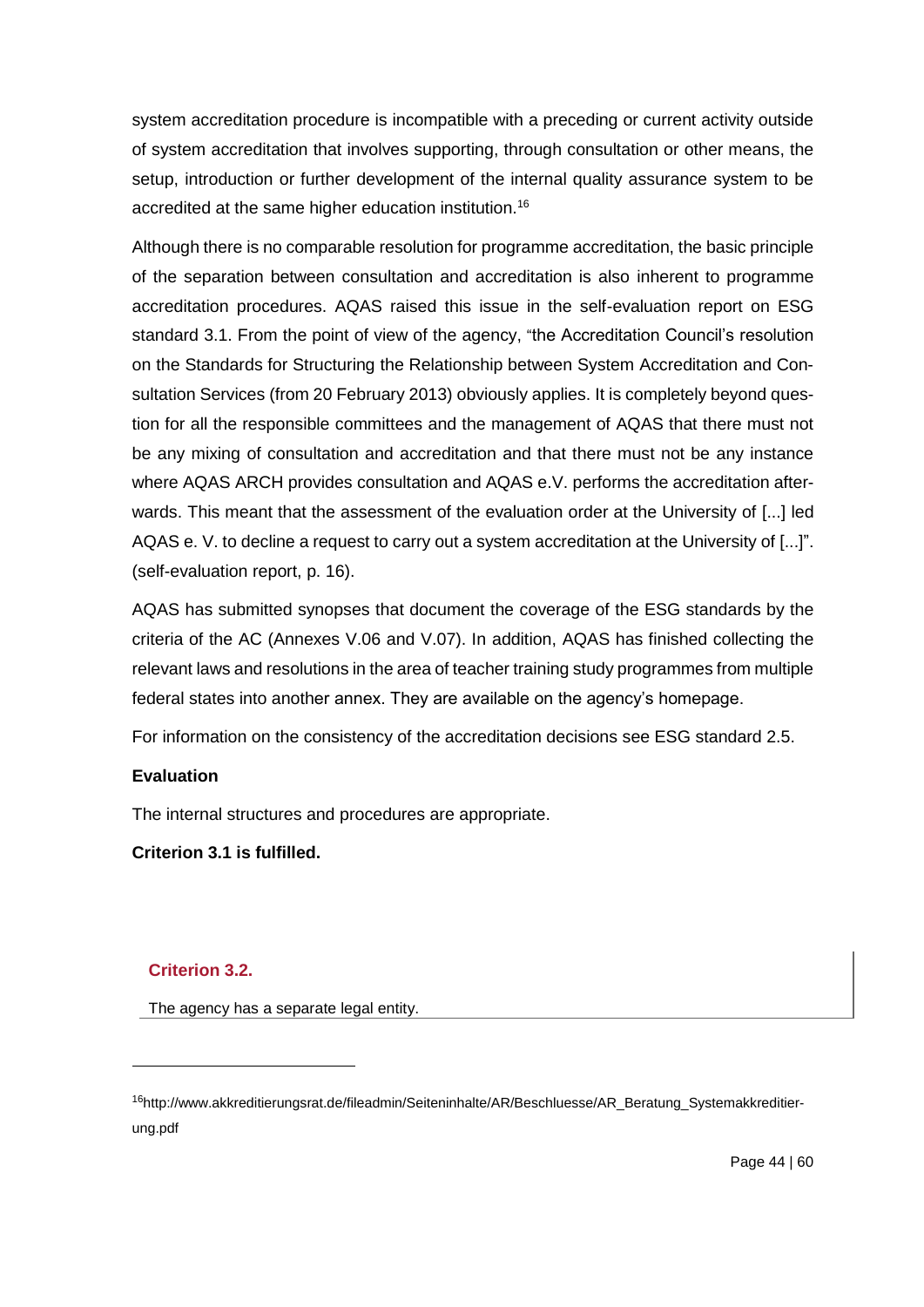system accreditation procedure is incompatible with a preceding or current activity outside of system accreditation that involves supporting, through consultation or other means, the setup, introduction or further development of the internal quality assurance system to be accredited at the same higher education institution.<sup>16</sup>

Although there is no comparable resolution for programme accreditation, the basic principle of the separation between consultation and accreditation is also inherent to programme accreditation procedures. AQAS raised this issue in the self-evaluation report on ESG standard 3.1. From the point of view of the agency, "the Accreditation Council's resolution on the Standards for Structuring the Relationship between System Accreditation and Consultation Services (from 20 February 2013) obviously applies. It is completely beyond question for all the responsible committees and the management of AQAS that there must not be any mixing of consultation and accreditation and that there must not be any instance where AQAS ARCH provides consultation and AQAS e.V. performs the accreditation afterwards. This meant that the assessment of the evaluation order at the University of [...] led AQAS e. V. to decline a request to carry out a system accreditation at the University of [...]". (self-evaluation report, p. 16).

AQAS has submitted synopses that document the coverage of the ESG standards by the criteria of the AC (Annexes V.06 and V.07). In addition, AQAS has finished collecting the relevant laws and resolutions in the area of teacher training study programmes from multiple federal states into another annex. They are available on the agency's homepage.

For information on the consistency of the accreditation decisions see ESG standard 2.5.

# **Evaluation**

The internal structures and procedures are appropriate.

**Criterion 3.1 is fulfilled.**

# **Criterion 3.2.**

 $\overline{a}$ 

The agency has a separate legal entity.

<sup>16</sup>http://www.akkreditierungsrat.de/fileadmin/Seiteninhalte/AR/Beschluesse/AR\_Beratung\_Systemakkreditierung.pdf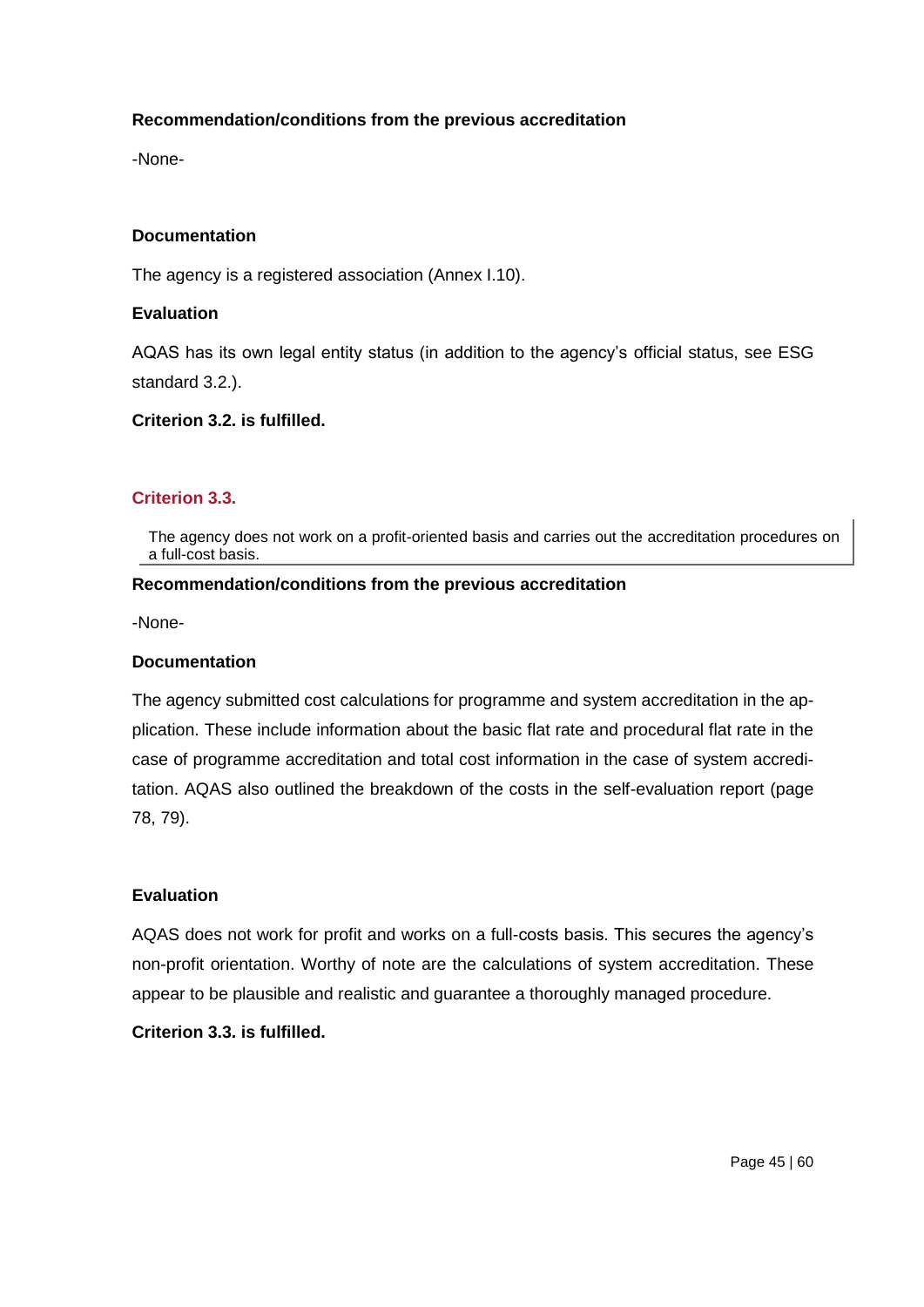### **Recommendation/conditions from the previous accreditation**

-None-

#### **Documentation**

The agency is a registered association (Annex I.10).

#### **Evaluation**

AQAS has its own legal entity status (in addition to the agency's official status, see ESG standard 3.2.).

### **Criterion 3.2. is fulfilled.**

#### **Criterion 3.3.**

The agency does not work on a profit-oriented basis and carries out the accreditation procedures on a full-cost basis.

#### **Recommendation/conditions from the previous accreditation**

-None-

#### **Documentation**

The agency submitted cost calculations for programme and system accreditation in the application. These include information about the basic flat rate and procedural flat rate in the case of programme accreditation and total cost information in the case of system accreditation. AQAS also outlined the breakdown of the costs in the self-evaluation report (page 78, 79).

#### **Evaluation**

AQAS does not work for profit and works on a full-costs basis. This secures the agency's non-profit orientation. Worthy of note are the calculations of system accreditation. These appear to be plausible and realistic and guarantee a thoroughly managed procedure.

### **Criterion 3.3. is fulfilled.**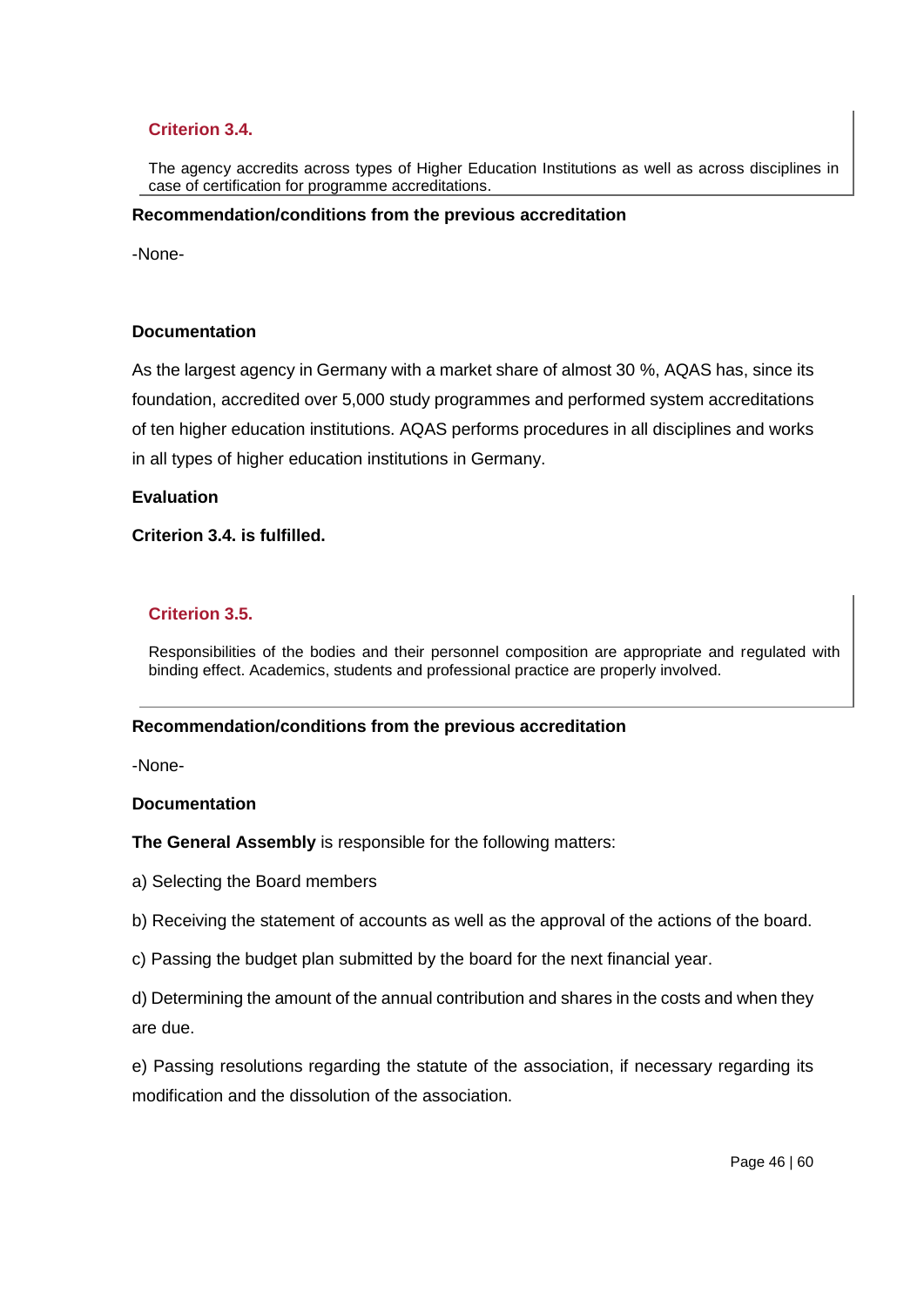# **Criterion 3.4.**

The agency accredits across types of Higher Education Institutions as well as across disciplines in case of certification for programme accreditations.

#### **Recommendation/conditions from the previous accreditation**

-None-

### **Documentation**

As the largest agency in Germany with a market share of almost 30 %, AQAS has, since its foundation, accredited over 5,000 study programmes and performed system accreditations of ten higher education institutions. AQAS performs procedures in all disciplines and works in all types of higher education institutions in Germany.

#### **Evaluation**

### **Criterion 3.4. is fulfilled.**

### **Criterion 3.5.**

Responsibilities of the bodies and their personnel composition are appropriate and regulated with binding effect. Academics, students and professional practice are properly involved.

#### **Recommendation/conditions from the previous accreditation**

-None-

#### **Documentation**

**The General Assembly** is responsible for the following matters:

- a) Selecting the Board members
- b) Receiving the statement of accounts as well as the approval of the actions of the board.
- c) Passing the budget plan submitted by the board for the next financial year.

d) Determining the amount of the annual contribution and shares in the costs and when they are due.

e) Passing resolutions regarding the statute of the association, if necessary regarding its modification and the dissolution of the association.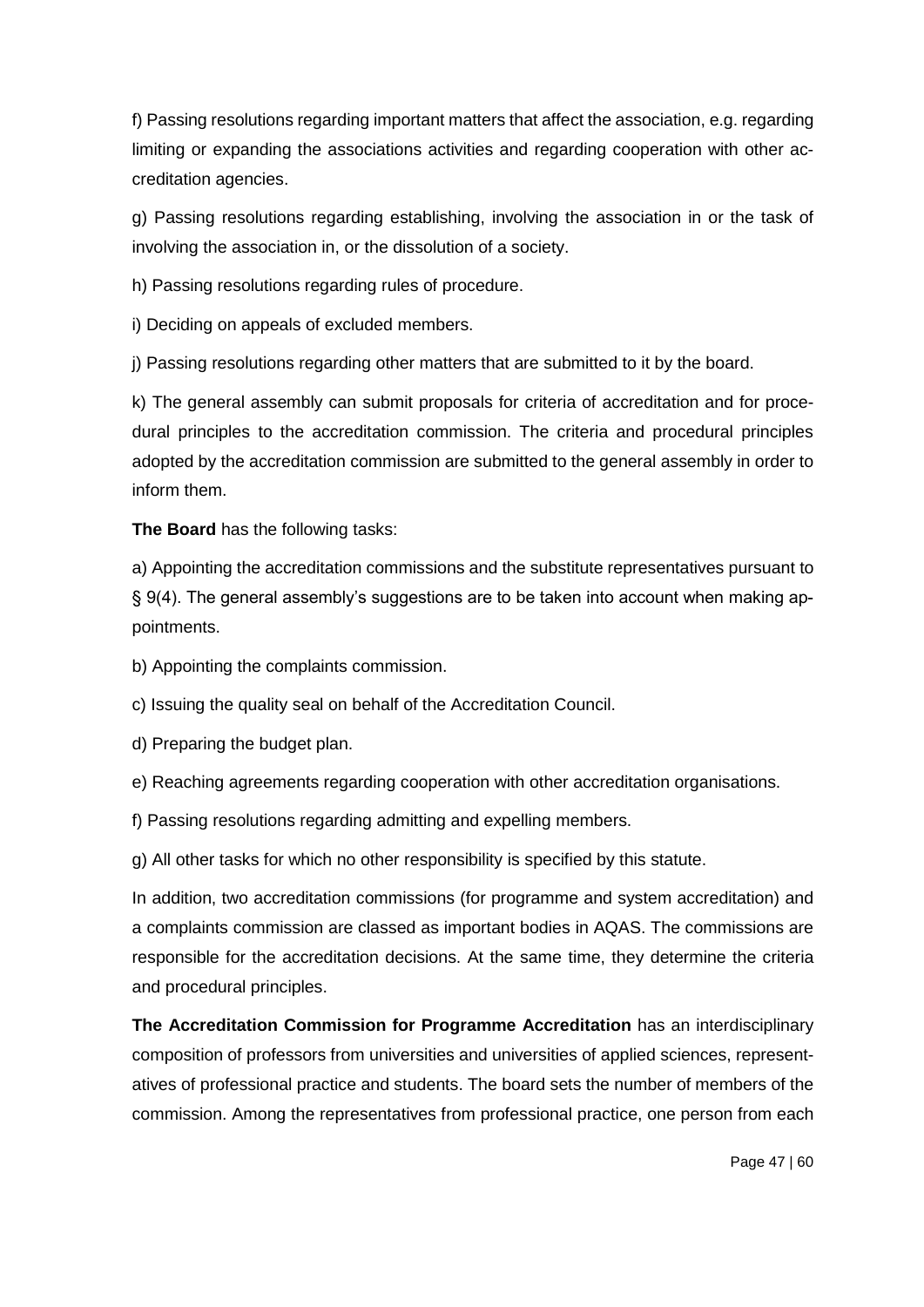f) Passing resolutions regarding important matters that affect the association, e.g. regarding limiting or expanding the associations activities and regarding cooperation with other accreditation agencies.

g) Passing resolutions regarding establishing, involving the association in or the task of involving the association in, or the dissolution of a society.

h) Passing resolutions regarding rules of procedure.

i) Deciding on appeals of excluded members.

j) Passing resolutions regarding other matters that are submitted to it by the board.

k) The general assembly can submit proposals for criteria of accreditation and for procedural principles to the accreditation commission. The criteria and procedural principles adopted by the accreditation commission are submitted to the general assembly in order to inform them.

**The Board** has the following tasks:

a) Appointing the accreditation commissions and the substitute representatives pursuant to § 9(4). The general assembly's suggestions are to be taken into account when making appointments.

b) Appointing the complaints commission.

c) Issuing the quality seal on behalf of the Accreditation Council.

d) Preparing the budget plan.

e) Reaching agreements regarding cooperation with other accreditation organisations.

f) Passing resolutions regarding admitting and expelling members.

g) All other tasks for which no other responsibility is specified by this statute.

In addition, two accreditation commissions (for programme and system accreditation) and a complaints commission are classed as important bodies in AQAS. The commissions are responsible for the accreditation decisions. At the same time, they determine the criteria and procedural principles.

**The Accreditation Commission for Programme Accreditation** has an interdisciplinary composition of professors from universities and universities of applied sciences, representatives of professional practice and students. The board sets the number of members of the commission. Among the representatives from professional practice, one person from each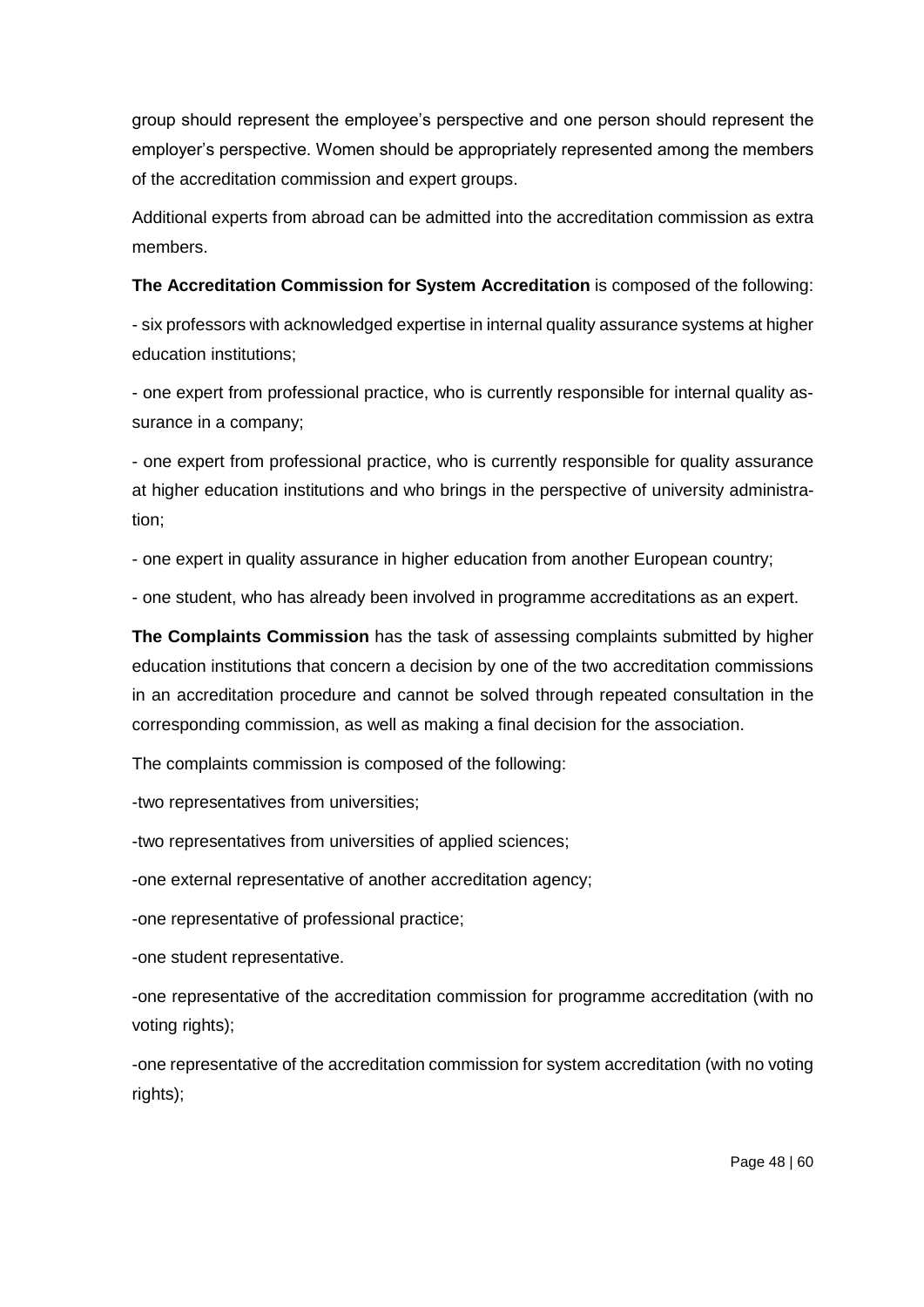group should represent the employee's perspective and one person should represent the employer's perspective. Women should be appropriately represented among the members of the accreditation commission and expert groups.

Additional experts from abroad can be admitted into the accreditation commission as extra members.

**The Accreditation Commission for System Accreditation** is composed of the following:

- six professors with acknowledged expertise in internal quality assurance systems at higher education institutions;

- one expert from professional practice, who is currently responsible for internal quality assurance in a company;

- one expert from professional practice, who is currently responsible for quality assurance at higher education institutions and who brings in the perspective of university administration;

- one expert in quality assurance in higher education from another European country;

- one student, who has already been involved in programme accreditations as an expert.

**The Complaints Commission** has the task of assessing complaints submitted by higher education institutions that concern a decision by one of the two accreditation commissions in an accreditation procedure and cannot be solved through repeated consultation in the corresponding commission, as well as making a final decision for the association.

The complaints commission is composed of the following:

-two representatives from universities;

-two representatives from universities of applied sciences;

-one external representative of another accreditation agency;

-one representative of professional practice;

-one student representative.

-one representative of the accreditation commission for programme accreditation (with no voting rights);

-one representative of the accreditation commission for system accreditation (with no voting rights);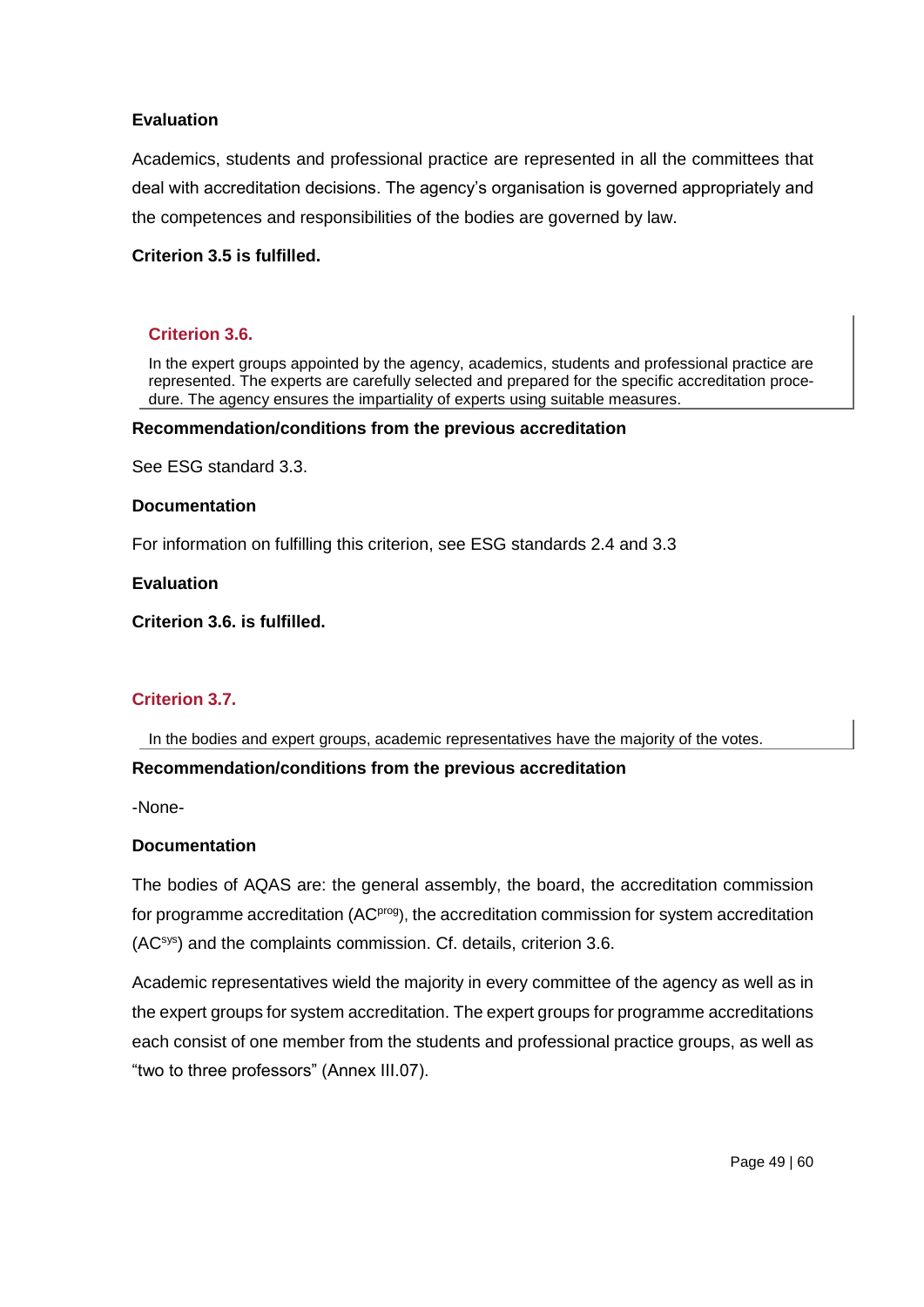Academics, students and professional practice are represented in all the committees that deal with accreditation decisions. The agency's organisation is governed appropriately and the competences and responsibilities of the bodies are governed by law.

### **Criterion 3.5 is fulfilled.**

### **Criterion 3.6.**

In the expert groups appointed by the agency, academics, students and professional practice are represented. The experts are carefully selected and prepared for the specific accreditation procedure. The agency ensures the impartiality of experts using suitable measures.

#### **Recommendation/conditions from the previous accreditation**

See ESG standard 3.3.

#### **Documentation**

For information on fulfilling this criterion, see ESG standards 2.4 and 3.3

**Evaluation** 

**Criterion 3.6. is fulfilled.**

# **Criterion 3.7.**

In the bodies and expert groups, academic representatives have the majority of the votes.

### **Recommendation/conditions from the previous accreditation**

-None-

### **Documentation**

The bodies of AQAS are: the general assembly, the board, the accreditation commission for programme accreditation (AC<sup>prog</sup>), the accreditation commission for system accreditation (ACsys) and the complaints commission. Cf. details, criterion 3.6.

Academic representatives wield the majority in every committee of the agency as well as in the expert groups for system accreditation. The expert groups for programme accreditations each consist of one member from the students and professional practice groups, as well as "two to three professors" (Annex III.07).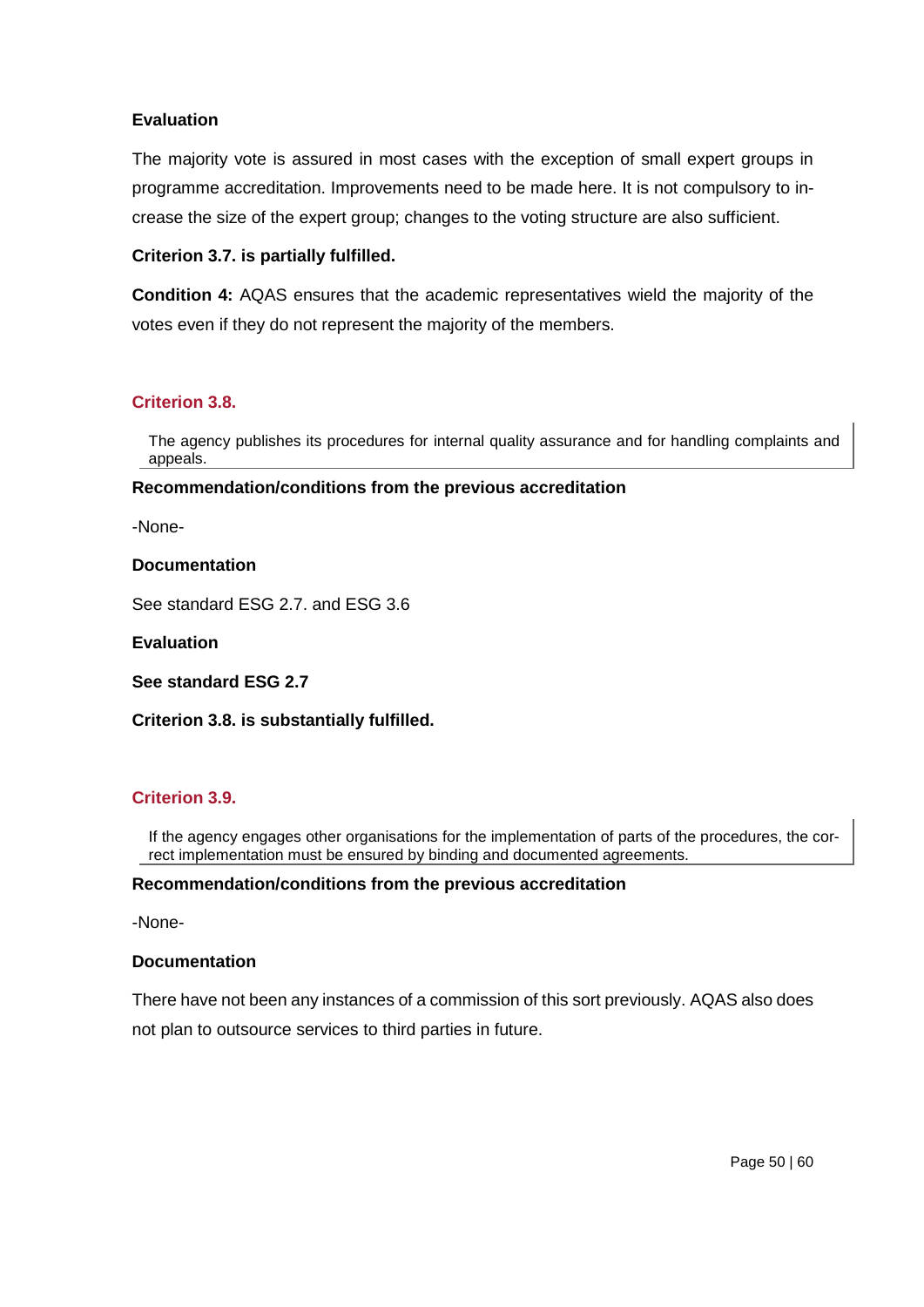The majority vote is assured in most cases with the exception of small expert groups in programme accreditation. Improvements need to be made here. It is not compulsory to increase the size of the expert group; changes to the voting structure are also sufficient.

## **Criterion 3.7. is partially fulfilled.**

**Condition 4:** AQAS ensures that the academic representatives wield the majority of the votes even if they do not represent the majority of the members.

### **Criterion 3.8.**

The agency publishes its procedures for internal quality assurance and for handling complaints and appeals.

#### **Recommendation/conditions from the previous accreditation**

-None-

#### **Documentation**

See standard ESG 2.7. and ESG 3.6

#### **Evaluation**

**See standard ESG 2.7**

### **Criterion 3.8. is substantially fulfilled.**

### **Criterion 3.9.**

If the agency engages other organisations for the implementation of parts of the procedures, the correct implementation must be ensured by binding and documented agreements.

### **Recommendation/conditions from the previous accreditation**

-None-

#### **Documentation**

There have not been any instances of a commission of this sort previously. AQAS also does not plan to outsource services to third parties in future.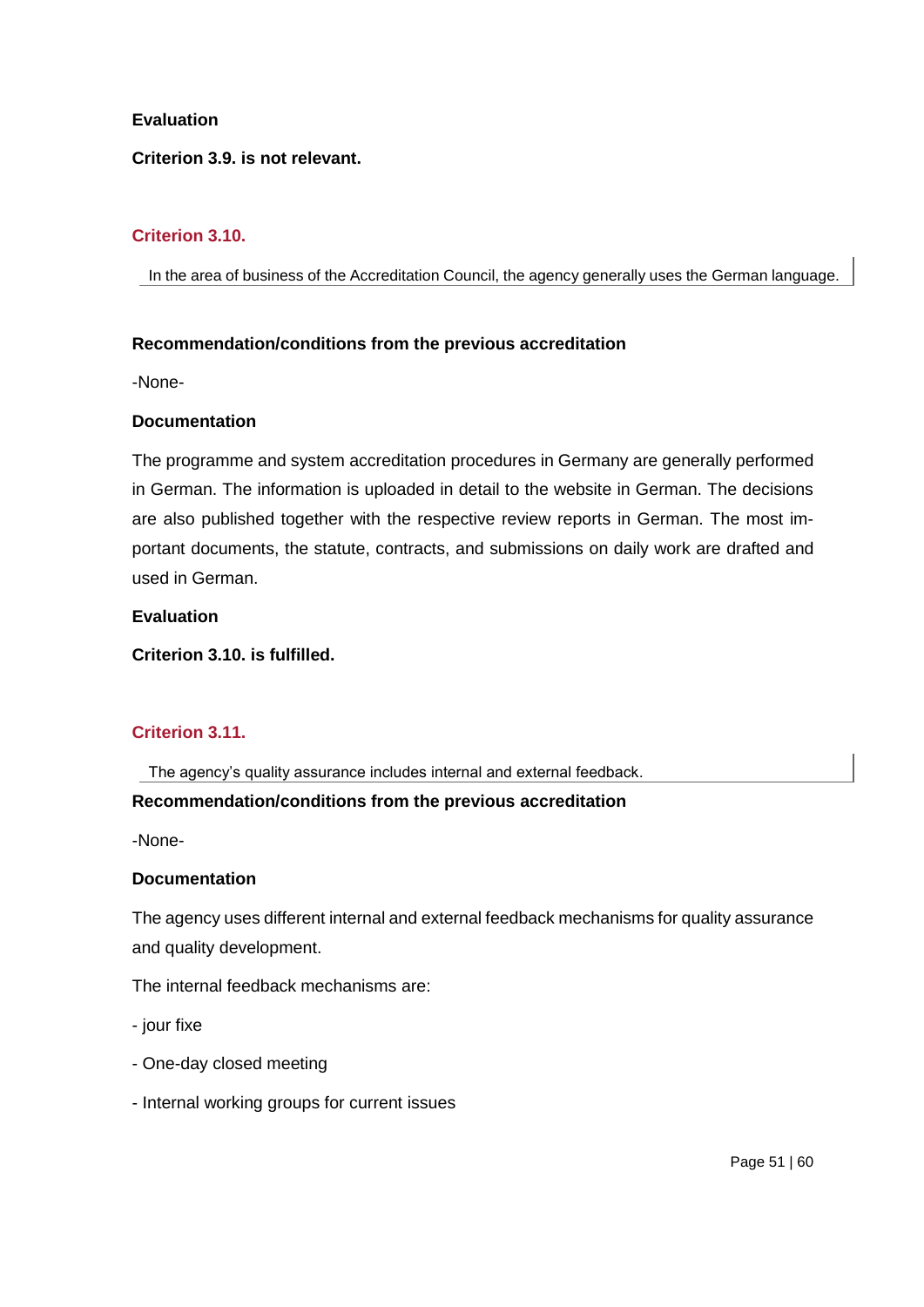**Criterion 3.9. is not relevant.**

# **Criterion 3.10.**

In the area of business of the Accreditation Council, the agency generally uses the German language.

### **Recommendation/conditions from the previous accreditation**

-None-

### **Documentation**

The programme and system accreditation procedures in Germany are generally performed in German. The information is uploaded in detail to the website in German. The decisions are also published together with the respective review reports in German. The most important documents, the statute, contracts, and submissions on daily work are drafted and used in German.

## **Evaluation**

**Criterion 3.10. is fulfilled.** 

# **Criterion 3.11.**

The agency's quality assurance includes internal and external feedback.

# **Recommendation/conditions from the previous accreditation**

-None-

### **Documentation**

The agency uses different internal and external feedback mechanisms for quality assurance and quality development.

The internal feedback mechanisms are:

- jour fixe
- One-day closed meeting
- Internal working groups for current issues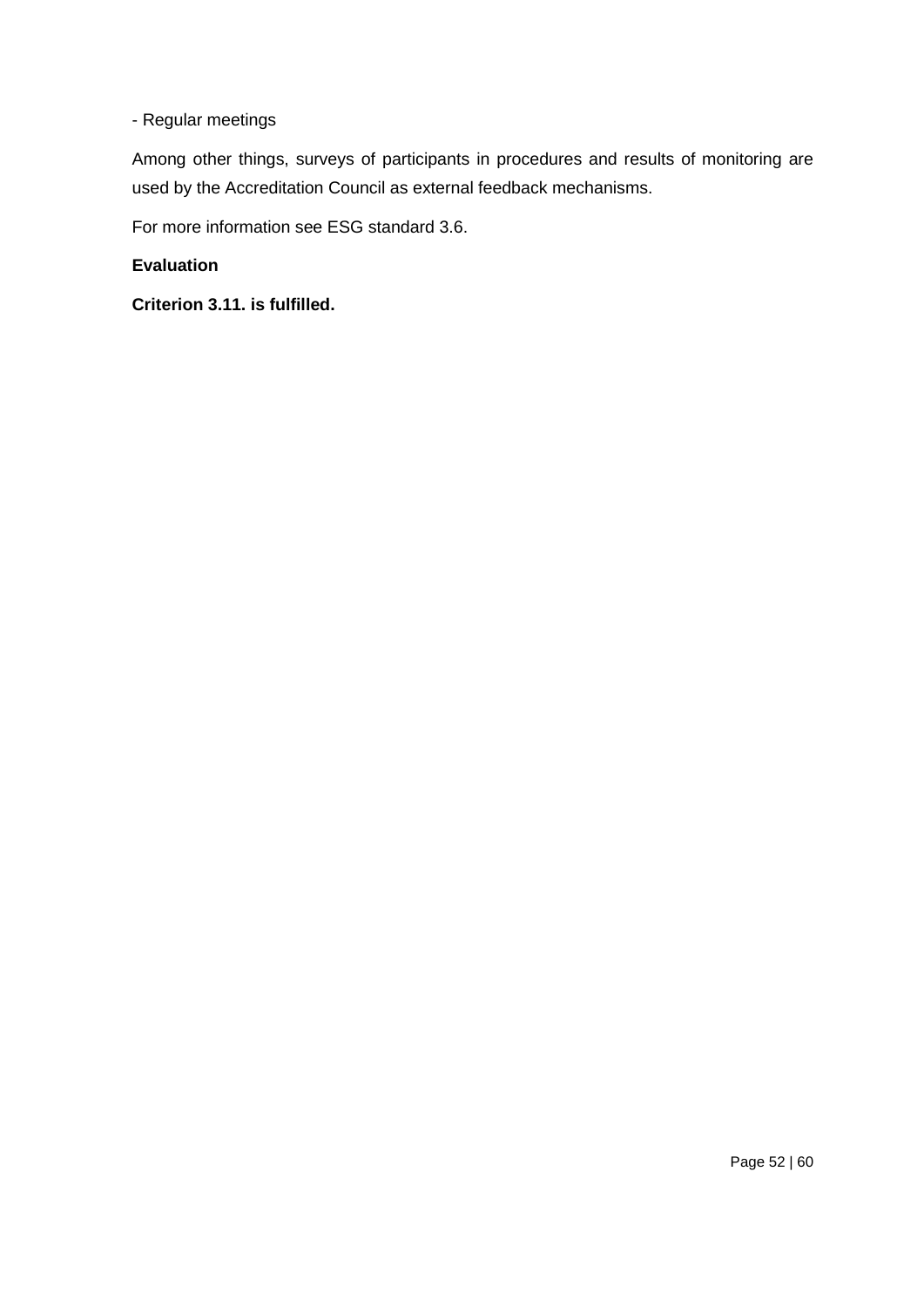# - Regular meetings

Among other things, surveys of participants in procedures and results of monitoring are used by the Accreditation Council as external feedback mechanisms.

For more information see ESG standard 3.6.

# **Evaluation**

**Criterion 3.11. is fulfilled.**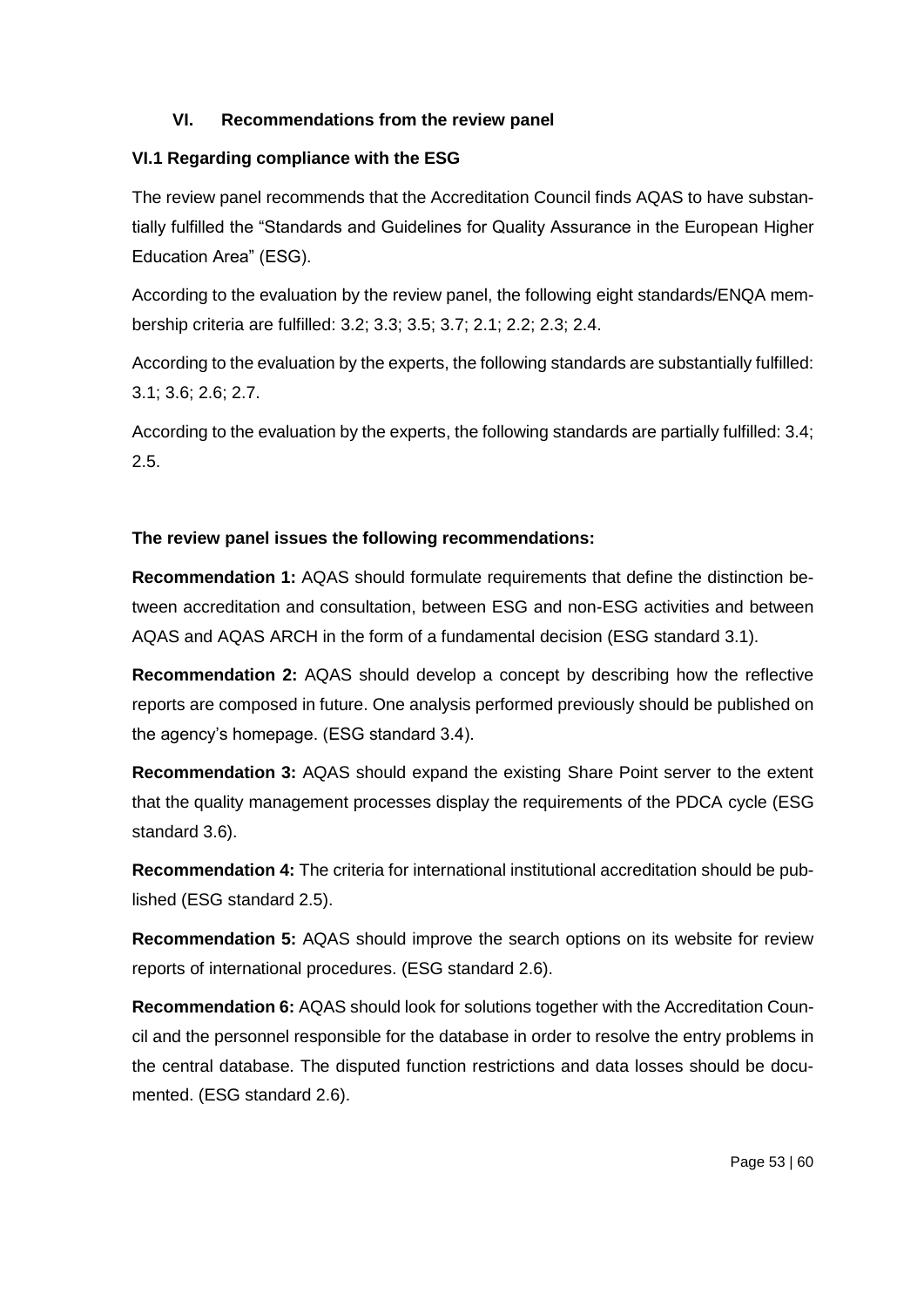# **VI. Recommendations from the review panel**

# **VI.1 Regarding compliance with the ESG**

The review panel recommends that the Accreditation Council finds AQAS to have substantially fulfilled the "Standards and Guidelines for Quality Assurance in the European Higher Education Area" (ESG).

According to the evaluation by the review panel, the following eight standards/ENQA membership criteria are fulfilled: 3.2; 3.3; 3.5; 3.7; 2.1; 2.2; 2.3; 2.4.

According to the evaluation by the experts, the following standards are substantially fulfilled: 3.1; 3.6; 2.6; 2.7.

According to the evaluation by the experts, the following standards are partially fulfilled: 3.4; 2.5.

## **The review panel issues the following recommendations:**

**Recommendation 1:** AQAS should formulate requirements that define the distinction between accreditation and consultation, between ESG and non-ESG activities and between AQAS and AQAS ARCH in the form of a fundamental decision (ESG standard 3.1).

**Recommendation 2:** AQAS should develop a concept by describing how the reflective reports are composed in future. One analysis performed previously should be published on the agency's homepage. (ESG standard 3.4).

**Recommendation 3:** AQAS should expand the existing Share Point server to the extent that the quality management processes display the requirements of the PDCA cycle (ESG standard 3.6).

**Recommendation 4:** The criteria for international institutional accreditation should be published (ESG standard 2.5).

**Recommendation 5:** AQAS should improve the search options on its website for review reports of international procedures. (ESG standard 2.6).

**Recommendation 6:** AQAS should look for solutions together with the Accreditation Council and the personnel responsible for the database in order to resolve the entry problems in the central database. The disputed function restrictions and data losses should be documented. (ESG standard 2.6).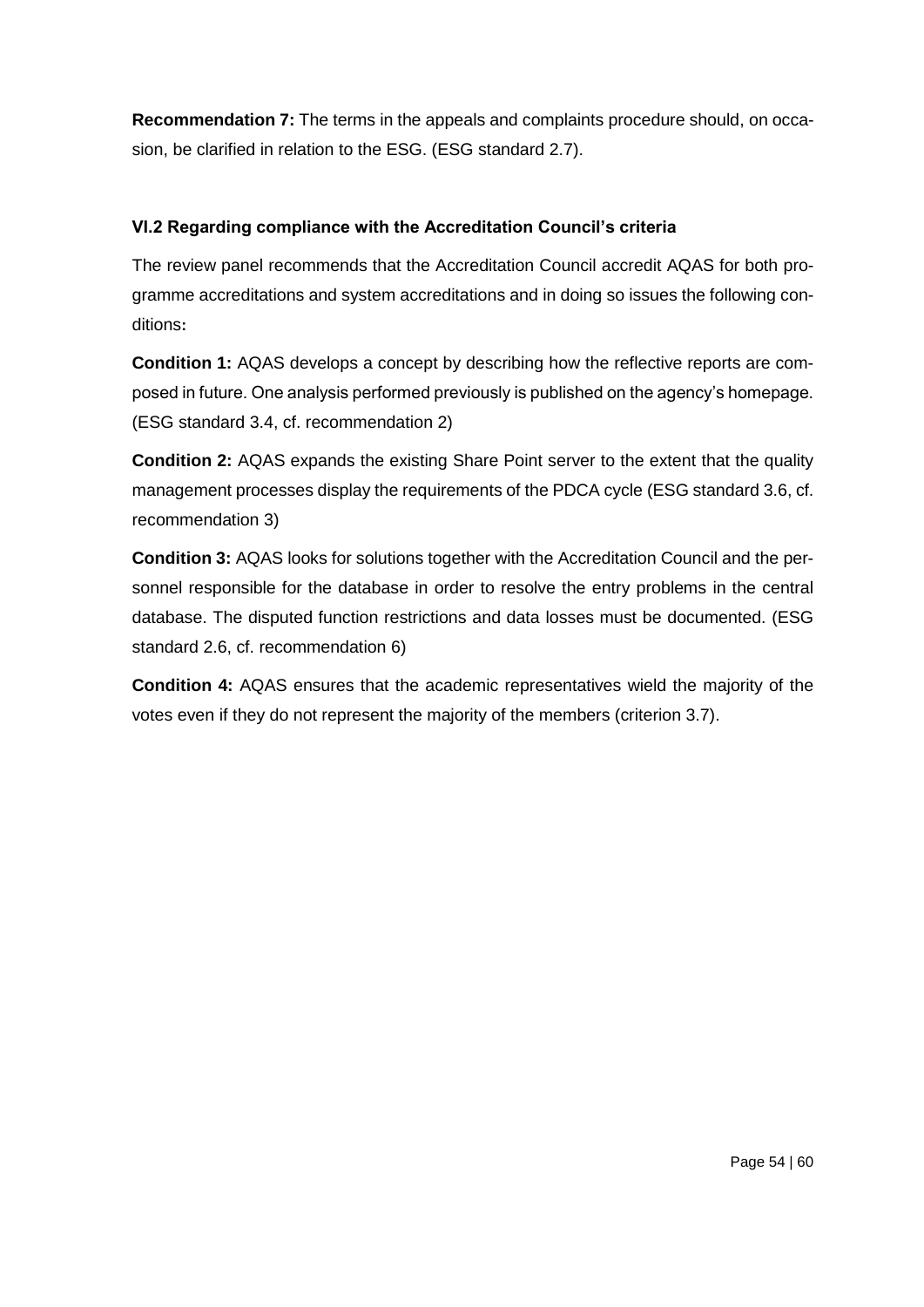**Recommendation 7:** The terms in the appeals and complaints procedure should, on occasion, be clarified in relation to the ESG. (ESG standard 2.7).

# **VI.2 Regarding compliance with the Accreditation Council's criteria**

The review panel recommends that the Accreditation Council accredit AQAS for both programme accreditations and system accreditations and in doing so issues the following conditions**:**

**Condition 1:** AQAS develops a concept by describing how the reflective reports are composed in future. One analysis performed previously is published on the agency's homepage. (ESG standard 3.4, cf. recommendation 2)

**Condition 2:** AQAS expands the existing Share Point server to the extent that the quality management processes display the requirements of the PDCA cycle (ESG standard 3.6, cf. recommendation 3)

**Condition 3:** AQAS looks for solutions together with the Accreditation Council and the personnel responsible for the database in order to resolve the entry problems in the central database. The disputed function restrictions and data losses must be documented. (ESG standard 2.6, cf. recommendation 6)

**Condition 4:** AQAS ensures that the academic representatives wield the majority of the votes even if they do not represent the majority of the members (criterion 3.7).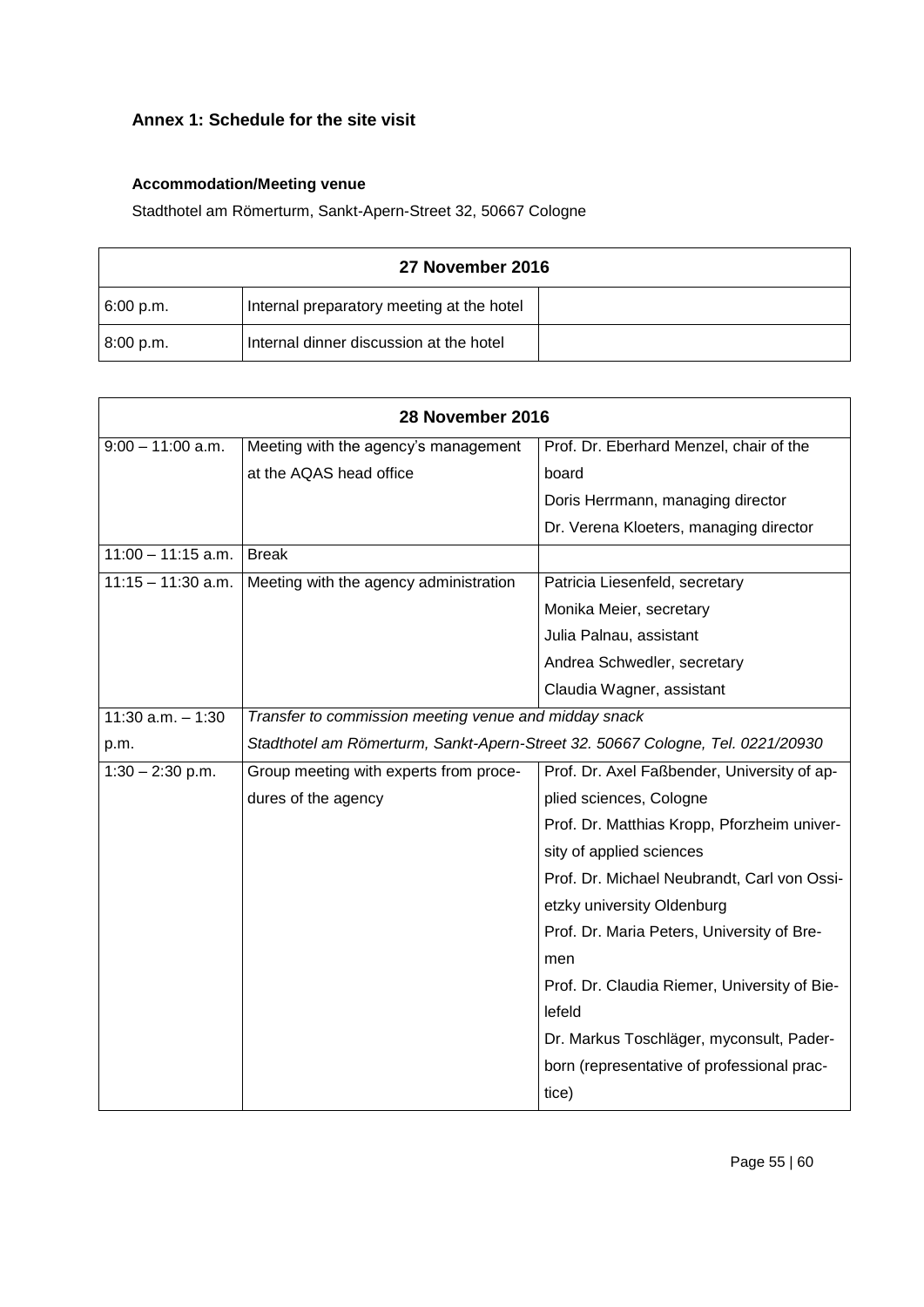# **Annex 1: Schedule for the site visit**

# **Accommodation/Meeting venue**

Stadthotel am Römerturm, Sankt-Apern-Street 32, 50667 Cologne

| 27 November 2016 |                                           |  |
|------------------|-------------------------------------------|--|
| 6:00 p.m.        | Internal preparatory meeting at the hotel |  |
| 8:00 p.m.        | Internal dinner discussion at the hotel   |  |

|                      | 28 November 2016                                                               |                                              |
|----------------------|--------------------------------------------------------------------------------|----------------------------------------------|
| $9:00 - 11:00$ a.m.  | Meeting with the agency's management                                           | Prof. Dr. Eberhard Menzel, chair of the      |
|                      | at the AQAS head office                                                        | board                                        |
|                      |                                                                                | Doris Herrmann, managing director            |
|                      |                                                                                | Dr. Verena Kloeters, managing director       |
| $11:00 - 11:15$ a.m. | <b>Break</b>                                                                   |                                              |
| $11:15 - 11:30$ a.m. | Meeting with the agency administration                                         | Patricia Liesenfeld, secretary               |
|                      |                                                                                | Monika Meier, secretary                      |
|                      |                                                                                | Julia Palnau, assistant                      |
|                      |                                                                                | Andrea Schwedler, secretary                  |
|                      |                                                                                | Claudia Wagner, assistant                    |
| $11:30$ a.m. $-1:30$ | Transfer to commission meeting venue and midday snack                          |                                              |
| p.m.                 | Stadthotel am Römerturm, Sankt-Apern-Street 32. 50667 Cologne, Tel. 0221/20930 |                                              |
| $1:30 - 2:30$ p.m.   | Group meeting with experts from proce-                                         | Prof. Dr. Axel Faßbender, University of ap-  |
|                      | dures of the agency                                                            | plied sciences, Cologne                      |
|                      |                                                                                | Prof. Dr. Matthias Kropp, Pforzheim univer-  |
|                      |                                                                                | sity of applied sciences                     |
|                      |                                                                                | Prof. Dr. Michael Neubrandt, Carl von Ossi-  |
|                      |                                                                                | etzky university Oldenburg                   |
|                      |                                                                                | Prof. Dr. Maria Peters, University of Bre-   |
|                      |                                                                                | men                                          |
|                      |                                                                                | Prof. Dr. Claudia Riemer, University of Bie- |
|                      |                                                                                | lefeld                                       |
|                      |                                                                                | Dr. Markus Toschläger, myconsult, Pader-     |
|                      |                                                                                | born (representative of professional prac-   |
|                      |                                                                                | tice)                                        |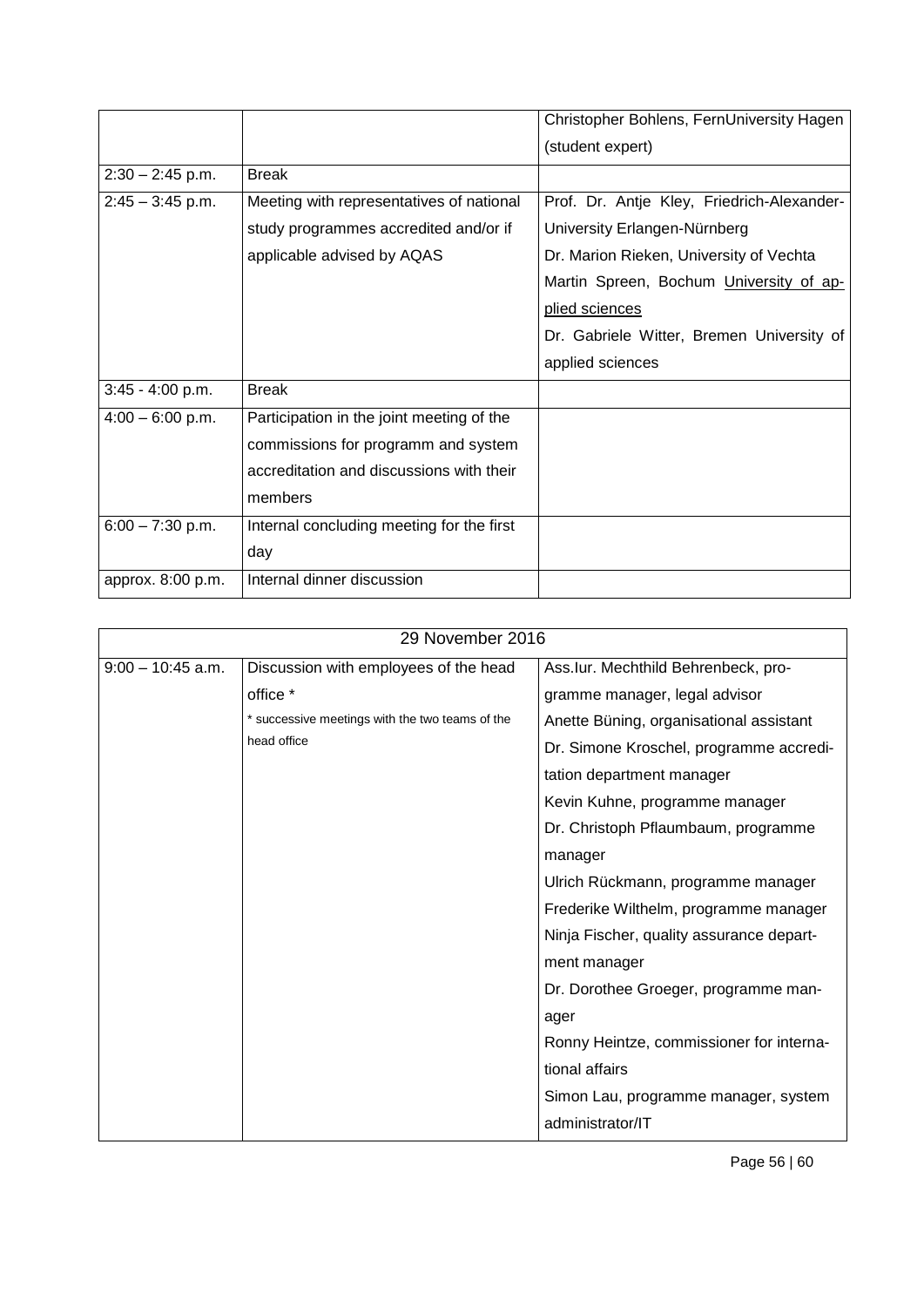|                    |                                           | Christopher Bohlens, FernUniversity Hagen  |
|--------------------|-------------------------------------------|--------------------------------------------|
|                    |                                           | (student expert)                           |
| $2:30 - 2:45$ p.m. | <b>Break</b>                              |                                            |
| $2:45 - 3:45$ p.m. | Meeting with representatives of national  | Prof. Dr. Antje Kley, Friedrich-Alexander- |
|                    | study programmes accredited and/or if     | University Erlangen-Nürnberg               |
|                    | applicable advised by AQAS                | Dr. Marion Rieken, University of Vechta    |
|                    |                                           | Martin Spreen, Bochum University of ap-    |
|                    |                                           | plied sciences                             |
|                    |                                           | Dr. Gabriele Witter, Bremen University of  |
|                    |                                           | applied sciences                           |
| $3:45 - 4:00$ p.m. | <b>Break</b>                              |                                            |
| $4:00 - 6:00$ p.m. | Participation in the joint meeting of the |                                            |
|                    | commissions for programm and system       |                                            |
|                    | accreditation and discussions with their  |                                            |
|                    | members                                   |                                            |
| $6:00 - 7:30$ p.m. | Internal concluding meeting for the first |                                            |
|                    | day                                       |                                            |
| approx. 8:00 p.m.  | Internal dinner discussion                |                                            |

| 29 November 2016    |                                                 |                                          |
|---------------------|-------------------------------------------------|------------------------------------------|
| $9:00 - 10:45$ a.m. | Discussion with employees of the head           | Ass.lur. Mechthild Behrenbeck, pro-      |
|                     | office *                                        | gramme manager, legal advisor            |
|                     | * successive meetings with the two teams of the | Anette Büning, organisational assistant  |
|                     | head office                                     | Dr. Simone Kroschel, programme accredi-  |
|                     |                                                 | tation department manager                |
|                     |                                                 | Kevin Kuhne, programme manager           |
|                     |                                                 | Dr. Christoph Pflaumbaum, programme      |
|                     |                                                 | manager                                  |
|                     |                                                 | Ulrich Rückmann, programme manager       |
|                     |                                                 | Frederike Wilthelm, programme manager    |
|                     |                                                 | Ninja Fischer, quality assurance depart- |
|                     |                                                 | ment manager                             |
|                     |                                                 | Dr. Dorothee Groeger, programme man-     |
|                     |                                                 | ager                                     |
|                     |                                                 | Ronny Heintze, commissioner for interna- |
|                     |                                                 | tional affairs                           |
|                     |                                                 | Simon Lau, programme manager, system     |
|                     |                                                 | administrator/IT                         |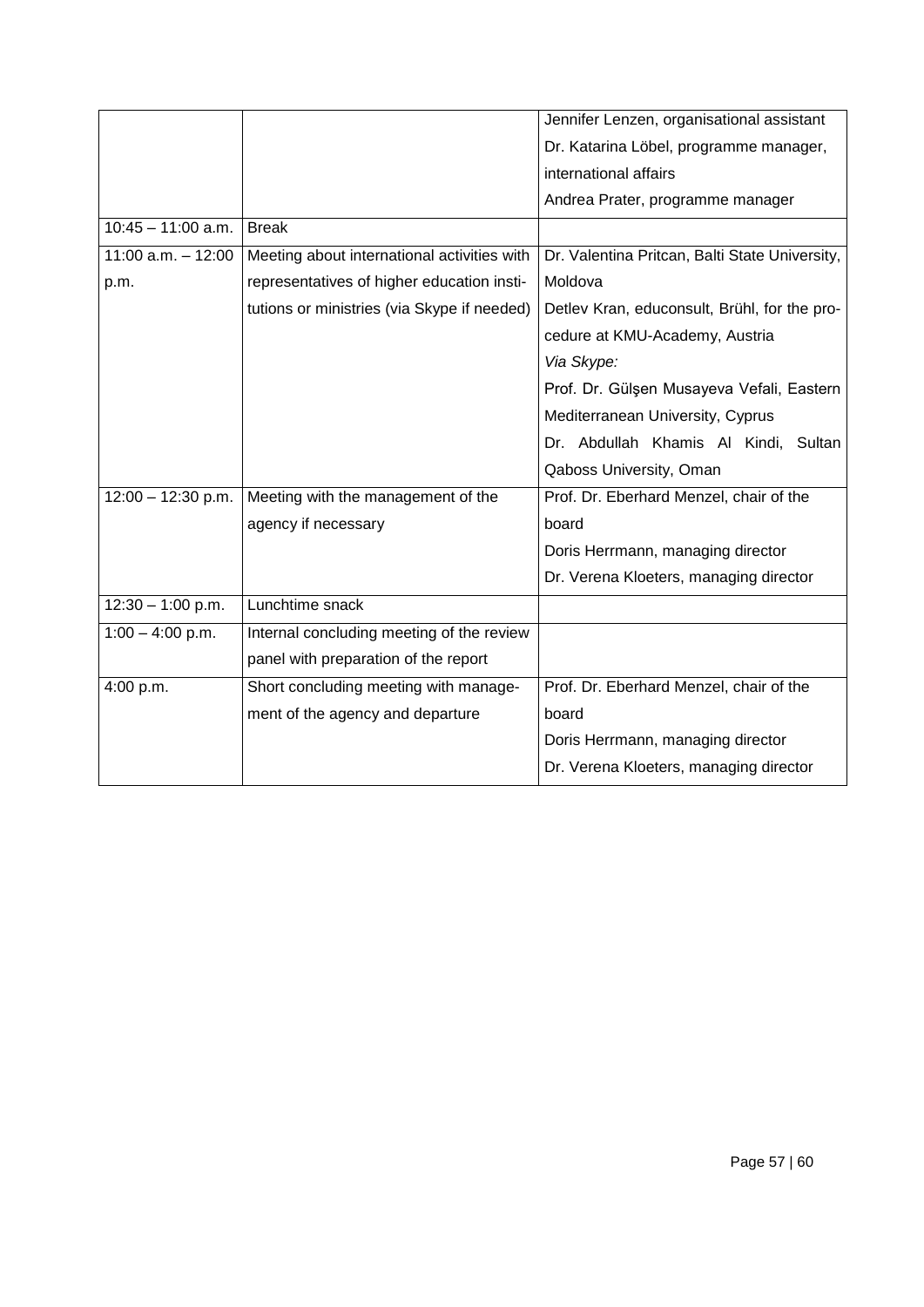|                       |                                             | Jennifer Lenzen, organisational assistant      |
|-----------------------|---------------------------------------------|------------------------------------------------|
|                       |                                             | Dr. Katarina Löbel, programme manager,         |
|                       |                                             | international affairs                          |
|                       |                                             | Andrea Prater, programme manager               |
| $10:45 - 11:00$ a.m.  | <b>Break</b>                                |                                                |
| $11:00$ a.m. $-12:00$ | Meeting about international activities with | Dr. Valentina Pritcan, Balti State University, |
| p.m.                  | representatives of higher education insti-  | Moldova                                        |
|                       | tutions or ministries (via Skype if needed) | Detlev Kran, educonsult, Brühl, for the pro-   |
|                       |                                             | cedure at KMU-Academy, Austria                 |
|                       |                                             | Via Skype:                                     |
|                       |                                             | Prof. Dr. Gülşen Musayeva Vefali, Eastern      |
|                       |                                             | Mediterranean University, Cyprus               |
|                       |                                             | Dr. Abdullah Khamis Al Kindi, Sultan           |
|                       |                                             | Qaboss University, Oman                        |
| $12:00 - 12:30$ p.m.  | Meeting with the management of the          | Prof. Dr. Eberhard Menzel, chair of the        |
|                       | agency if necessary                         | board                                          |
|                       |                                             | Doris Herrmann, managing director              |
|                       |                                             | Dr. Verena Kloeters, managing director         |
| $12:30 - 1:00$ p.m.   | Lunchtime snack                             |                                                |
| $1:00 - 4:00$ p.m.    | Internal concluding meeting of the review   |                                                |
|                       | panel with preparation of the report        |                                                |
| 4:00 p.m.             | Short concluding meeting with manage-       | Prof. Dr. Eberhard Menzel, chair of the        |
|                       | ment of the agency and departure            | board                                          |
|                       |                                             | Doris Herrmann, managing director              |
|                       |                                             | Dr. Verena Kloeters, managing director         |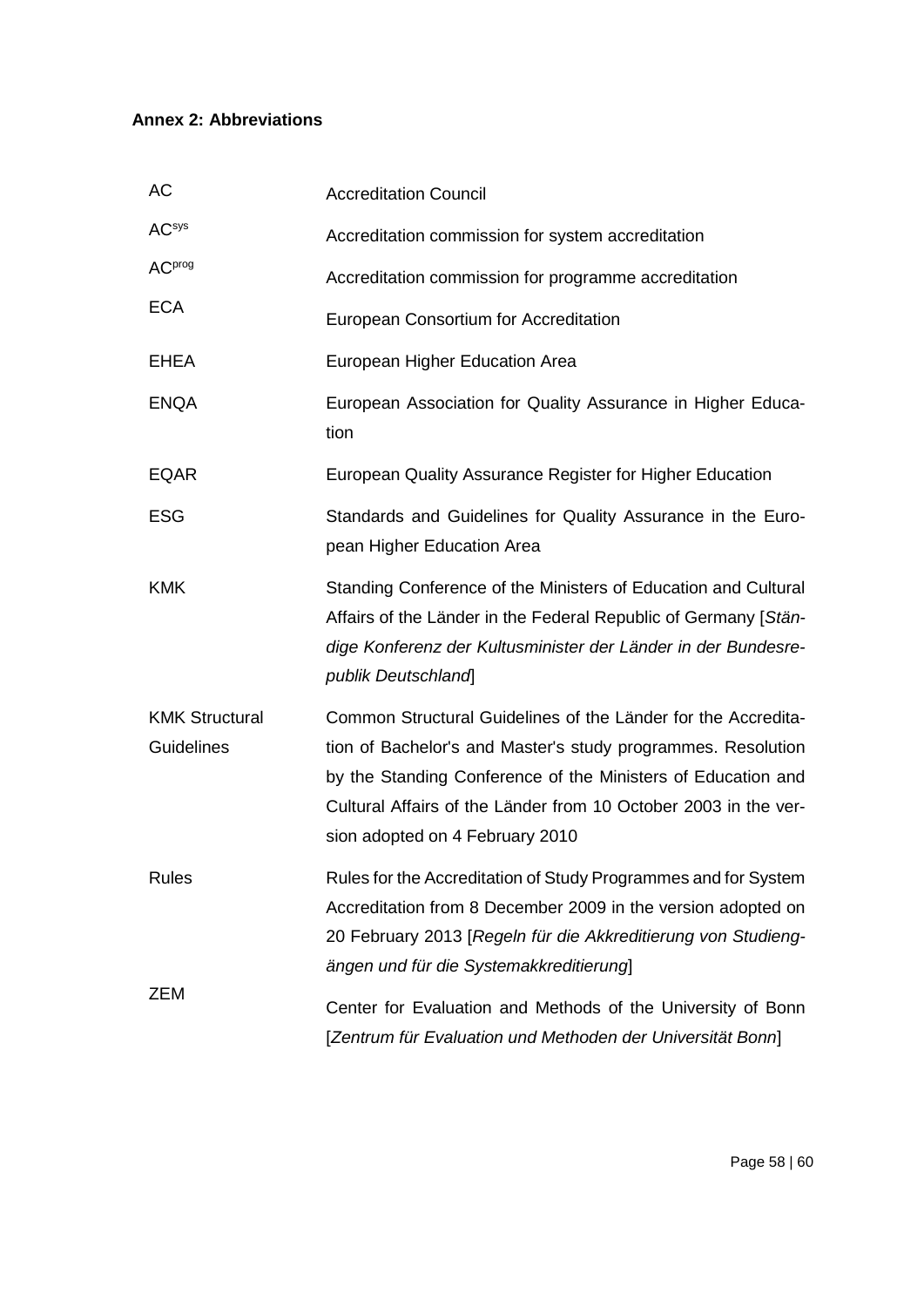# **Annex 2: Abbreviations**

| AC                                  | <b>Accreditation Council</b>                                                                                                                                                                                                                                                                        |
|-------------------------------------|-----------------------------------------------------------------------------------------------------------------------------------------------------------------------------------------------------------------------------------------------------------------------------------------------------|
| <b>AC</b> sys                       | Accreditation commission for system accreditation                                                                                                                                                                                                                                                   |
| <b>AC</b> prog                      | Accreditation commission for programme accreditation                                                                                                                                                                                                                                                |
| <b>ECA</b>                          | European Consortium for Accreditation                                                                                                                                                                                                                                                               |
| <b>EHEA</b>                         | European Higher Education Area                                                                                                                                                                                                                                                                      |
| <b>ENQA</b>                         | European Association for Quality Assurance in Higher Educa-<br>tion                                                                                                                                                                                                                                 |
| <b>EQAR</b>                         | European Quality Assurance Register for Higher Education                                                                                                                                                                                                                                            |
| <b>ESG</b>                          | Standards and Guidelines for Quality Assurance in the Euro-<br>pean Higher Education Area                                                                                                                                                                                                           |
| <b>KMK</b>                          | Standing Conference of the Ministers of Education and Cultural<br>Affairs of the Länder in the Federal Republic of Germany [Stän-<br>dige Konferenz der Kultusminister der Länder in der Bundesre-<br>publik Deutschland                                                                            |
| <b>KMK Structural</b><br>Guidelines | Common Structural Guidelines of the Länder for the Accredita-<br>tion of Bachelor's and Master's study programmes. Resolution<br>by the Standing Conference of the Ministers of Education and<br>Cultural Affairs of the Länder from 10 October 2003 in the ver-<br>sion adopted on 4 February 2010 |
| <b>Rules</b>                        | Rules for the Accreditation of Study Programmes and for System<br>Accreditation from 8 December 2009 in the version adopted on<br>20 February 2013 [Regeln für die Akkreditierung von Studieng-<br>ängen und für die Systemakkreditierung]                                                          |
| ZEM                                 | Center for Evaluation and Methods of the University of Bonn<br>[Zentrum für Evaluation und Methoden der Universität Bonn]                                                                                                                                                                           |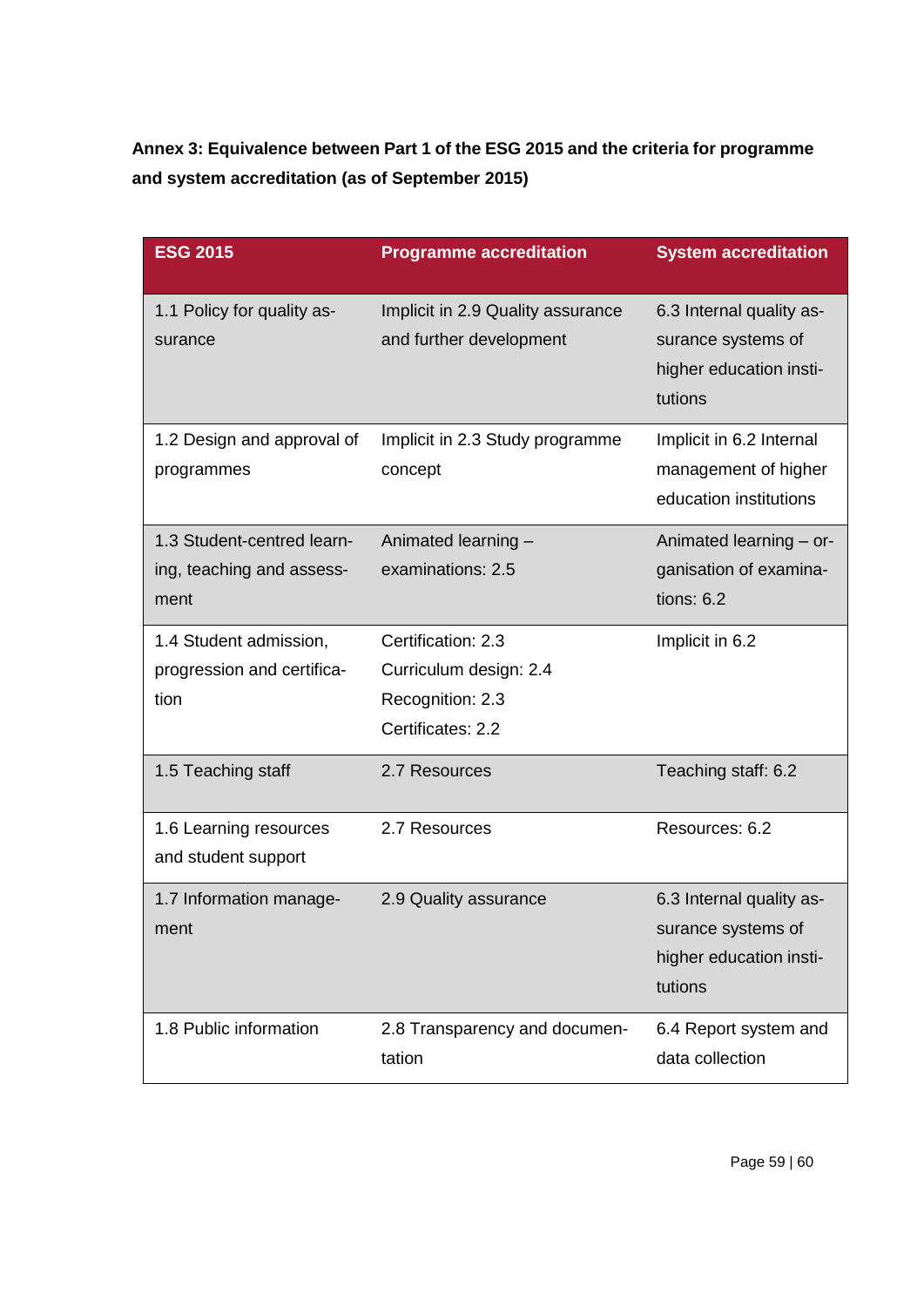**Annex 3: Equivalence between Part 1 of the ESG 2015 and the criteria for programme and system accreditation (as of September 2015)**

| <b>ESG 2015</b>                                                 | <b>Programme accreditation</b>                                                        | <b>System accreditation</b>                                                          |
|-----------------------------------------------------------------|---------------------------------------------------------------------------------------|--------------------------------------------------------------------------------------|
| 1.1 Policy for quality as-<br>surance                           | Implicit in 2.9 Quality assurance<br>and further development                          | 6.3 Internal quality as-<br>surance systems of<br>higher education insti-<br>tutions |
| 1.2 Design and approval of<br>programmes                        | Implicit in 2.3 Study programme<br>concept                                            | Implicit in 6.2 Internal<br>management of higher<br>education institutions           |
| 1.3 Student-centred learn-<br>ing, teaching and assess-<br>ment | Animated learning -<br>examinations: 2.5                                              | Animated learning - or-<br>ganisation of examina-<br>tions: $6.2$                    |
| 1.4 Student admission,<br>progression and certifica-<br>tion    | Certification: 2.3<br>Curriculum design: 2.4<br>Recognition: 2.3<br>Certificates: 2.2 | Implicit in 6.2                                                                      |
| 1.5 Teaching staff                                              | 2.7 Resources                                                                         | Teaching staff: 6.2                                                                  |
| 1.6 Learning resources<br>and student support                   | 2.7 Resources                                                                         | Resources: 6.2                                                                       |
| 1.7 Information manage-<br>ment                                 | 2.9 Quality assurance                                                                 | 6.3 Internal quality as-<br>surance systems of<br>higher education insti-<br>tutions |
| 1.8 Public information                                          | 2.8 Transparency and documen-<br>tation                                               | 6.4 Report system and<br>data collection                                             |